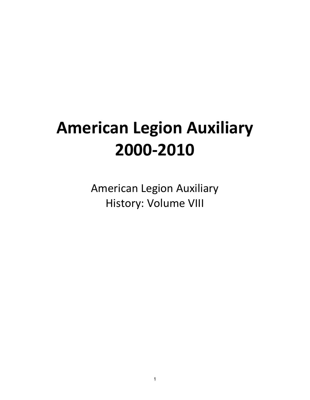# **American Legion Auxiliary 2000-2010**

American Legion Auxiliary History: Volume VIII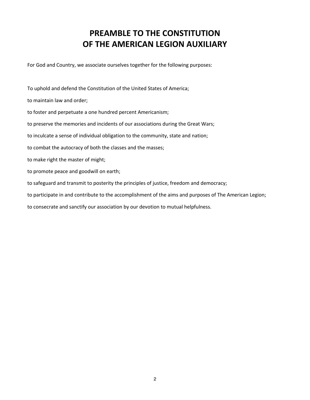# **PREAMBLE TO THE CONSTITUTION OF THE AMERICAN LEGION AUXILIARY**

For God and Country, we associate ourselves together for the following purposes:

To uphold and defend the Constitution of the United States of America; to maintain law and order; to foster and perpetuate a one hundred percent Americanism; to preserve the memories and incidents of our associations during the Great Wars; to inculcate a sense of individual obligation to the community, state and nation; to combat the autocracy of both the classes and the masses; to make right the master of might; to promote peace and goodwill on earth; to safeguard and transmit to posterity the principles of justice, freedom and democracy; to participate in and contribute to the accomplishment of the aims and purposes of The American Legion; to consecrate and sanctify our association by our devotion to mutual helpfulness.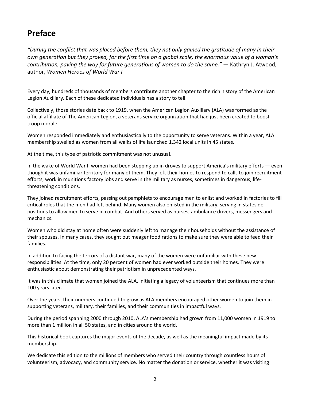# **Preface**

*"During the conflict that was placed before them, they not only gained the gratitude of many in their own generation but they proved, for the first time on a global scale, the enormous value of a woman's contribution, paving the way for future generations of women to do the same."* — Kathryn J. Atwood, author, *Women Heroes of World War I*

Every day, hundreds of thousands of members contribute another chapter to the rich history of the American Legion Auxiliary. Each of these dedicated individuals has a story to tell.

Collectively, those stories date back to 1919, when the American Legion Auxiliary (ALA) was formed as the official affiliate of The American Legion, a veterans service organization that had just been created to boost troop morale.

Women responded immediately and enthusiastically to the opportunity to serve veterans. Within a year, ALA membership swelled as women from all walks of life launched 1,342 local units in 45 states.

At the time, this type of patriotic commitment was not unusual.

In the wake of World War I, women had been stepping up in droves to support America's military efforts — even though it was unfamiliar territory for many of them. They left their homes to respond to calls to join recruitment efforts, work in munitions factory jobs and serve in the military as nurses, sometimes in dangerous, lifethreatening conditions.

They joined recruitment efforts, passing out pamphlets to encourage men to enlist and worked in factories to fill critical roles that the men had left behind. Many women also enlisted in the military, serving in stateside positions to allow men to serve in combat. And others served as nurses, ambulance drivers, messengers and mechanics.

Women who did stay at home often were suddenly left to manage their households without the assistance of their spouses. In many cases, they sought out meager food rations to make sure they were able to feed their families.

In addition to facing the terrors of a distant war, many of the women were unfamiliar with these new responsibilities. At the time, only 20 percent of women had ever worked outside their homes. They were enthusiastic about demonstrating their patriotism in unprecedented ways.

It was in this climate that women joined the ALA, initiating a legacy of volunteerism that continues more than 100 years later.

Over the years, their numbers continued to grow as ALA members encouraged other women to join them in supporting veterans, military, their families, and their communities in impactful ways.

During the period spanning 2000 through 2010, ALA's membership had grown from 11,000 women in 1919 to more than 1 million in all 50 states, and in cities around the world.

This historical book captures the major events of the decade, as well as the meaningful impact made by its membership.

We dedicate this edition to the millions of members who served their country through countless hours of volunteerism, advocacy, and community service. No matter the donation or service, whether it was visiting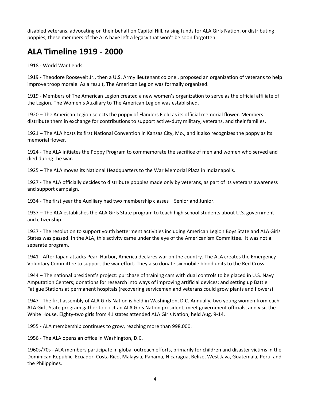disabled veterans, advocating on their behalf on Capitol Hill, raising funds for ALA Girls Nation, or distributing poppies, these members of the ALA have left a legacy that won't be soon forgotten.

# **ALA Timeline 1919 - 2000**

1918 - World War I ends.

1919 - Theodore Roosevelt Jr., then a U.S. Army lieutenant colonel, proposed an organization of veterans to help improve troop morale. As a result, The American Legion was formally organized.

1919 - Members of The American Legion created a new women's organization to serve as the official affiliate of the Legion. The Women's Auxiliary to The American Legion was established.

1920 – The American Legion selects the poppy of Flanders Field as its official memorial flower. Members distribute them in exchange for contributions to support active-duty military, veterans, and their families.

1921 – The ALA hosts its first National Convention in Kansas City, Mo., and it also recognizes the poppy as its memorial flower.

1924 - The ALA initiates the Poppy Program to commemorate the sacrifice of men and women who served and died during the war.

1925 – The ALA moves its National Headquarters to the War Memorial Plaza in Indianapolis.

1927 - The ALA officially decides to distribute poppies made only by veterans, as part of its veterans awareness and support campaign.

1934 - The first year the Auxiliary had two membership classes – Senior and Junior.

1937 – The ALA establishes the ALA Girls State program to teach high school students about U.S. government and citizenship.

1937 - The resolution to support youth betterment activities including American Legion Boys State and ALA Girls States was passed. In the ALA, this activity came under the eye of the Americanism Committee. It was not a separate program.

1941 - After Japan attacks Pearl Harbor, America declares war on the country. The ALA creates the Emergency Voluntary Committee to support the war effort. They also donate six mobile blood units to the Red Cross.

1944 – The national president's project: purchase of training cars with dual controls to be placed in U.S. Navy Amputation Centers; donations for research into ways of improving artificial devices; and setting up Battle Fatigue Stations at permanent hospitals (recovering servicemen and veterans could grow plants and flowers).

1947 - The first assembly of ALA Girls Nation is held in Washington, D.C. Annually, two young women from each ALA Girls State program gather to elect an ALA Girls Nation president, meet government officials, and visit the White House. Eighty-two girls from 41 states attended ALA Girls Nation, held Aug. 9-14.

1955 - ALA membership continues to grow, reaching more than 998,000.

1956 - The ALA opens an office in Washington, D.C.

1960s/70s - ALA members participate in global outreach efforts, primarily for children and disaster victims in the Dominican Republic, Ecuador, Costa Rico, Malaysia, Panama, Nicaragua, Belize, West Java, Guatemala, Peru, and the Philippines.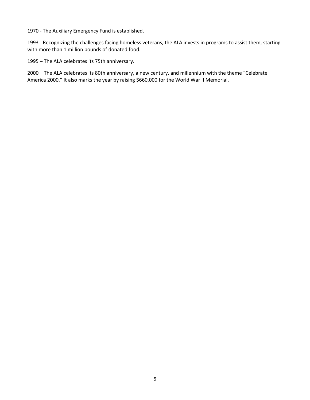1970 - The Auxiliary Emergency Fund is established.

1993 - Recognizing the challenges facing homeless veterans, the ALA invests in programs to assist them, starting with more than 1 million pounds of donated food.

1995 – The ALA celebrates its 75th anniversary.

2000 – The ALA celebrates its 80th anniversary, a new century, and millennium with the theme "Celebrate America 2000." It also marks the year by raising \$660,000 for the World War II Memorial.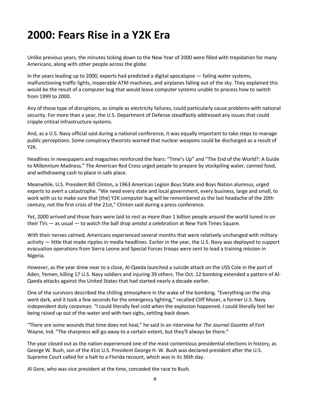# **2000: Fears Rise in a Y2K Era**

Unlike previous years, the minutes ticking down to the New Year of 2000 were filled with trepidation for many Americans, along with other people across the globe.

In the years leading up to 2000, experts had predicted a digital apocalypse — failing water systems, malfunctioning traffic lights, inoperable ATM machines, and airplanes falling out of the sky. They explained this would be the result of a computer bug that would leave computer systems unable to process how to switch from 1999 to 2000.

Any of those type of disruptions, as simple as electricity failures, could particularly cause problems with national security. For more than a year, the U.S. Department of Defense steadfastly addressed any issues that could cripple critical infrastructure systems.

And, as a U.S. Navy official said during a national conference, it was equally important to take steps to manage public perceptions. Some conspiracy theorists warned that nuclear weapons could be discharged as a result of Y2K.

Headlines in newspapers and magazines reinforced the fears: "Time's Up" and "The End of the World?: A Guide to Millennium Madness." The American Red Cross urged people to prepare by stockpiling water, canned food, and withdrawing cash to place in safe place.

Meanwhile, U.S. President Bill Clinton, a 1963 American Legion Boys State and Boys Nation alumnus, urged experts to avert a catastrophe. "We need every state and local government, every business, large and small, to work with us to make sure that [the] Y2K computer bug will be remembered as the last headache of the 20th century, not the first crisis of the 21st," Clinton said during a press conference.

Yet, 2000 arrived and those fears were laid to rest as more than 1 billion people around the world tuned in on their TVs — as usual — to watch the ball drop amidst a celebration at New York Times Square.

With their nerves calmed, Americans experienced several months that were relatively unchanged with military activity — little that made ripples in media headlines. Earlier in the year, the U.S. Navy was deployed to support evacuation operations from Sierra Leone and Special Forces troops were sent to lead a training mission in Nigeria.

However, as the year drew near to a close, Al-Qaeda launched a suicide attack on the USS Cole in the port of Aden, Yemen, killing 17 U.S. Navy soldiers and injuring 39 others. The Oct. 12 bombing extended a pattern of Al-Qaeda attacks against the United States that had started nearly a decade earlier.

One of the survivors described the chilling atmosphere in the wake of the bombing. "Everything on the ship went dark, and it took a few seconds for the emergency lighting," recalled Cliff Moser, a former U.S. Navy independent duty corpsman. "I could literally feel cold when the explosion happened. I could literally feel her being raised up out of the water and with two sighs, settling back down.

"There are some wounds that time does not heal," he said in an interview for *The Journal Gazette* of Fort Wayne, Ind. "The sharpness will go away to a certain extent, but they'll always be there."

The year closed out as the nation experienced one of the most contentious presidential elections in history, as George W. Bush, son of the 41st U.S. President George H. W. Bush was declared president after the U.S. Supreme Court called for a halt to a Florida recount, which was in its 36th day.

Al Gore, who was vice president at the time, conceded the race to Bush.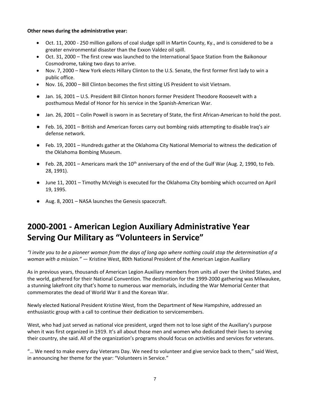#### **Other news during the administrative year:**

- Oct. 11, 2000 250 million gallons of coal sludge spill in Martin County, Ky., and is considered to be a greater environmental disaster than the Exxon Valdez oil spill.
- Oct. 31, 2000 The first crew was launched to the International Space Station from the Baikonour Cosmodrome, taking two days to arrive.
- Nov. 7, 2000 New York elects Hillary Clinton to the U.S. Senate, the first former first lady to win a public office.
- Nov. 16, 2000 Bill Clinton becomes the first sitting US President to visit Vietnam.
- Jan. 16, 2001 U.S. President Bill Clinton honors former President Theodore Roosevelt with a posthumous Medal of Honor for his service in the Spanish-American War.
- Jan. 26, 2001 Colin Powell is sworn in as Secretary of State, the first African-American to hold the post.
- Feb. 16, 2001 British and American forces carry out bombing raids attempting to disable Iraq's air defense network.
- Feb. 19, 2001 Hundreds gather at the Oklahoma City National Memorial to witness the dedication of the Oklahoma Bombing Museum.
- $\bullet$  Feb. 28, 2001 Americans mark the 10<sup>th</sup> anniversary of the end of the Gulf War (Aug. 2, 1990, to Feb. 28, 1991).
- June 11, 2001 Timothy McVeigh is executed for the Oklahoma City bombing which occurred on April 19, 1995.
- Aug. 8, 2001 NASA launches the Genesis spacecraft.

# **2000-2001 - American Legion Auxiliary Administrative Year Serving Our Military as "Volunteers in Service"**

*"I invite you to be a pioneer woman from the days of long ago where nothing could stop the determination of a woman with a mission."* — Kristine West, 80th National President of the American Legion Auxiliary

As in previous years, thousands of American Legion Auxiliary members from units all over the United States, and the world, gathered for their National Convention. The destination for the 1999-2000 gathering was Milwaukee, a stunning lakefront city that's home to numerous war memorials, including the War Memorial Center that commemorates the dead of World War II and the Korean War.

Newly elected National President Kristine West, from the Department of New Hampshire, addressed an enthusiastic group with a call to continue their dedication to servicemembers.

West, who had just served as national vice president, urged them not to lose sight of the Auxiliary's purpose when it was first organized in 1919. It's all about those men and women who dedicated their lives to serving their country, she said. All of the organization's programs should focus on activities and services for veterans.

"… We need to make every day Veterans Day. We need to volunteer and give service back to them," said West, in announcing her theme for the year: "Volunteers in Service."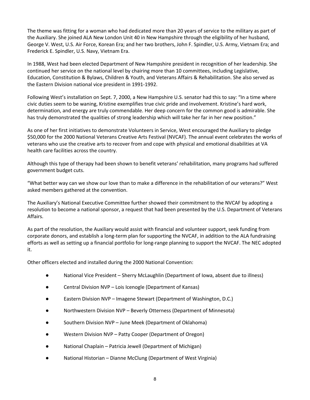The theme was fitting for a woman who had dedicated more than 20 years of service to the military as part of the Auxiliary. She joined ALA New London Unit 40 in New Hampshire through the eligibility of her husband, George V. West, U.S. Air Force, Korean Era; and her two brothers, John F. Spindler, U.S. Army, Vietnam Era; and Frederick E. Spindler, U.S. Navy, Vietnam Era.

In 1988, West had been elected Department of New Hampshire president in recognition of her leadership. She continued her service on the national level by chairing more than 10 committees, including Legislative, Education, Constitution & Bylaws, Children & Youth, and Veterans Affairs & Rehabilitation. She also served as the Eastern Division national vice president in 1991-1992.

Following West's installation on Sept. 7, 2000, a New Hampshire U.S. senator had this to say: "In a time where civic duties seem to be waning, Kristine exemplifies true civic pride and involvement. Kristine's hard work, determination, and energy are truly commendable. Her deep concern for the common good is admirable. She has truly demonstrated the qualities of strong leadership which will take her far in her new position."

As one of her first initiatives to demonstrate Volunteers in Service, West encouraged the Auxiliary to pledge \$50,000 for the 2000 National Veterans Creative Arts Festival (NVCAF). The annual event celebrates the works of veterans who use the creative arts to recover from and cope with physical and emotional disabilities at VA health care facilities across the country.

Although this type of therapy had been shown to benefit veterans' rehabilitation, many programs had suffered government budget cuts.

"What better way can we show our love than to make a difference in the rehabilitation of our veterans?" West asked members gathered at the convention.

The Auxiliary's National Executive Committee further showed their commitment to the NVCAF by adopting a resolution to become a national sponsor, a request that had been presented by the U.S. Department of Veterans Affairs.

As part of the resolution, the Auxiliary would assist with financial and volunteer support, seek funding from corporate donors, and establish a long-term plan for supporting the NVCAF, in addition to the ALA fundraising efforts as well as setting up a financial portfolio for long-range planning to support the NVCAF. The NEC adopted it.

Other officers elected and installed during the 2000 National Convention:

- National Vice President Sherry McLaughlin (Department of Iowa, absent due to illness)
- Central Division NVP Lois Icenogle (Department of Kansas)
- Eastern Division NVP Imagene Stewart (Department of Washington, D.C.)
- Northwestern Division NVP Beverly Otterness (Department of Minnesota)
- Southern Division NVP June Meek (Department of Oklahoma)
- Western Division NVP Patty Cooper (Department of Oregon)
- National Chaplain Patricia Jewell (Department of Michigan)
- National Historian Dianne McClung (Department of West Virginia)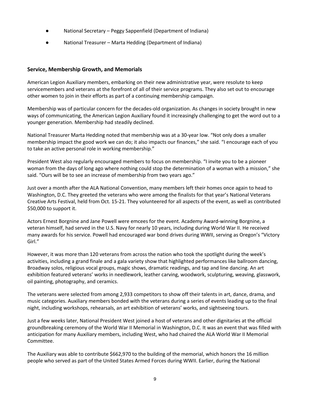- National Secretary Peggy Sappenfield (Department of Indiana)
- National Treasurer Marta Hedding (Department of Indiana)

# **Service, Membership Growth, and Memorials**

American Legion Auxiliary members, embarking on their new administrative year, were resolute to keep servicemembers and veterans at the forefront of all of their service programs. They also set out to encourage other women to join in their efforts as part of a continuing membership campaign.

Membership was of particular concern for the decades-old organization. As changes in society brought in new ways of communicating, the American Legion Auxiliary found it increasingly challenging to get the word out to a younger generation. Membership had steadily declined.

National Treasurer Marta Hedding noted that membership was at a 30-year low. "Not only does a smaller membership impact the good work we can do; it also impacts our finances," she said. "I encourage each of you to take an active personal role in working membership."

President West also regularly encouraged members to focus on membership. "I invite you to be a pioneer woman from the days of long ago where nothing could stop the determination of a woman with a mission," she said. "Ours will be to see an increase of membership from two years ago."

Just over a month after the ALA National Convention, many members left their homes once again to head to Washington, D.C. They greeted the veterans who were among the finalists for that year's National Veterans Creative Arts Festival, held from Oct. 15-21. They volunteered for all aspects of the event, as well as contributed \$50,000 to support it.

Actors Ernest Borgnine and Jane Powell were emcees for the event. Academy Award-winning Borgnine, a veteran himself, had served in the U.S. Navy for nearly 10 years, including during World War II. He received many awards for his service. Powell had encouraged war bond drives during WWII, serving as Oregon's "Victory Girl."

However, it was more than 120 veterans from across the nation who took the spotlight during the week's activities, including a grand finale and a gala variety show that highlighted performances like ballroom dancing, Broadway solos, religious vocal groups, magic shows, dramatic readings, and tap and line dancing. An art exhibition featured veterans' works in needlework, leather carving, woodwork, sculpturing, weaving, glasswork, oil painting, photography, and ceramics.

The veterans were selected from among 2,933 competitors to show off their talents in art, dance, drama, and music categories. Auxiliary members bonded with the veterans during a series of events leading up to the final night, including workshops, rehearsals, an art exhibition of veterans' works, and sightseeing tours.

Just a few weeks later, National President West joined a host of veterans and other dignitaries at the official groundbreaking ceremony of the World War II Memorial in Washington, D.C. It was an event that was filled with anticipation for many Auxiliary members, including West, who had chaired the ALA World War II Memorial Committee.

The Auxiliary was able to contribute \$662,970 to the building of the memorial, which honors the 16 million people who served as part of the United States Armed Forces during WWII. Earlier, during the National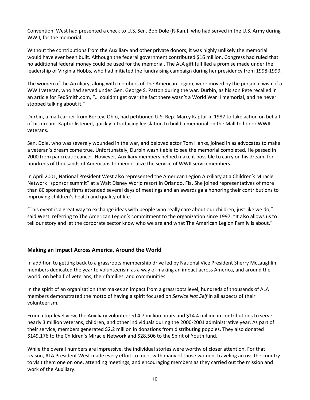Convention, West had presented a check to U.S. Sen. Bob Dole (R-Kan.), who had served in the U.S. Army during WWII, for the memorial.

Without the contributions from the Auxiliary and other private donors, it was highly unlikely the memorial would have ever been built. Although the federal government contributed \$16 million, Congress had ruled that no additional federal money could be used for the memorial. The ALA gift fulfilled a promise made under the leadership of Virginia Hobbs, who had initiated the fundraising campaign during her presidency from 1998-1999.

The women of the Auxiliary, along with members of The American Legion, were moved by the personal wish of a WWII veteran, who had served under Gen. George S. Patton during the war. Durbin, as his son Pete recalled in an article for FedSmith.com, "… couldn't get over the fact there wasn't a World War II memorial, and he never stopped talking about it."

Durbin, a mail carrier from Berkey, Ohio, had petitioned U.S. Rep. Marcy Kaptur in 1987 to take action on behalf of his dream. Kaptur listened, quickly introducing legislation to build a memorial on the Mall to honor WWII veterans.

Sen. Dole, who was severely wounded in the war, and beloved actor Tom Hanks, joined in as advocates to make a veteran's dream come true. Unfortunately, Durbin wasn't able to see the memorial completed. He passed in 2000 from pancreatic cancer. However, Auxiliary members helped make it possible to carry on his dream, for hundreds of thousands of Americans to memorialize the service of WWII servicemembers.

In April 2001, National President West also represented the American Legion Auxiliary at a Children's Miracle Network "sponsor summit" at a Walt Disney World resort in Orlando, Fla. She joined representatives of more than 80 sponsoring firms attended several days of meetings and an awards gala honoring their contributions to improving children's health and quality of life.

"This event is a great way to exchange ideas with people who really care about our children, just like we do," said West, referring to The American Legion's commitment to the organization since 1997. "It also allows us to tell our story and let the corporate sector know who we are and what The American Legion Family is about."

# **Making an Impact Across America, Around the World**

In addition to getting back to a grassroots membership drive led by National Vice President Sherry McLaughlin, members dedicated the year to volunteerism as a way of making an impact across America, and around the world, on behalf of veterans, their families, and communities.

In the spirit of an organization that makes an impact from a grassroots level, hundreds of thousands of ALA members demonstrated the motto of having a spirit focused on *Service Not Self* in all aspects of their volunteerism.

From a top-level view, the Auxiliary volunteered 4.7 million hours and \$14.4 million in contributions to serve nearly 3 million veterans, children, and other individuals during the 2000-2001 administrative year. As part of their service, members generated \$2.2 million in donations from distributing poppies. They also donated \$149,176 to the Children's Miracle Network and \$28,506 to the Spirit of Youth fund.

While the overall numbers are impressive, the individual stories were worthy of closer attention. For that reason, ALA President West made every effort to meet with many of those women, traveling across the country to visit them one on one, attending meetings, and encouraging members as they carried out the mission and work of the Auxiliary.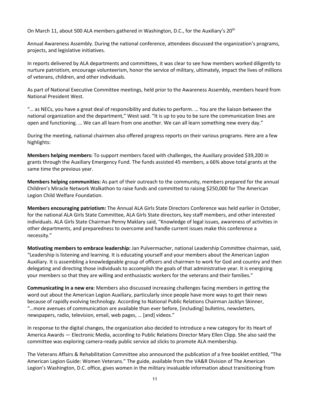On March 11, about 500 ALA members gathered in Washington, D.C., for the Auxiliary's 20<sup>th</sup>

Annual Awareness Assembly. During the national conference, attendees discussed the organization's programs, projects, and legislative initiatives.

In reports delivered by ALA departments and committees, it was clear to see how members worked diligently to nurture patriotism, encourage volunteerism, honor the service of military, ultimately, impact the lives of millions of veterans, children, and other individuals.

As part of National Executive Committee meetings, held prior to the Awareness Assembly, members heard from National President West.

"… as NECs, you have a great deal of responsibility and duties to perform. … You are the liaison between the national organization and the department," West said. "It is up to you to be sure the communication lines are open and functioning. … We can all learn from one another. We can all learn something new every day."

During the meeting, national chairmen also offered progress reports on their various programs. Here are a few highlights:

**Members helping members:** To support members faced with challenges, the Auxiliary provided \$39,200 in grants through the Auxiliary Emergency Fund. The funds assisted 45 members, a 66% above total grants at the same time the previous year.

**Members helping communities:** As part of their outreach to the community, members prepared for the annual Children's Miracle Network Walkathon to raise funds and committed to raising \$250,000 for The American Legion Child Welfare Foundation.

**Members encouraging patriotism:** The Annual ALA Girls State Directors Conference was held earlier in October, for the national ALA Girls State Committee, ALA Girls State directors, key staff members, and other interested individuals. ALA Girls State Chairman Penny Maklary said, "Knowledge of legal issues, awareness of activities in other departments, and preparedness to overcome and handle current issues make this conference a necessity."

**Motivating members to embrace leadership:** Jan Pulvermacher, national Leadership Committee chairman, said, "Leadership is listening and learning. It is educating yourself and your members about the American Legion Auxiliary. It is assembling a knowledgeable group of officers and chairmen to work for God and country and then delegating and directing those individuals to accomplish the goals of that administrative year. It is energizing your members so that they are willing and enthusiastic workers for the veterans and their families."

**Communicating in a new era:** Members also discussed increasing challenges facing members in getting the word out about the American Legion Auxiliary, particularly since people have more ways to get their news because of rapidly evolving technology. According to National Public Relations Chairman Jacklyn Skinner, "…more avenues of communication are available than ever before, [including] bulletins, newsletters, newspapers, radio, television, email, web pages, … [and] videos."

In response to the digital changes, the organization also decided to introduce a new category for its Heart of America Awards — Electronic Media, according to Public Relations Director Mary Ellen Clipp. She also said the committee was exploring camera-ready public service ad slicks to promote ALA membership.

The Veterans Affairs & Rehabilitation Committee also announced the publication of a free booklet entitled, "The American Legion Guide: Women Veterans." The guide, available from the VA&R Division of The American Legion's Washington, D.C. office, gives women in the military invaluable information about transitioning from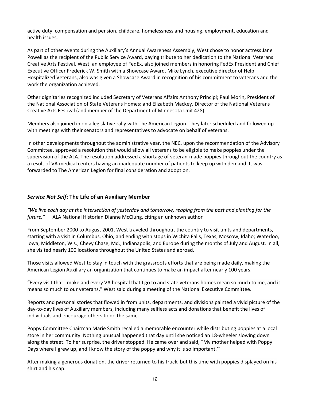active duty, compensation and pension, childcare, homelessness and housing, employment, education and health issues.

As part of other events during the Auxiliary's Annual Awareness Assembly, West chose to honor actress Jane Powell as the recipient of the Public Service Award, paying tribute to her dedication to the National Veterans Creative Arts Festival. West, an employee of FedEx, also joined members in honoring FedEx President and Chief Executive Officer Frederick W. Smith with a Showcase Award. Mike Lynch, executive director of Help Hospitalized Veterans, also was given a Showcase Award in recognition of his commitment to veterans and the work the organization achieved.

Other dignitaries recognized included Secretary of Veterans Affairs Anthony Principi; Paul Morin, President of the National Association of State Veterans Homes; and Elizabeth Mackey, Director of the National Veterans Creative Arts Festival (and member of the Department of Minnesota Unit 428).

Members also joined in on a legislative rally with The American Legion. They later scheduled and followed up with meetings with their senators and representatives to advocate on behalf of veterans.

In other developments throughout the administrative year, the NEC, upon the recommendation of the Advisory Committee, approved a resolution that would allow all veterans to be eligible to make poppies under the supervision of the ALA. The resolution addressed a shortage of veteran-made poppies throughout the country as a result of VA medical centers having an inadequate number of patients to keep up with demand. It was forwarded to The American Legion for final consideration and adoption.

# *Service Not Self***: The Life of an Auxiliary Member**

*"We live each day at the intersection of yesterday and tomorrow, reaping from the past and planting for the future."* — ALA National Historian Dianne McClung, citing an unknown author

From September 2000 to August 2001, West traveled throughout the country to visit units and departments, starting with a visit in Columbus, Ohio, and ending with stops in Wichita Falls, Texas; Moscow, Idaho; Waterloo, Iowa; Middleton, Wis.; Chevy Chase, Md.; Indianapolis; and Europe during the months of July and August. In all, she visited nearly 100 locations throughout the United States and abroad.

Those visits allowed West to stay in touch with the grassroots efforts that are being made daily, making the American Legion Auxiliary an organization that continues to make an impact after nearly 100 years.

"Every visit that I make and every VA hospital that I go to and state veterans homes mean so much to me, and it means so much to our veterans," West said during a meeting of the National Executive Committee.

Reports and personal stories that flowed in from units, departments, and divisions painted a vivid picture of the day-to-day lives of Auxiliary members, including many selfless acts and donations that benefit the lives of individuals and encourage others to do the same.

Poppy Committee Chairman Marie Smith recalled a memorable encounter while distributing poppies at a local store in her community. Nothing unusual happened that day until she noticed an 18-wheeler slowing down along the street. To her surprise, the driver stopped. He came over and said, "My mother helped with Poppy Days where I grew up, and I know the story of the poppy and why it is so important.'"

After making a generous donation, the driver returned to his truck, but this time with poppies displayed on his shirt and his cap.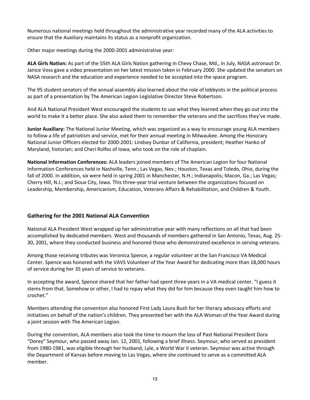Numerous national meetings held throughout the administrative year recorded many of the ALA activities to ensure that the Auxiliary maintains its status as a nonprofit organization.

Other major meetings during the 2000-2001 administrative year:

**ALA Girls Nation:** As part of the 55th ALA Girls Nation gathering in Chevy Chase, Md., in July, NASA astronaut Dr. Janice Voss gave a video presentation on her latest mission taken in February 2000. She updated the senators on NASA research and the education and experience needed to be accepted into the space program.

The 95 student senators of the annual assembly also learned about the role of lobbyists in the political process as part of a presentation by The American Legion Legislative Director Steve Robertson.

And ALA National President West encouraged the students to use what they learned when they go out into the world to make it a better place. She also asked them to remember the veterans and the sacrifices they've made.

**Junior Auxiliary:** The National Junior Meeting, which was organized as a way to encourage young ALA members to follow a life of patriotism and service, met for their annual meeting in Milwaukee. Among the Honorary National Junior Officers elected for 2000-2001: Lindsey Dunbar of California, president; Heather Hanko of Maryland, historian; and Cheri Rolfes of Iowa, who took on the role of chaplain.

**National Information Conferences:** ALA leaders joined members of The American Legion for four National Information Conferences held in Nashville, Tenn.; Las Vegas, Nev.; Houston, Texas and Toledo, Ohio, during the fall of 2000. In addition, six were held in spring 2001 in Manchester, N.H.; Indianapolis; Macon, Ga.; Las Vegas; Cherry Hill, N.J.; and Sioux City, Iowa. This three-year trial venture between the organizations focused on Leadership, Membership, Americanism, Education, Veterans Affairs & Rehabilitation, and Children & Youth.

# **Gathering for the 2001 National ALA Convention**

National ALA President West wrapped up her administrative year with many reflections on all that had been accomplished by dedicated members. West and thousands of members gathered in San Antonio, Texas, Aug. 25- 30, 2001, where they conducted business and honored those who demonstrated excellence in serving veterans.

Among those receiving tributes was Veronica Spence, a regular volunteer at the San Francisco VA Medical Center. Spence was honored with the VAVS Volunteer of the Year Award for dedicating more than 18,000 hours of service during her 35 years of service to veterans.

In accepting the award, Spence shared that her father had spent three years in a VA medical center. "I guess it stems from that. Somehow or other, I had to repay what they did for him because they even taught him how to crochet."

Members attending the convention also honored First Lady Laura Bush for her literacy advocacy efforts and initiatives on behalf of the nation's children. They presented her with the ALA Woman of the Year Award during a joint session with The American Legion.

During the convention, ALA members also took the time to mourn the loss of Past National President Dora "Dorey" Seymour, who passed away Jan. 12, 2001, following a brief illness. Seymour, who served as president from 1980-1981, was eligible through her husband, Lyle, a World War II veteran. Seymour was active through the Department of Kansas before moving to Las Vegas, where she continued to serve as a committed ALA member.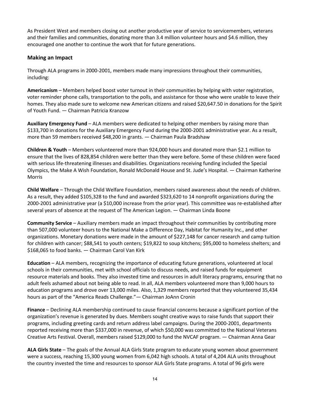As President West and members closing out another productive year of service to servicemembers, veterans and their families and communities, donating more than 3.4 million volunteer hours and \$4.6 million, they encouraged one another to continue the work that for future generations.

# **Making an Impact**

Through ALA programs in 2000-2001, members made many impressions throughout their communities, including:

**Americanism** – Members helped boost voter turnout in their communities by helping with voter registration, voter reminder phone calls, transportation to the polls, and assistance for those who were unable to leave their homes. They also made sure to welcome new American citizens and raised \$20,647.50 in donations for the Spirit of Youth Fund. — Chairman Patricia Kranzow

**Auxiliary Emergency Fund** – ALA members were dedicated to helping other members by raising more than \$133,700 in donations for the Auxiliary Emergency Fund during the 2000-2001 administrative year. As a result, more than 59 members received \$48,200 in grants. — Chairman Paula Bradshaw

**Children & Youth** – Members volunteered more than 924,000 hours and donated more than \$2.1 million to ensure that the lives of 828,854 children were better than they were before. Some of these children were faced with serious life-threatening illnesses and disabilities. Organizations receiving funding included the Special Olympics, the Make A Wish Foundation, Ronald McDonald House and St. Jude's Hospital. — Chairman Katherine Morris

**Child Welfare** – Through the Child Welfare Foundation, members raised awareness about the needs of children. As a result, they added \$105,328 to the fund and awarded \$323,620 to 14 nonprofit organizations during the 2000-2001 administrative year (a \$10,000 increase from the prior year). This committee was re-established after several years of absence at the request of The American Legion. — Chairman Linda Boone

**Community Service** – Auxiliary members made an impact throughout their communities by contributing more than 507,000 volunteer hours to the National Make a Difference Day, Habitat for Humanity Inc., and other organizations. Monetary donations were made in the amount of \$227,148 for cancer research and camp tuition for children with cancer; \$88,541 to youth centers; \$19,822 to soup kitchens; \$95,000 to homeless shelters; and \$168,065 to food banks. — Chairman Carol Van Kirk

**Education** – ALA members, recognizing the importance of educating future generations, volunteered at local schools in their communities, met with school officials to discuss needs, and raised funds for equipment resource materials and books. They also invested time and resources in adult literacy programs, ensuring that no adult feels ashamed about not being able to read. In all, ALA members volunteered more than 9,000 hours to education programs and drove over 13,000 miles. Also, 1,329 members reported that they volunteered 35,434 hours as part of the "America Reads Challenge."— Chairman JoAnn Cronin

**Finance** – Declining ALA membership continued to cause financial concerns because a significant portion of the organization's revenue is generated by dues. Members sought creative ways to raise funds that support their programs, including greeting cards and return address label campaigns. During the 2000-2001, departments reported receiving more than \$337,000 in revenue, of which \$50,000 was committed to the National Veterans Creative Arts Festival. Overall, members raised \$129,000 to fund the NVCAF program. — Chairman Anna Gear

**ALA Girls State** – The goals of the Annual ALA Girls State program to educate young women about government were a success, reaching 15,300 young women from 6,042 high schools. A total of 4,204 ALA units throughout the country invested the time and resources to sponsor ALA Girls State programs. A total of 96 girls were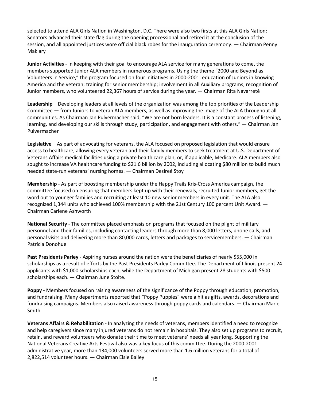selected to attend ALA Girls Nation in Washington, D.C. There were also two firsts at this ALA Girls Nation: Senators advanced their state flag during the opening processional and retired it at the conclusion of the session, and all appointed justices wore official black robes for the inauguration ceremony. — Chairman Penny Maklary

**Junior Activities** - In keeping with their goal to encourage ALA service for many generations to come, the members supported Junior ALA members in numerous programs. Using the theme "2000 and Beyond as Volunteers in Service," the program focused on four initiatives in 2000-2001: education of Juniors in knowing America and the veteran; training for senior membership; involvement in all Auxiliary programs; recognition of Junior members, who volunteered 22,367 hours of service during the year. — Chairman Rita Navarreté

**Leadership** – Developing leaders at all levels of the organization was among the top priorities of the Leadership Committee — from Juniors to veteran ALA members, as well as improving the image of the ALA throughout all communities. As Chairman Jan Pulvermacher said, "We are not born leaders. It is a constant process of listening, learning, and developing our skills through study, participation, and engagement with others." — Chairman Jan Pulvermacher

**Legislative** – As part of advocating for veterans, the ALA focused on proposed legislation that would ensure access to healthcare, allowing every veteran and their family members to seek treatment at U.S. Department of Veterans Affairs medical facilities using a private health care plan, or, if applicable, Medicare. ALA members also sought to increase VA healthcare funding to \$21.6 billion by 2002, including allocating \$80 million to build much needed state-run veterans' nursing homes. — Chairman Desireé Stoy

**Membership** - As part of boosting membership under the Happy Trails Kris-Cross America campaign, the committee focused on ensuring that members kept up with their renewals, recruited Junior members, get the word out to younger families and recruiting at least 10 new senior members in every unit. The ALA also recognized 1,344 units who achieved 100% membership with the 21st Century 100 percent Unit Award. — Chairman Carlene Ashworth

**National Security** - The committee placed emphasis on programs that focused on the plight of military personnel and their families, including contacting leaders through more than 8,000 letters, phone calls, and personal visits and delivering more than 80,000 cards, letters and packages to servicemembers. — Chairman Patricia Donohue

**Past Presidents Parley** - Aspiring nurses around the nation were the beneficiaries of nearly \$55,000 in scholarships as a result of efforts by the Past Presidents Parley Committee. The Department of Illinois present 24 applicants with \$1,000 scholarships each, while the Department of Michigan present 28 students with \$500 scholarships each. — Chairman June Stolte.

**Poppy** - Members focused on raising awareness of the significance of the Poppy through education, promotion, and fundraising. Many departments reported that "Poppy Puppies" were a hit as gifts, awards, decorations and fundraising campaigns. Members also raised awareness through poppy cards and calendars. — Chairman Marie Smith

**Veterans Affairs & Rehabilitation** - In analyzing the needs of veterans, members identified a need to recognize and help caregivers since many injured veterans do not remain in hospitals. They also set up programs to recruit, retain, and reward volunteers who donate their time to meet veterans' needs all year long. Supporting the National Veterans Creative Arts Festival also was a key focus of this committee. During the 2000-2001 administrative year, more than 134,000 volunteers served more than 1.6 million veterans for a total of 2,822,514 volunteer hours. — Chairman Elsie Bailey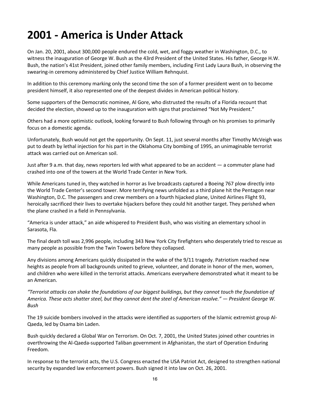# **2001 - America is Under Attack**

On Jan. 20, 2001, about 300,000 people endured the cold, wet, and foggy weather in Washington, D.C., to witness the inauguration of George W. Bush as the 43rd President of the United States. His father, George H.W. Bush, the nation's 41st President, joined other family members, including First Lady Laura Bush, in observing the swearing-in ceremony administered by Chief Justice William Rehnquist.

In addition to this ceremony marking only the second time the son of a former president went on to become president himself, it also represented one of the deepest divides in American political history.

Some supporters of the Democratic nominee, Al Gore, who distrusted the results of a Florida recount that decided the election, showed up to the inauguration with signs that proclaimed "Not My President."

Others had a more optimistic outlook, looking forward to Bush following through on his promises to primarily focus on a domestic agenda.

Unfortunately, Bush would not get the opportunity. On Sept. 11, just several months after Timothy McVeigh was put to death by lethal injection for his part in the Oklahoma City bombing of 1995, an unimaginable terrorist attack was carried out on American soil.

Just after 9 a.m. that day, news reporters led with what appeared to be an accident — a commuter plane had crashed into one of the towers at the World Trade Center in New York.

While Americans tuned in, they watched in horror as live broadcasts captured a Boeing 767 plow directly into the World Trade Center's second tower. More terrifying news unfolded as a third plane hit the Pentagon near Washington, D.C. The passengers and crew members on a fourth hijacked plane, United Airlines Flight 93, heroically sacrificed their lives to overtake hijackers before they could hit another target. They perished when the plane crashed in a field in Pennsylvania.

"America is under attack," an aide whispered to President Bush, who was visiting an elementary school in Sarasota, Fla.

The final death toll was 2,996 people, including 343 New York City firefighters who desperately tried to rescue as many people as possible from the Twin Towers before they collapsed.

Any divisions among Americans quickly dissipated in the wake of the 9/11 tragedy. Patriotism reached new heights as people from all backgrounds united to grieve, volunteer, and donate in honor of the men, women, and children who were killed in the terrorist attacks. Americans everywhere demonstrated what it meant to be an American.

*"Terrorist attacks can shake the foundations of our biggest buildings, but they cannot touch the foundation of America. These acts shatter steel, but they cannot dent the steel of American resolve." — President George W. Bush*

The 19 suicide bombers involved in the attacks were identified as supporters of the Islamic extremist group Al-Qaeda, led by Osama bin Laden.

Bush quickly declared a Global War on Terrorism. On Oct. 7, 2001, the United States joined other countries in overthrowing the Al-Qaeda-supported Taliban government in Afghanistan, the start of Operation Enduring Freedom.

In response to the terrorist acts, the U.S. Congress enacted the USA Patriot Act, designed to strengthen national security by expanded law enforcement powers. Bush signed it into law on Oct. 26, 2001.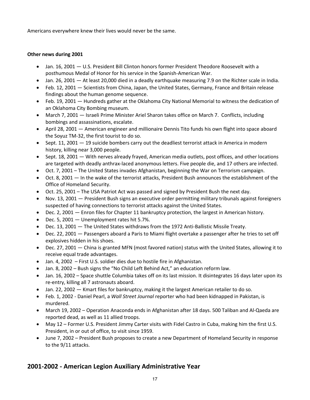Americans everywhere knew their lives would never be the same.

# **Other news during 2001**

- Jan. 16, 2001 U.S. President Bill Clinton honors former President Theodore Roosevelt with a posthumous Medal of Honor for his service in the Spanish-American War.
- Jan. 26, 2001 At least 20,000 died in a deadly earthquake measuring 7.9 on the Richter scale in India.
- Feb. 12, 2001 Scientists from China, Japan, the United States, Germany, France and Britain release findings about the human genome sequence.
- Feb. 19, 2001 Hundreds gather at the Oklahoma City National Memorial to witness the dedication of an Oklahoma City Bombing museum.
- March 7, 2001 Israeli Prime Minister Ariel Sharon takes office on March 7. Conflicts, including bombings and assassinations, escalate.
- April 28, 2001 American engineer and millionaire Dennis Tito funds his own flight into space aboard the Soyuz TM-32, the first tourist to do so.
- Sept. 11, 2001 19 suicide bombers carry out the deadliest terrorist attack in America in modern history, killing near 3,000 people.
- Sept. 18, 2001 With nerves already frayed, American media outlets, post offices, and other locations are targeted with deadly anthrax-laced anonymous letters. Five people die, and 17 others are infected.
- Oct. 7, 2001 The United States invades Afghanistan, beginning the War on Terrorism campaign.
- Oct. 8, 2001 In the wake of the terrorist attacks, President Bush announces the establishment of the Office of Homeland Security.
- Oct. 25, 2001 The USA Patriot Act was passed and signed by President Bush the next day.
- Nov. 13, 2001 President Bush signs an executive order permitting military tribunals against foreigners suspected of having connections to terrorist attacks against the United States.
- Dec. 2, 2001 Enron files for Chapter 11 bankruptcy protection, the largest in American history.
- Dec. 5, 2001 Unemployment rates hit 5.7%.
- Dec. 13, 2001 The United States withdraws from the 1972 Anti-Ballistic Missile Treaty.
- Dec. 22, 2001 Passengers aboard a Paris to Miami flight overtake a passenger after he tries to set off explosives hidden in his shoes.
- Dec. 27, 2001 China is granted MFN (most favored nation) status with the United States, allowing it to receive equal trade advantages.
- Jan. 4, 2002 First U.S. soldier dies due to hostile fire in Afghanistan.
- Jan. 8, 2002 Bush signs the "No Child Left Behind Act," an education reform law.
- Jan. 16, 2002 Space shuttle Columbia takes off on its last mission. It disintegrates 16 days later upon its re-entry, killing all 7 astronauts aboard.
- Jan. 22, 2002 Kmart files for bankruptcy, making it the largest American retailer to do so.
- Feb. 1, 2002 Daniel Pearl, a *Wall Street Journal* reporter who had been kidnapped in Pakistan, is murdered.
- March 19, 2002 Operation Anaconda ends in Afghanistan after 18 days. 500 Taliban and Al-Qaeda are reported dead, as well as 11 allied troops.
- May 12 Former U.S. President Jimmy Carter visits with Fidel Castro in Cuba, making him the first U.S. President, in or out of office, to visit since 1959.
- June 7, 2002 President Bush proposes to create a new Department of Homeland Security in response to the 9/11 attacks.

# **2001-2002 - American Legion Auxiliary Administrative Year**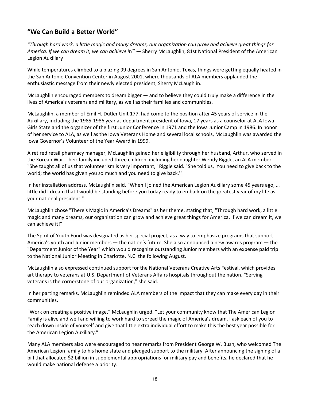# **"We Can Build a Better World"**

*"Through hard work, a little magic and many dreams, our organization can grow and achieve great things for America. If we can dream it, we can achieve it!"* — Sherry McLaughlin, 81st National President of the American Legion Auxiliary

While temperatures climbed to a blazing 99 degrees in San Antonio, Texas, things were getting equally heated in the San Antonio Convention Center in August 2001, where thousands of ALA members applauded the enthusiastic message from their newly elected president, Sherry McLaughlin.

McLaughlin encouraged members to dream bigger — and to believe they could truly make a difference in the lives of America's veterans and military, as well as their families and communities.

McLaughlin, a member of Emil H. Dutler Unit 177, had come to the position after 45 years of service in the Auxiliary, including the 1985-1986 year as department president of Iowa, 17 years as a counselor at ALA Iowa Girls State and the organizer of the first Junior Conference in 1971 and the Iowa Junior Camp in 1986. In honor of her service to ALA, as well as the Iowa Veterans Home and several local schools, McLaughlin was awarded the Iowa Governor's Volunteer of the Year Award in 1999.

A retired retail pharmacy manager, McLaughlin gained her eligibility through her husband, Arthur, who served in the Korean War. Their family included three children, including her daughter Wendy Riggle, an ALA member. "She taught all of us that volunteerism is very important," Riggle said. "She told us, 'You need to give back to the world; the world has given you so much and you need to give back.'"

In her installation address, McLaughlin said, "When I joined the American Legion Auxiliary some 45 years ago, … little did I dream that I would be standing before you today ready to embark on the greatest year of my life as your national president."

McLaughlin chose "There's Magic in America's Dreams" as her theme, stating that, "Through hard work, a little magic and many dreams, our organization can grow and achieve great things for America. If we can dream it, we can achieve it!"

The Spirit of Youth Fund was designated as her special project, as a way to emphasize programs that support America's youth and Junior members — the nation's future. She also announced a new awards program — the "Department Junior of the Year" which would recognize outstanding Junior members with an expense paid trip to the National Junior Meeting in Charlotte, N.C. the following August.

McLaughlin also expressed continued support for the National Veterans Creative Arts Festival, which provides art therapy to veterans at U.S. Department of Veterans Affairs hospitals throughout the nation. "Serving veterans is the cornerstone of our organization," she said.

In her parting remarks, McLaughlin reminded ALA members of the impact that they can make every day in their communities.

"Work on creating a positive image," McLaughlin urged. "Let your community know that The American Legion Family is alive and well and willing to work hard to spread the magic of America's dream. I ask each of you to reach down inside of yourself and give that little extra individual effort to make this the best year possible for the American Legion Auxiliary."

Many ALA members also were encouraged to hear remarks from President George W. Bush, who welcomed The American Legion family to his home state and pledged support to the military. After announcing the signing of a bill that allocated \$2 billion in supplemental appropriations for military pay and benefits, he declared that he would make national defense a priority.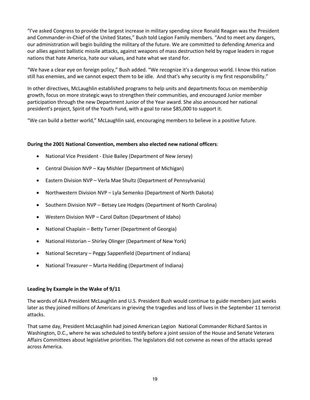"I've asked Congress to provide the largest increase in military spending since Ronald Reagan was the President and Commander-in-Chief of the United States," Bush told Legion Family members. "And to meet any dangers, our administration will begin building the military of the future. We are committed to defending America and our allies against ballistic missile attacks, against weapons of mass destruction held by rogue leaders in rogue nations that hate America, hate our values, and hate what we stand for.

"We have a clear eye on foreign policy," Bush added. "We recognize it's a dangerous world. I know this nation still has enemies, and we cannot expect them to be idle. And that's why security is my first responsibility."

In other directives, McLaughlin established programs to help units and departments focus on membership growth, focus on more strategic ways to strengthen their communities, and encouraged Junior member participation through the new Department Junior of the Year award. She also announced her national president's project, Spirit of the Youth Fund, with a goal to raise \$85,000 to support it.

"We can build a better world," McLaughlin said, encouraging members to believe in a positive future.

### **During the 2001 National Convention, members also elected new national officers**:

- National Vice President Elsie Bailey (Department of New Jersey)
- Central Division NVP Kay Mishler (Department of Michigan)
- Eastern Division NVP Verla Mae Shultz (Department of Pennsylvania)
- Northwestern Division NVP Lyla Semenko (Department of North Dakota)
- Southern Division NVP Betsey Lee Hodges (Department of North Carolina)
- Western Division NVP Carol Dalton (Department of Idaho)
- National Chaplain Betty Turner (Department of Georgia)
- National Historian Shirley Olinger (Department of New York)
- National Secretary Peggy Sappenfield (Department of Indiana)
- National Treasurer Marta Hedding (Department of Indiana)

#### **Leading by Example in the Wake of 9/11**

The words of ALA President McLaughlin and U.S. President Bush would continue to guide members just weeks later as they joined millions of Americans in grieving the tragedies and loss of lives in the September 11 terrorist attacks.

That same day, President McLaughlin had joined American Legion National Commander Richard Santos in Washington, D.C., where he was scheduled to testify before a joint session of the House and Senate Veterans Affairs Committees about legislative priorities. The legislators did not convene as news of the attacks spread across America.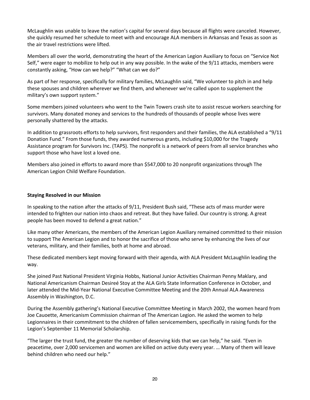McLaughlin was unable to leave the nation's capital for several days because all flights were canceled. However, she quickly resumed her schedule to meet with and encourage ALA members in Arkansas and Texas as soon as the air travel restrictions were lifted.

Members all over the world, demonstrating the heart of the American Legion Auxiliary to focus on "Service Not Self," were eager to mobilize to help out in any way possible. In the wake of the 9/11 attacks, members were constantly asking, "How can we help?" "What can we do?"

As part of her response, specifically for military families, McLaughlin said, "We volunteer to pitch in and help these spouses and children wherever we find them, and whenever we're called upon to supplement the military's own support system."

Some members joined volunteers who went to the Twin Towers crash site to assist rescue workers searching for survivors. Many donated money and services to the hundreds of thousands of people whose lives were personally shattered by the attacks.

In addition to grassroots efforts to help survivors, first responders and their families, the ALA established a "9/11 Donation Fund." From those funds, they awarded numerous grants, including \$10,000 for the Tragedy Assistance program for Survivors Inc. (TAPS). The nonprofit is a network of peers from all service branches who support those who have lost a loved one.

Members also joined in efforts to award more than \$547,000 to 20 nonprofit organizations through The American Legion Child Welfare Foundation.

### **Staying Resolved in our Mission**

In speaking to the nation after the attacks of 9/11, President Bush said, "These acts of mass murder were intended to frighten our nation into chaos and retreat. But they have failed. Our country is strong. A great people has been moved to defend a great nation."

Like many other Americans, the members of the American Legion Auxiliary remained committed to their mission to support The American Legion and to honor the sacrifice of those who serve by enhancing the lives of our veterans, military, and their families, both at home and abroad.

These dedicated members kept moving forward with their agenda, with ALA President McLaughlin leading the way.

She joined Past National President Virginia Hobbs, National Junior Activities Chairman Penny Maklary, and National Americanism Chairman Desireé Stoy at the ALA Girls State Information Conference in October, and later attended the Mid-Year National Executive Committee Meeting and the 20th Annual ALA Awareness Assembly in Washington, D.C.

During the Assembly gathering's National Executive Committee Meeting in March 2002, the women heard from Joe Cauoette, Americanism Commission chairman of The American Legion. He asked the women to help Legionnaires in their commitment to the children of fallen servicemembers, specifically in raising funds for the Legion's September 11 Memorial Scholarship.

"The larger the trust fund, the greater the number of deserving kids that we can help," he said. "Even in peacetime, over 2,000 servicemen and women are killed on active duty every year. … Many of them will leave behind children who need our help."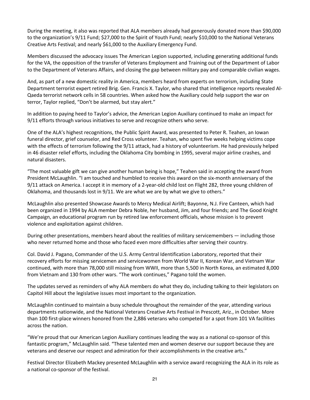During the meeting, it also was reported that ALA members already had generously donated more than \$90,000 to the organization's 9/11 Fund; \$27,000 to the Spirit of Youth Fund; nearly \$10,000 to the National Veterans Creative Arts Festival; and nearly \$61,000 to the Auxiliary Emergency Fund.

Members discussed the advocacy issues The American Legion supported, including generating additional funds for the VA, the opposition of the transfer of Veterans Employment and Training out of the Department of Labor to the Department of Veterans Affairs, and closing the gap between military pay and comparable civilian wages.

And, as part of a new domestic reality in America, members heard from experts on terrorism, including State Department terrorist expert retired Brig. Gen. Francis X. Taylor, who shared that intelligence reports revealed Al-Qaeda terrorist network cells in 58 countries. When asked how the Auxiliary could help support the war on terror, Taylor replied, "Don't be alarmed, but stay alert."

In addition to paying heed to Taylor's advice, the American Legion Auxiliary continued to make an impact for 9/11 efforts through various initiatives to serve and recognize others who serve.

One of the ALA's highest recognitions, the Public Spirit Award, was presented to Peter R. Teahen, an Iowan funeral director, grief counselor, and Red Cross volunteer. Teahan, who spent five weeks helping victims cope with the effects of terrorism following the 9/11 attack, had a history of volunteerism. He had previously helped in 46 disaster relief efforts, including the Oklahoma City bombing in 1995, several major airline crashes, and natural disasters.

"The most valuable gift we can give another human being is hope," Teahen said in accepting the award from President McLaughlin. "I am touched and humbled to receive this award on the six-month anniversary of the 9/11 attack on America. I accept it in memory of a 2-year-old child lost on Flight 282, three young children of Oklahoma, and thousands lost in 9/11. We are what we are by what we give to others."

McLaughlin also presented Showcase Awards to Mercy Medical Airlift; Bayonne, N.J. Fire Canteen, which had been organized in 1994 by ALA member Debra Noble, her husband, Jim, and four friends; and The Good Knight Campaign, an educational program run by retired law enforcement officials, whose mission is to prevent violence and exploitation against children.

During other presentations, members heard about the realities of military servicemembers — including those who never returned home and those who faced even more difficulties after serving their country.

Col. David J. Pagano, Commander of the U.S. Army Central Identification Laboratory, reported that their recovery efforts for missing servicemen and servicewomen from World War II, Korean War, and Vietnam War continued, with more than 78,000 still missing from WWII, more than 5,500 in North Korea, an estimated 8,000 from Vietnam and 130 from other wars. "The work continues," Pagano told the women.

The updates served as reminders of why ALA members do what they do, including talking to their legislators on Capitol Hill about the legislative issues most important to the organization.

McLaughlin continued to maintain a busy schedule throughout the remainder of the year, attending various departments nationwide, and the National Veterans Creative Arts Festival in Prescott, Ariz., in October. More than 100 first-place winners honored from the 2,886 veterans who competed for a spot from 101 VA facilities across the nation.

"We're proud that our American Legion Auxiliary continues leading the way as a national co-sponsor of this fantastic program," McLaughlin said. "These talented men and women deserve our support because they are veterans and deserve our respect and admiration for their accomplishments in the creative arts."

Festival Director Elizabeth Mackey presented McLaughlin with a service award recognizing the ALA in its role as a national co-sponsor of the festival.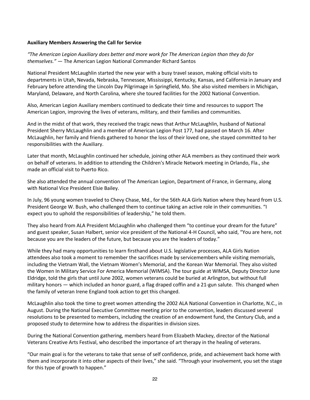### **Auxiliary Members Answering the Call for Service**

*"The American Legion Auxiliary does better and more work for The American Legion than they do for themselves."* — The American Legion National Commander Richard Santos

National President McLaughlin started the new year with a busy travel season, making official visits to departments in Utah, Nevada, Nebraska, Tennessee, Mississippi, Kentucky, Kansas, and California in January and February before attending the Lincoln Day Pilgrimage in Springfield, Mo. She also visited members in Michigan, Maryland, Delaware, and North Carolina, where she toured facilities for the 2002 National Convention.

Also, American Legion Auxiliary members continued to dedicate their time and resources to support The American Legion, improving the lives of veterans, military, and their families and communities.

And in the midst of that work, they received the tragic news that Arthur McLaughlin, husband of National President Sherry McLaughlin and a member of American Legion Post 177, had passed on March 16. After McLaughlin, her family and friends gathered to honor the loss of their loved one, she stayed committed to her responsibilities with the Auxiliary.

Later that month, McLaughlin continued her schedule, joining other ALA members as they continued their work on behalf of veterans. In addition to attending the Children's Miracle Network meeting in Orlando, Fla., she made an official visit to Puerto Rico.

She also attended the annual convention of The American Legion, Department of France, in Germany, along with National Vice President Elsie Bailey.

In July, 96 young women traveled to Chevy Chase, Md., for the 56th ALA Girls Nation where they heard from U.S. President George W. Bush, who challenged them to continue taking an active role in their communities. "I expect you to uphold the responsibilities of leadership," he told them.

They also heard from ALA President McLaughlin who challenged them "to continue your dream for the future" and guest speaker, Susan Halbert, senior vice president of the National 4-H Council, who said, "You are here, not because you are the leaders of the future, but because you are the leaders of today."

While they had many opportunities to learn firsthand about U.S. legislative processes, ALA Girls Nation attendees also took a moment to remember the sacrifices made by servicemembers while visiting memorials, including the Vietnam Wall, the Vietnam Women's Memorial, and the Korean War Memorial. They also visited the Women In Military Service For America Memorial (WIMSA). The tour guide at WIMSA, Deputy Director June Eldridge, told the girls that until June 2002, women veterans could be buried at Arlington, but without full military honors — which included an honor guard, a flag draped coffin and a 21-gun salute. This changed when the family of veteran Irene England took action to get this changed.

McLaughlin also took the time to greet women attending the 2002 ALA National Convention in Charlotte, N.C., in August. During the National Executive Committee meeting prior to the convention, leaders discussed several resolutions to be presented to members, including the creation of an endowment fund, the Century Club, and a proposed study to determine how to address the disparities in division sizes.

During the National Convention gathering, members heard from Elizabeth Mackey, director of the National Veterans Creative Arts Festival, who described the importance of art therapy in the healing of veterans.

"Our main goal is for the veterans to take that sense of self confidence, pride, and achievement back home with them and incorporate it into other aspects of their lives," she said. "Through your involvement, you set the stage for this type of growth to happen."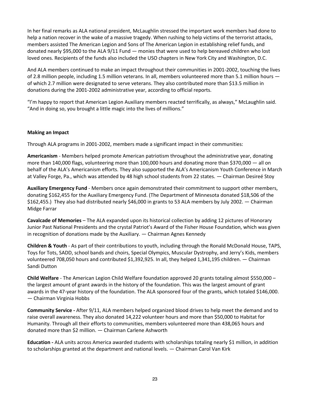In her final remarks as ALA national president, McLaughlin stressed the important work members had done to help a nation recover in the wake of a massive tragedy. When rushing to help victims of the terrorist attacks, members assisted The American Legion and Sons of The American Legion in establishing relief funds, and donated nearly \$95,000 to the ALA 9/11 Fund — monies that were used to help bereaved children who lost loved ones. Recipients of the funds also included the USO chapters in New York City and Washington, D.C.

And ALA members continued to make an impact throughout their communities in 2001-2002, touching the lives of 2.8 million people, including 1.5 million veterans. In all, members volunteered more than 5.1 million hours of which 2.7 million were designated to serve veterans. They also contributed more than \$13.5 million in donations during the 2001-2002 administrative year, according to official reports.

"I'm happy to report that American Legion Auxiliary members reacted terrifically, as always," McLaughlin said. "And in doing so, you brought a little magic into the lives of millions."

#### **Making an Impact**

Through ALA programs in 2001-2002, members made a significant impact in their communities:

**Americanism** - Members helped promote American patriotism throughout the administrative year, donating more than 140,000 flags, volunteering more than 100,000 hours and donating more than \$370,000 — all on behalf of the ALA's Americanism efforts. They also supported the ALA's Americanism Youth Conference in March at Valley Forge, Pa., which was attended by 48 high school students from 22 states. — Chairman Desireé Stoy

**Auxiliary Emergency Fund** - Members once again demonstrated their commitment to support other members, donating \$162,455 for the Auxiliary Emergency Fund. (The Department of Minnesota donated \$18,506 of the \$162,455.) They also had distributed nearly \$46,000 in grants to 53 ALA members by July 2002. — Chairman Midge Farrar

**Cavalcade of Memories** – The ALA expanded upon its historical collection by adding 12 pictures of Honorary Junior Past National Presidents and the crystal Patriot's Award of the Fisher House Foundation, which was given in recognition of donations made by the Auxiliary. — Chairman Agnes Kennedy

**Children & Youth** - As part of their contributions to youth, including through the Ronald McDonald House, TAPS, Toys for Tots, SADD, school bands and choirs, Special Olympics, Muscular Dystrophy, and Jerry's Kids, members volunteered 708,050 hours and contributed \$1,392,925. In all, they helped 1,341,195 children. — Chairman Sandi Dutton

**Child Welfare** - The American Legion Child Welfare foundation approved 20 grants totaling almost \$550,000 – the largest amount of grant awards in the history of the foundation. This was the largest amount of grant awards in the 47-year history of the foundation. The ALA sponsored four of the grants, which totaled \$146,000. — Chairman Virginia Hobbs

**Community Service -** After 9/11, ALA members helped organized blood drives to help meet the demand and to raise overall awareness. They also donated 14,222 volunteer hours and more than \$50,000 to Habitat for Humanity. Through all their efforts to communities, members volunteered more than 438,065 hours and donated more than \$2 million. — Chairman Carlene Ashworth

**Education -** ALA units across America awarded students with scholarships totaling nearly \$1 million, in addition to scholarships granted at the department and national levels. — Chairman Carol Van Kirk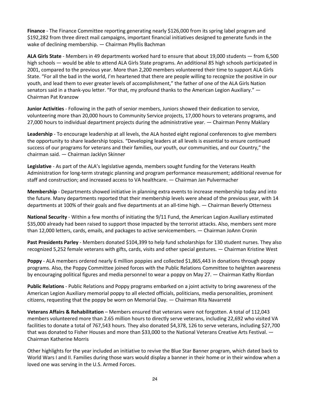**Finance** - The Finance Committee reporting generating nearly \$126,000 from its spring label program and \$192,282 from three direct mail campaigns, important financial initiatives designed to generate funds in the wake of declining membership. — Chairman Phyllis Bachman

**ALA Girls State** - Members in 49 departments worked hard to ensure that about 19,000 students — from 6,500 high schools — would be able to attend ALA Girls State programs. An additional 85 high schools participated in 2001, compared to the previous year. More than 2,200 members volunteered their time to support ALA Girls State. "For all the bad in the world, I'm heartened that there are people willing to recognize the positive in our youth, and lead them to ever greater levels of accomplishment," the father of one of the ALA Girls Nation senators said in a thank-you letter. "For that, my profound thanks to the American Legion Auxiliary." — Chairman Pat Kranzow

**Junior Activities** - Following in the path of senior members, Juniors showed their dedication to service, volunteering more than 20,000 hours to Community Service projects, 17,000 hours to veterans programs, and 27,000 hours to individual department projects during the administrative year. — Chairman Penny Maklary

**Leadership** - To encourage leadership at all levels, the ALA hosted eight regional conferences to give members the opportunity to share leadership topics. "Developing leaders at all levels is essential to ensure continued success of our programs for veterans and their families, our youth, our communities, and our Country," the chairman said. — Chairman Jacklyn Skinner

**Legislative** - As part of the ALA's legislative agenda, members sought funding for the Veterans Health Administration for long-term strategic planning and program performance measurement; additional revenue for staff and construction; and increased access to VA healthcare. — Chairman Jan Pulvermacher

**Membership** - Departments showed initiative in planning extra events to increase membership today and into the future. Many departments reported that their membership levels were ahead of the previous year, with 14 departments at 100% of their goals and five departments at an all-time high. — Chairman Beverly Otterness

**National Security** - Within a few months of initiating the 9/11 Fund, the American Legion Auxiliary estimated \$35,000 already had been raised to support those impacted by the terrorist attacks. Also, members sent more than 12,000 letters, cards, emails, and packages to active servicemembers. — Chairman JoAnn Cronin

**Past Presidents Parley** - Members donated \$104,399 to help fund scholarships for 130 student nurses. They also recognized 5,252 female veterans with gifts, cards, visits and other special gestures. — Chairman Kristine West

**Poppy** - ALA members ordered nearly 6 million poppies and collected \$1,865,443 in donations through poppy programs. Also, the Poppy Committee joined forces with the Public Relations Committee to heighten awareness by encouraging political figures and media personnel to wear a poppy on May 27. — Chairman Kathy Riordan

**Public Relations** - Public Relations and Poppy programs embarked on a joint activity to bring awareness of the American Legion Auxiliary memorial poppy to all elected officials, politicians, media personalities, prominent citizens, requesting that the poppy be worn on Memorial Day. — Chairman Rita Navarreté

**Veterans Affairs & Rehabilitation** – Members ensured that veterans were not forgotten. A total of 112,043 members volunteered more than 2.65 million hours to directly serve veterans, including 22,692 who visited VA facilities to donate a total of 767,543 hours. They also donated \$4,378, 126 to serve veterans, including \$27,700 that was donated to Fisher Houses and more than \$33,000 to the National Veterans Creative Arts Festival. -Chairman Katherine Morris

Other highlights for the year included an initiative to revive the Blue Star Banner program, which dated back to World Wars I and II. Families during those wars would display a banner in their home or in their window when a loved one was serving in the U.S. Armed Forces.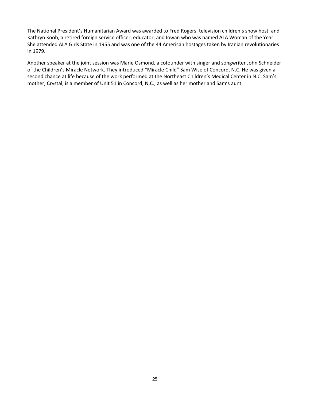The National President's Humanitarian Award was awarded to Fred Rogers, television children's show host, and Kathryn Koob, a retired foreign service officer, educator, and Iowan who was named ALA Woman of the Year. She attended ALA Girls State in 1955 and was one of the 44 American hostages taken by Iranian revolutionaries in 1979.

Another speaker at the joint session was Marie Osmond, a cofounder with singer and songwriter John Schneider of the Children's Miracle Network. They introduced "Miracle Child" Sam Wise of Concord, N.C. He was given a second chance at life because of the work performed at the Northeast Children's Medical Center in N.C. Sam's mother, Crystal, is a member of Unit 51 in Concord, N.C., as well as her mother and Sam's aunt.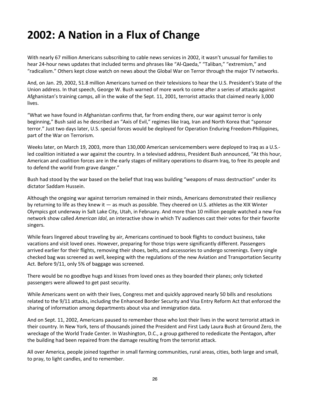# **2002: A Nation in a Flux of Change**

With nearly 67 million Americans subscribing to cable news services in 2002, it wasn't unusual for families to hear 24-hour news updates that included terms and phrases like "Al-Qaeda," "Taliban," "extremism," and "radicalism." Others kept close watch on news about the Global War on Terror through the major TV networks.

And, on Jan. 29, 2002, 51.8 million Americans turned on their televisions to hear the U.S. President's State of the Union address. In that speech, George W. Bush warned of more work to come after a series of attacks against Afghanistan's training camps, all in the wake of the Sept. 11, 2001, terrorist attacks that claimed nearly 3,000 lives.

"What we have found in Afghanistan confirms that, far from ending there, our war against terror is only beginning," Bush said as he described an "Axis of Evil," regimes like Iraq, Iran and North Korea that "sponsor terror." Just two days later, U.S. special forces would be deployed for Operation Enduring Freedom-Philippines, part of the War on Terrorism.

Weeks later, on March 19, 2003, more than 130,000 American servicemembers were deployed to Iraq as a U.S. led coalition initiated a war against the country. In a televised address, President Bush announced, "At this hour, American and coalition forces are in the early stages of military operations to disarm Iraq, to free its people and to defend the world from grave danger."

Bush had stood by the war based on the belief that Iraq was building "weapons of mass destruction" under its dictator Saddam Hussein.

Although the ongoing war against terrorism remained in their minds, Americans demonstrated their resiliency by returning to life as they knew it — as much as possible. They cheered on U.S. athletes as the XIX Winter Olympics got underway in Salt Lake City, Utah, in February. And more than 10 million people watched a new Fox network show called *American Idol*, an interactive show in which TV audiences cast their votes for their favorite singers.

While fears lingered about traveling by air, Americans continued to book flights to conduct business, take vacations and visit loved ones. However, preparing for those trips were significantly different. Passengers arrived earlier for their flights, removing their shoes, belts, and accessories to undergo screenings. Every single checked bag was screened as well, keeping with the regulations of the new Aviation and Transportation Security Act. Before 9/11, only 5% of baggage was screened.

There would be no goodbye hugs and kisses from loved ones as they boarded their planes; only ticketed passengers were allowed to get past security.

While Americans went on with their lives, Congress met and quickly approved nearly 50 bills and resolutions related to the 9/11 attacks, including the Enhanced Border Security and Visa Entry Reform Act that enforced the sharing of information among departments about visa and immigration data.

And on Sept. 11, 2002, Americans paused to remember those who lost their lives in the worst terrorist attack in their country. In New York, tens of thousands joined the President and First Lady Laura Bush at Ground Zero, the wreckage of the World Trade Center. In Washington, D.C., a group gathered to rededicate the Pentagon, after the building had been repaired from the damage resulting from the terrorist attack.

All over America, people joined together in small farming communities, rural areas, cities, both large and small, to pray, to light candles, and to remember.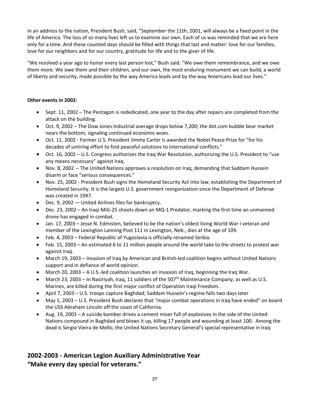In an address to the nation, President Bush, said, "September the 11th, 2001, will always be a fixed point in the life of America. The loss of so many lives left us to examine our own. Each of us was reminded that we are here only for a time. And these counted days should be filled with things that last and matter: love for our families, love for our neighbors and for our country, gratitude for life and to the giver of life.

"We resolved a year ago to honor every last person lost," Bush said. "We owe them remembrance, and we owe them more. We owe them and their children, and our own, the most enduring monument we can build, a world of liberty and security, made possible by the way America leads and by the way Americans lead our lives."

# **Other events in 2002:**

- Sept. 11, 2002 The Pentagon is rededicated, one year to the day after repairs are completed from the attack on the building.
- Oct. 9, 2002 The Dow Jones Industrial average drops below 7,200; the dot.com bubble bear market nears the bottom, signaling continued economic woes.
- Oct. 11, 2002 Former U.S. President Jimmy Carter is awarded the Nobel Peace Prize for "for his decades of untiring effort to find peaceful solutions to international conflicts."
- Oct. 16, 2002 U.S. Congress authorizes the Iraq War Resolution, authorizing the U.S. President to "use any means necessary" against Iraq.
- Nov. 8, 2002 The United Nations approves a resolution on Iraq, demanding that Saddam Hussein disarm or face "serious consequences."
- Nov. 25, 2002 President Bush signs the Homeland Security Act into law, establishing the Department of Homeland Security. It is the largest U.S. government reorganization since the Department of Defense was created in 1947.
- Dec. 9, 2002 United Airlines files for bankruptcy.
- Dec. 23, 2002 An Iraqi MiG-25 shoots down an MQ-1 Predator, marking the first time an unmanned drone has engaged in combat.
- Jan. 17, 2003 Jesse N. Edmisten, believed to be the nation's oldest living World War I veteran and member of the Lexington Lanning Post 111 in Lexington, Neb., dies at the age of 109.
- Feb. 4, 2003 Federal Republic of Yugoslavia is officially renamed Serbia.
- Feb. 15, 2003 An estimated 6 to 11 million people around the world take to the streets to protest war against Iraq.
- March 19, 2003 Invasion of Iraq by American and British-led coalition begins without United Nations support and in defiance of world opinion.
- March 20, 2003 A U.S.-led coalition launches an invasion of Iraq, beginning the Iraq War.
- March 23, 2003 In Nasiriyah, Iraq, 11 soldiers of the 507<sup>th</sup> Maintenance Company, as well as U.S. Marines, are killed during the first major conflict of Operation Iraqi Freedom.
- April 7, 2003 U.S. troops capture Baghdad; Saddam Hussein's regime falls two days later
- May 1, 2003 U.S. President Bush declares that "major combat operations in Iraq have ended" on board the USS Abraham Lincoln off the coast of California.
- Aug. 19, 2003 A suicide bomber drives a cement mixer full of explosives in the side of the United Nations compound in Baghdad and blows it up, killing 17 people and wounding at least 100. Among the dead is Sergio Vieira de Mello, the United Nations Secretary General's special representative in Iraq.

# **2002-2003 - American Legion Auxiliary Administrative Year "Make every day special for veterans."**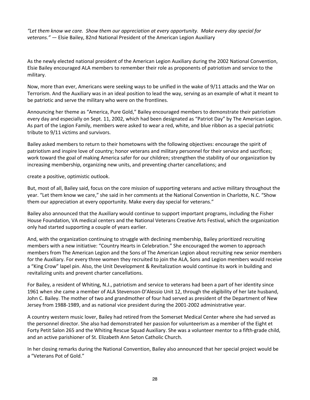*"Let them know we care. Show them our appreciation at every opportunity. Make every day special for veterans." —* Elsie Bailey, 82nd National President of the American Legion Auxiliary

As the newly elected national president of the American Legion Auxiliary during the 2002 National Convention, Elsie Bailey encouraged ALA members to remember their role as proponents of patriotism and service to the military.

Now, more than ever, Americans were seeking ways to be unified in the wake of 9/11 attacks and the War on Terrorism. And the Auxiliary was in an ideal position to lead the way, serving as an example of what it meant to be patriotic and serve the military who were on the frontlines.

Announcing her theme as "America, Pure Gold," Bailey encouraged members to demonstrate their patriotism every day and especially on Sept. 11, 2002, which had been designated as "Patriot Day" by The American Legion. As part of the Legion Family, members were asked to wear a red, white, and blue ribbon as a special patriotic tribute to 9/11 victims and survivors.

Bailey asked members to return to their hometowns with the following objectives: encourage the spirit of patriotism and inspire love of country; honor veterans and military personnel for their service and sacrifices; work toward the goal of making America safer for our children; strengthen the stability of our organization by increasing membership, organizing new units, and preventing charter cancellations; and

create a positive, optimistic outlook.

But, most of all, Bailey said, focus on the core mission of supporting veterans and active military throughout the year. "Let them know we care," she said in her comments at the National Convention in Charlotte, N.C. "Show them our appreciation at every opportunity. Make every day special for veterans."

Bailey also announced that the Auxiliary would continue to support important programs, including the Fisher House Foundation, VA medical centers and the National Veterans Creative Arts Festival, which the organization only had started supporting a couple of years earlier.

And, with the organization continuing to struggle with declining membership, Bailey prioritized recruiting members with a new initiative: "Country Hearts in Celebration." She encouraged the women to approach members from The American Legion and the Sons of The American Legion about recruiting new senior members for the Auxiliary. For every three women they recruited to join the ALA, Sons and Legion members would receive a "King Crow" lapel pin. Also, the Unit Development & Revitalization would continue its work in building and revitalizing units and prevent charter cancellations.

For Bailey, a resident of Whiting, N.J., patriotism and service to veterans had been a part of her identity since 1961 when she came a member of ALA Stevenson-D'Alessio Unit 12, through the eligibility of her late husband, John C. Bailey. The mother of two and grandmother of four had served as president of the Department of New Jersey from 1988-1989, and as national vice president during the 2001-2002 administrative year.

A country western music lover, Bailey had retired from the Somerset Medical Center where she had served as the personnel director. She also had demonstrated her passion for volunteerism as a member of the Eight et Forty Petit Salon 265 and the Whiting Rescue Squad Auxiliary. She was a volunteer mentor to a fifth-grade child, and an active parishioner of St. Elizabeth Ann Seton Catholic Church.

In her closing remarks during the National Convention, Bailey also announced that her special project would be a "Veterans Pot of Gold."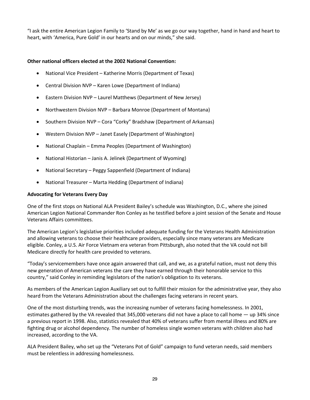"I ask the entire American Legion Family to 'Stand by Me' as we go our way together, hand in hand and heart to heart, with 'America, Pure Gold' in our hearts and on our minds," she said.

# **Other national officers elected at the 2002 National Convention:**

- National Vice President Katherine Morris (Department of Texas)
- Central Division NVP Karen Lowe (Department of Indiana)
- Eastern Division NVP Laurel Matthews (Department of New Jersey)
- Northwestern Division NVP Barbara Monroe (Department of Montana)
- Southern Division NVP Cora "Corky" Bradshaw (Department of Arkansas)
- Western Division NVP Janet Easely (Department of Washington)
- National Chaplain Emma Peoples (Department of Washington)
- National Historian Janis A. Jelinek (Department of Wyoming)
- National Secretary Peggy Sappenfield (Department of Indiana)
- National Treasurer Marta Hedding (Department of Indiana)

### **Advocating for Veterans Every Day**

One of the first stops on National ALA President Bailey's schedule was Washington, D.C., where she joined American Legion National Commander Ron Conley as he testified before a joint session of the Senate and House Veterans Affairs committees.

The American Legion's legislative priorities included adequate funding for the Veterans Health Administration and allowing veterans to choose their healthcare providers, especially since many veterans are Medicare eligible. Conley, a U.S. Air Force Vietnam era veteran from Pittsburgh, also noted that the VA could not bill Medicare directly for health care provided to veterans.

"Today's servicemembers have once again answered that call, and we, as a grateful nation, must not deny this new generation of American veterans the care they have earned through their honorable service to this country," said Conley in reminding legislators of the nation's obligation to its veterans.

As members of the American Legion Auxiliary set out to fulfill their mission for the administrative year, they also heard from the Veterans Administration about the challenges facing veterans in recent years.

One of the most disturbing trends, was the increasing number of veterans facing homelessness. In 2001, estimates gathered by the VA revealed that 345,000 veterans did not have a place to call home — up 34% since a previous report in 1998. Also, statistics revealed that 40% of veterans suffer from mental illness and 80% are fighting drug or alcohol dependency. The number of homeless single women veterans with children also had increased, according to the VA.

ALA President Bailey, who set up the "Veterans Pot of Gold" campaign to fund veteran needs, said members must be relentless in addressing homelessness.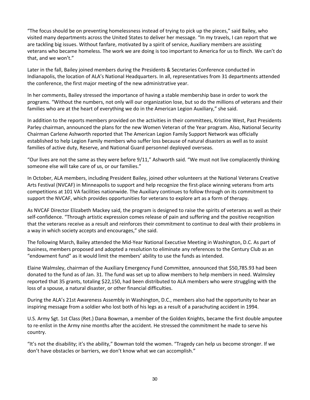"The focus should be on preventing homelessness instead of trying to pick up the pieces," said Bailey, who visited many departments across the United States to deliver her message. "In my travels, I can report that we are tackling big issues. Without fanfare, motivated by a spirit of service, Auxiliary members are assisting veterans who became homeless. The work we are doing is too important to America for us to flinch. We can't do that, and we won't."

Later in the fall, Bailey joined members during the Presidents & Secretaries Conference conducted in Indianapolis, the location of ALA's National Headquarters. In all, representatives from 31 departments attended the conference, the first major meeting of the new administrative year.

In her comments, Bailey stressed the importance of having a stable membership base in order to work the programs. "Without the numbers, not only will our organization lose, but so do the millions of veterans and their families who are at the heart of everything we do in the American Legion Auxiliary," she said.

In addition to the reports members provided on the activities in their committees, Kristine West, Past Presidents Parley chairman, announced the plans for the new Women Veteran of the Year program. Also, National Security Chairman Carlene Ashworth reported that The American Legion Family Support Network was officially established to help Legion Family members who suffer loss because of natural disasters as well as to assist families of active duty, Reserve, and National Guard personnel deployed overseas.

"Our lives are not the same as they were before 9/11," Ashworth said. "We must not live complacently thinking someone else will take care of us, or our families."

In October, ALA members, including President Bailey, joined other volunteers at the National Veterans Creative Arts Festival (NVCAF) in Minneapolis to support and help recognize the first-place winning veterans from arts competitions at 101 VA facilities nationwide. The Auxiliary continues to follow through on its commitment to support the NVCAF, which provides opportunities for veterans to explore art as a form of therapy.

As NVCAF Director Elizabeth Mackey said, the program is designed to raise the spirits of veterans as well as their self-confidence. "Through artistic expression comes release of pain and suffering and the positive recognition that the veterans receive as a result and reinforces their commitment to continue to deal with their problems in a way in which society accepts and encourages," she said.

The following March, Bailey attended the Mid-Year National Executive Meeting in Washington, D.C. As part of business, members proposed and adopted a resolution to eliminate any references to the Century Club as an "endowment fund" as it would limit the members' ability to use the funds as intended.

Elaine Walmsley, chairman of the Auxiliary Emergency Fund Committee, announced that \$50,785.93 had been donated to the fund as of Jan. 31. The fund was set up to allow members to help members in need. Walmsley reported that 35 grants, totaling \$22,150, had been distributed to ALA members who were struggling with the loss of a spouse, a natural disaster, or other financial difficulties.

During the ALA's 21st Awareness Assembly in Washington, D.C., members also had the opportunity to hear an inspiring message from a soldier who lost both of his legs as a result of a parachuting accident in 1994.

U.S. Army Sgt. 1st Class (Ret.) Dana Bowman, a member of the Golden Knights, became the first double amputee to re-enlist in the Army nine months after the accident. He stressed the commitment he made to serve his country.

"It's not the disability; it's the ability," Bowman told the women. "Tragedy can help us become stronger. If we don't have obstacles or barriers, we don't know what we can accomplish."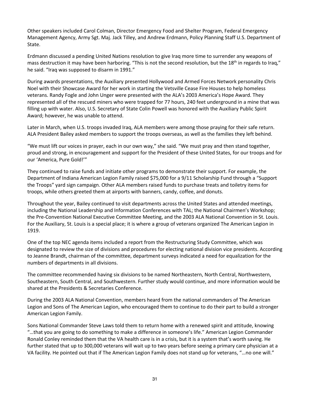Other speakers included Carol Colman, Director Emergency Food and Shelter Program, Federal Emergency Management Agency, Army Sgt. Maj. Jack Tilley, and Andrew Erdmann, Policy Planning Staff U.S. Department of State.

Erdmann discussed a pending United Nations resolution to give Iraq more time to surrender any weapons of mass destruction it may have been harboring. "This is not the second resolution, but the 18<sup>th</sup> in regards to Iraq," he said. "Iraq was supposed to disarm in 1991."

During awards presentations, the Auxiliary presented Hollywood and Armed Forces Network personality Chris Noel with their Showcase Award for her work in starting the Vetsville Cease Fire Houses to help homeless veterans. Randy Fogle and John Unger were presented with the ALA's 2003 America's Hope Award. They represented all of the rescued miners who were trapped for 77 hours, 240 feet underground in a mine that was filling up with water. Also, U.S. Secretary of State Colin Powell was honored with the Auxiliary Public Spirit Award; however, he was unable to attend.

Later in March, when U.S. troops invaded Iraq, ALA members were among those praying for their safe return. ALA President Bailey asked members to support the troops overseas, as well as the families they left behind.

"We must lift our voices in prayer, each in our own way," she said. "We must pray and then stand together, proud and strong, in encouragement and support for the President of these United States, for our troops and for our 'America, Pure Gold!'"

They continued to raise funds and initiate other programs to demonstrate their support. For example, the Department of Indiana American Legion Family raised \$75,000 for a 9/11 Scholarship Fund through a "Support the Troops" yard sign campaign. Other ALA members raised funds to purchase treats and toiletry items for troops, while others greeted them at airports with banners, candy, coffee, and donuts.

Throughout the year, Bailey continued to visit departments across the United States and attended meetings, including the National Leadership and Information Conferences with TAL; the National Chairmen's Workshop; the Pre-Convention National Executive Committee Meeting, and the 2003 ALA National Convention in St. Louis. For the Auxiliary, St. Louis is a special place; it is where a group of veterans organized The American Legion in 1919.

One of the top NEC agenda items included a report from the Restructuring Study Committee, which was designated to review the size of divisions and procedures for electing national division vice presidents. According to Jeanne Brandt, chairman of the committee, department surveys indicated a need for equalization for the numbers of departments in all divisions.

The committee recommended having six divisions to be named Northeastern, North Central, Northwestern, Southeastern, South Central, and Southwestern. Further study would continue, and more information would be shared at the Presidents & Secretaries Conference.

During the 2003 ALA National Convention, members heard from the national commanders of The American Legion and Sons of The American Legion, who encouraged them to continue to do their part to build a stronger American Legion Family.

Sons National Commander Steve Laws told them to return home with a renewed spirit and attitude, knowing "…that you are going to do something to make a difference in someone's life." American Legion Commander Ronald Conley reminded them that the VA health care is in a crisis, but it is a system that's worth saving. He further stated that up to 300,000 veterans will wait up to two years before seeing a primary care physician at a VA facility. He pointed out that if The American Legion Family does not stand up for veterans, "…no one will."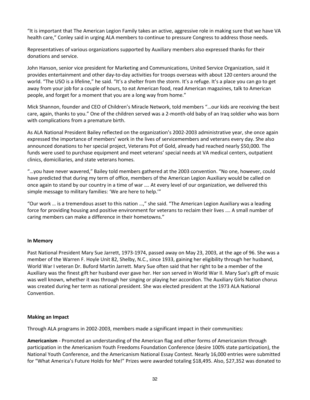"It is important that The American Legion Family takes an active, aggressive role in making sure that we have VA health care," Conley said in urging ALA members to continue to pressure Congress to address those needs.

Representatives of various organizations supported by Auxiliary members also expressed thanks for their donations and service.

John Hanson, senior vice president for Marketing and Communications, United Service Organization, said it provides entertainment and other day-to-day activities for troops overseas with about 120 centers around the world. "The USO is a lifeline," he said. "It's a shelter from the storm. It's a refuge. It's a place you can go to get away from your job for a couple of hours, to eat American food, read American magazines, talk to American people, and forget for a moment that you are a long way from home."

Mick Shannon, founder and CEO of Children's Miracle Network, told members "…our kids are receiving the best care, again, thanks to you." One of the children served was a 2-month-old baby of an Iraq soldier who was born with complications from a premature birth.

As ALA National President Bailey reflected on the organization's 2002-2003 administrative year, she once again expressed the importance of members' work in the lives of servicemembers and veterans every day. She also announced donations to her special project, Veterans Pot of Gold, already had reached nearly \$50,000. The funds were used to purchase equipment and meet veterans' special needs at VA medical centers, outpatient clinics, domiciliaries, and state veterans homes.

"…you have never wavered," Bailey told members gathered at the 2003 convention. "No one, however, could have predicted that during my term of office, members of the American Legion Auxiliary would be called on once again to stand by our country in a time of war …. At every level of our organization, we delivered this simple message to military families: 'We are here to help.'"

"Our work … is a tremendous asset to this nation …," she said. "The American Legion Auxiliary was a leading force for providing housing and positive environment for veterans to reclaim their lives …. A small number of caring members can make a difference in their hometowns."

### **In Memory**

Past National President Mary Sue Jarrett, 1973-1974, passed away on May 23, 2003, at the age of 96. She was a member of the Warren F. Hoyle Unit 82, Shelby, N.C., since 1933, gaining her eligibility through her husband, World War I veteran Dr. Buford Martin Jarrett. Mary Sue often said that her right to be a member of the Auxiliary was the finest gift her husband ever gave her. Her son served in World War II. Mary Sue's gift of music was well known, whether it was through her singing or playing her accordion. The Auxiliary Girls Nation chorus was created during her term as national president. She was elected president at the 1973 ALA National Convention.

#### **Making an Impact**

Through ALA programs in 2002-2003, members made a significant impact in their communities:

**Americanism** - Promoted an understanding of the American flag and other forms of Americanism through participation in the Americanism Youth Freedoms Foundation Conference (desire 100% state participation), the National Youth Conference, and the Americanism National Essay Contest. Nearly 16,000 entries were submitted for "What America's Future Holds for Me!" Prizes were awarded totaling \$18,495. Also, \$27,352 was donated to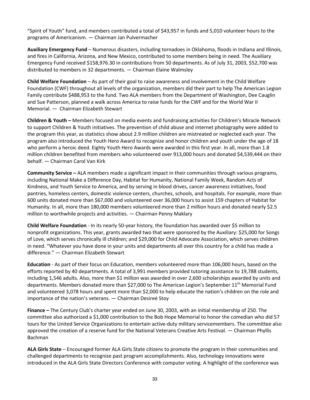"Spirit of Youth" fund, and members contributed a total of \$43,957 in funds and 5,010 volunteer hours to the programs of Americanism. — Chairman Jan Pulvermacher

**Auxiliary Emergency Fund** – Numerous disasters, including tornadoes in Oklahoma, floods in Indiana and Illinois, and fires in California, Arizona, and New Mexico, contributed to some members being in need. The Auxiliary Emergency Fund received \$158,976.30 in contributions from 50 departments. As of July 31, 2003, \$52,700 was distributed to members in 32 departments. — Chairman Elaine Walmsley

**Child Welfare Foundation** – As part of their goal to raise awareness and involvement in the Child Welfare Foundation (CWF) throughout all levels of the organization, members did their part to help The American Legion Family contribute \$488,953 to the fund. Two ALA members from the Department of Washington, Dee Cauglin and Sue Patterson, planned a walk across America to raise funds for the CWF and for the World War II Memorial. — Chairman Elizabeth Stewart

**Children & Youth –** Members focused on media events and fundraising activities for Children's Miracle Network to support Children & Youth initiatives. The prevention of child abuse and internet photography were added to the program this year, as statistics show about 2.9 million children are mistreated or neglected each year. The program also introduced the Youth Hero Award to recognize and honor children and youth under the age of 18 who perform a heroic deed. Eighty Youth Hero Awards were awarded in this first year. In all, more than 1.8 million children benefited from members who volunteered over 913,000 hours and donated \$4,539,444 on their behalf. — Chairman Carol Van Kirk

**Community Service –** ALA members made a significant impact in their communities through various programs, including National Make a Difference Day, Habitat for Humanity, National Family Week, Random Acts of Kindness, and Youth Service to America, and by serving in blood drives, cancer awareness initiatives, food pantries, homeless centers, domestic violence centers, churches, schools, and hospitals. For example, more than 600 units donated more than \$67,000 and volunteered over 36,000 hours to assist 159 chapters of Habitat for Humanity. In all, more than 180,000 members volunteered more than 2 million hours and donated nearly \$2.5 million to worthwhile projects and activities. — Chairman Penny Maklary

**Child Welfare Foundation** - In its nearly 50-year history, the foundation has awarded over \$5 million to nonprofit organizations. This year, grants awarded two that were sponsored by the Auxiliary: \$25,000 for Songs of Love, which serves chronically ill children; and \$29,000 for Child Advocate Association, which serves children in need. "Whatever you have done in your units and departments all over this country for a child has made a difference." — Chairman Elizabeth Stewart

**Education** - As part of their focus on Education, members volunteered more than 106,000 hours, based on the efforts reported by 40 departments. A total of 3,991 members provided tutoring assistance to 19,788 students, including 1,546 adults. Also, more than \$1 million was awarded in over 2,600 scholarships awarded by units and departments. Members donated more than \$27,000 to The American Legion's September 11<sup>th</sup> Memorial Fund and volunteered 3,078 hours and spent more than \$2,000 to help educate the nation's children on the role and importance of the nation's veterans. — Chairman Desireé Stoy

**Finance –** The Century Club's charter year ended on June 30, 2003, with an initial membership of 250. The committee also authorized a \$1,000 contribution to the Bob Hope Memorial to honor the comedian who did 57 tours for the United Service Organizations to entertain active-duty military servicemembers. The committee also approved the creation of a reserve fund for the National Veterans Creative Arts Festival. — Chairman Phyllis Bachman

**ALA Girls State** – Encouraged former ALA Girls State citizens to promote the program in their communities and challenged departments to recognize past program accomplishments. Also, technology innovations were introduced in the ALA Girls State Directors Conference with computer voting. A highlight of the conference was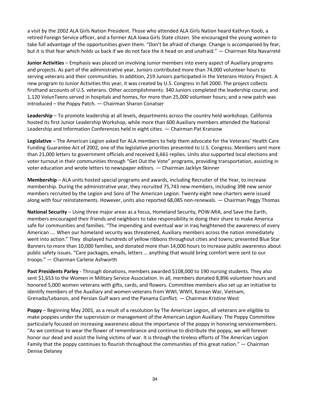a visit by the 2002 ALA Girls Nation President. Those who attended ALA Girls Nation heard Kathryn Koob, a retired Foreign Service officer, and a former ALA Iowa Girls State citizen. She encouraged the young women to take full advantage of the opportunities given them. "Don't be afraid of change. Change is accompanied by fear, but it is that fear which holds us back if we do not face the it head on and unafraid." — Chairman Rita Navarreté

**Junior Activities** – Emphasis was placed on involving Junior members into every aspect of Auxiliary programs and projects. As part of the administrative year, Juniors contributed more than 74,000 volunteer hours to serving veterans and their communities. In addition, 219 Juniors participated in the Veterans History Project. A new program to Junior Activities this year, it was created by U.S. Congress in fall 2000. The project collects firsthand accounts of U.S. veterans. Other accomplishments: 340 Juniors completed the leadership course; and 1,120 VolunTeens served in hospitals and homes, for more than 25,000 volunteer hours; and a new patch was introduced – the Poppy Patch. — Chairman Sharon Conatser

**Leadership** – To promote leadership at all levels, departments across the country held workshops. California hosted its first Junior Leadership Workshop, while more than 600 Auxiliary members attended the National Leadership and Information Conferences held in eight cities. — Chairman Pat Kranzow

**Legislative** – The American Legion asked for ALA members to help them advocate for the Veterans' Health Care Funding Guarantee Act of 2002, one of the legislative priorities presented to U.S. Congress. Members sent more than 21,000 letters to government officials and received 6,661 replies. Units also supported local elections and voter turnout in their communities through "Get Out the Vote" programs, providing transportation, assisting in voter education and wrote letters to newspaper editors. — Chairman Jacklyn Skinner

**Membership** – ALA units hosted special programs and awards, including Recruiter of the Year, to increase membership. During the administrative year, they recruited 75,743 new members, including 398 new senior members recruited by the Legion and Sons of The American Legion. Twenty-eight new charters were issued along with four reinstatements. However, units also reported 68,085 non-renewals. — Chairman Peggy Thomas

**National Security** – Using three major areas as a focus, Homeland Security, POW-MIA, and Save the Earth, members encouraged their friends and neighbors to take responsibility in doing their share to make America safe for communities and families. "The impending and eventual war in Iraq heightened the awareness of every American …. When our homeland security was threatened, Auxiliary members across the nation immediately went into action." They displayed hundreds of yellow ribbons throughout cities and towns; presented Blue Star Banners to more than 10,000 families, and donated more than 14,000 hours to increase public awareness about public safety issues. "Care packages, emails, letters … anything that would bring comfort were sent to our troops." — Chairman Carlene Ashworth

**Past Presidents Parley** - Through donations, members awarded \$108,000 to 190 nursing students. They also sent \$1,653 to the Women in Military Service Association. In all, members donated 8,896 volunteer hours and honored 5,000 women veterans with gifts, cards, and flowers. Committee members also set up an initiative to identify members of the Auxiliary and women veterans from WWI, WWII, Korean War, Vietnam, Grenada/Lebanon, and Persian Gulf wars and the Panama Conflict. — Chairman Kristine West

**Poppy** – Beginning May 2001, as a result of a resolution by The American Legion, all veterans are eligible to make poppies under the supervision or management of the American Legion Auxiliary. The Poppy Committee particularly focused on increasing awareness about the importance of the poppy in honoring servicemembers. "As we continue to wear the flower of remembrance and continue to distribute the poppy, we will forever honor our dead and assist the living victims of war. It is through the tireless efforts of The American Legion Family that the poppy continues to flourish throughout the communities of this great nation." — Chairman Denise Delaney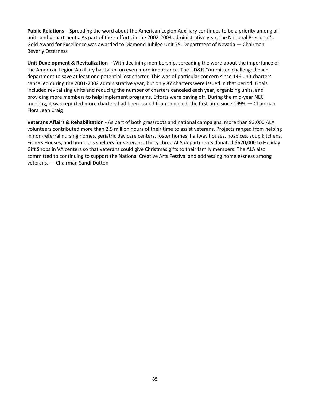**Public Relations** – Spreading the word about the American Legion Auxiliary continues to be a priority among all units and departments. As part of their efforts in the 2002-2003 administrative year, the National President's Gold Award for Excellence was awarded to Diamond Jubilee Unit 75, Department of Nevada — Chairman Beverly Otterness

Unit Development & Revitalization - With declining membership, spreading the word about the importance of the American Legion Auxiliary has taken on even more importance. The UD&R Committee challenged each department to save at least one potential lost charter. This was of particular concern since 146 unit charters cancelled during the 2001-2002 administrative year, but only 87 charters were issued in that period. Goals included revitalizing units and reducing the number of charters canceled each year, organizing units, and providing more members to help implement programs. Efforts were paying off. During the mid-year NEC meeting, it was reported more charters had been issued than canceled, the first time since 1999. — Chairman Flora Jean Craig

**Veterans Affairs & Rehabilitation** - As part of both grassroots and national campaigns, more than 93,000 ALA volunteers contributed more than 2.5 million hours of their time to assist veterans. Projects ranged from helping in non-referral nursing homes, geriatric day care centers, foster homes, halfway houses, hospices, soup kitchens, Fishers Houses, and homeless shelters for veterans. Thirty-three ALA departments donated \$620,000 to Holiday Gift Shops in VA centers so that veterans could give Christmas gifts to their family members. The ALA also committed to continuing to support the National Creative Arts Festival and addressing homelessness among veterans. — Chairman Sandi Dutton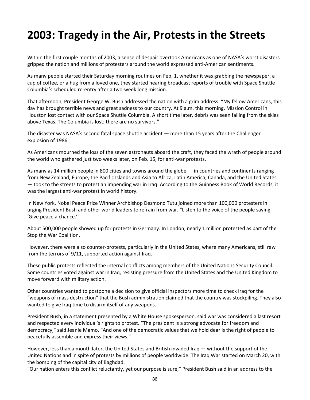# **2003: Tragedy in the Air, Protests in the Streets**

Within the first couple months of 2003, a sense of despair overtook Americans as one of NASA's worst disasters gripped the nation and millions of protesters around the world expressed anti-American sentiments.

As many people started their Saturday morning routines on Feb. 1, whether it was grabbing the newspaper, a cup of coffee, or a hug from a loved one, they started hearing broadcast reports of trouble with Space Shuttle Columbia's scheduled re-entry after a two-week long mission.

That afternoon, President George W. Bush addressed the nation with a grim address: "My fellow Americans, this day has brought terrible news and great sadness to our country. At 9 a.m. this morning, Mission Control in Houston lost contact with our Space Shuttle Columbia. A short time later, debris was seen falling from the skies above Texas. The Columbia is lost; there are no survivors."

The disaster was NASA's second fatal space shuttle accident — more than 15 years after the Challenger explosion of 1986.

As Americans mourned the loss of the seven astronauts aboard the craft, they faced the wrath of people around the world who gathered just two weeks later, on Feb. 15, for anti-war protests.

As many as 14 million people in 800 cities and towns around the globe — in countries and continents ranging from New Zealand, Europe, the Pacific Islands and Asia to Africa, Latin America, Canada, and the United States — took to the streets to protest an impending war in Iraq. According to the Guinness Book of World Records, it was the largest anti-war protest in world history.

In New York, Nobel Peace Prize Winner Archbishop Desmond Tutu joined more than 100,000 protesters in urging President Bush and other world leaders to refrain from war. "Listen to the voice of the people saying, 'Give peace a chance.'"

About 500,000 people showed up for protests in Germany. In London, nearly 1 million protested as part of the Stop the War Coalition.

However, there were also counter-protests, particularly in the United States, where many Americans, still raw from the terrors of 9/11, supported action against Iraq.

These public protests reflected the internal conflicts among members of the United Nations Security Council. Some countries voted against war in Iraq, resisting pressure from the United States and the United Kingdom to move forward with military action.

Other countries wanted to postpone a decision to give official inspectors more time to check Iraq for the "weapons of mass destruction" that the Bush administration claimed that the country was stockpiling. They also wanted to give Iraq time to disarm itself of any weapons.

President Bush, in a statement presented by a White House spokesperson, said war was considered a last resort and respected every individual's rights to protest. "The president is a strong advocate for freedom and democracy," said Jeanie Mamo. "And one of the democratic values that we hold dear is the right of people to peacefully assemble and express their views."

However, less than a month later, the United States and British invaded Iraq — without the support of the United Nations and in spite of protests by millions of people worldwide. The Iraq War started on March 20, with the bombing of the capital city of Baghdad.

"Our nation enters this conflict reluctantly, yet our purpose is sure," President Bush said in an address to the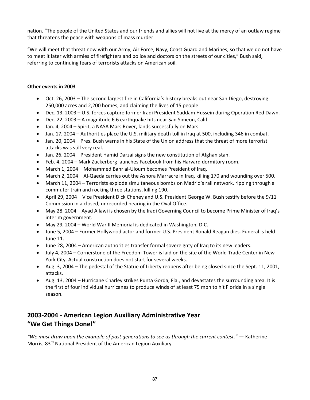nation. "The people of the United States and our friends and allies will not live at the mercy of an outlaw regime that threatens the peace with weapons of mass murder.

"We will meet that threat now with our Army, Air Force, Navy, Coast Guard and Marines, so that we do not have to meet it later with armies of firefighters and police and doctors on the streets of our cities," Bush said, referring to continuing fears of terrorists attacks on American soil.

#### **Other events in 2003**

- Oct. 26, 2003 The second largest fire in California's history breaks out near San Diego, destroying 250,000 acres and 2,200 homes, and claiming the lives of 15 people.
- Dec. 13, 2003 U.S. forces capture former Iraqi President Saddam Hussein during Operation Red Dawn.
- Dec. 22, 2003 A magnitude 6.6 earthquake hits near San Simeon, Calif.
- Jan. 4, 2004 Spirit, a NASA Mars Rover, lands successfully on Mars.
- Jan. 17, 2004 Authorities place the U.S. military death toll in Iraq at 500, including 346 in combat.
- Jan. 20, 2004 Pres. Bush warns in his State of the Union address that the threat of more terrorist attacks was still very real.
- Jan. 26, 2004 President Hamid Darzai signs the new constitution of Afghanistan.
- Feb. 4, 2004 Mark Zuckerberg launches Facebook from his Harvard dormitory room.
- March 1, 2004 Mohammed Bahr al-Uloum becomes President of Iraq.
- March 2, 2004 Al-Qaeda carries out the Ashora Marracre in Iraq, killing 170 and wounding over 500.
- March 11, 2004 Terrorists explode simultaneous bombs on Madrid's rail network, ripping through a commuter train and rocking three stations, killing 190.
- April 29, 2004 Vice President Dick Cheney and U.S. President George W. Bush testify before the 9/11 Commission in a closed, unrecorded hearing in the Oval Office.
- May 28, 2004 Ayad Allawi is chosen by the Iraqi Governing Council to become Prime Minister of Iraq's interim government.
- May 29, 2004 World War II Memorial is dedicated in Washington, D.C.
- June 5, 2004 Former Hollywood actor and former U.S. President Ronald Reagan dies. Funeral is held June 11.
- June 28, 2004 American authorities transfer formal sovereignty of Iraq to its new leaders.
- July 4, 2004 Cornerstone of the Freedom Tower is laid on the site of the World Trade Center in New York City. Actual construction does not start for several weeks.
- Aug. 3, 2004 The pedestal of the Statue of Liberty reopens after being closed since the Sept. 11, 2001, attacks.
- Aug. 13, 2004 Hurricane Charley strikes Punta Gorda, Fla., and devastates the surrounding area. It is the first of four individual hurricanes to produce winds of at least 75 mph to hit Florida in a single season.

## **2003-2004 - American Legion Auxiliary Administrative Year "We Get Things Done!"**

*"We must draw upon the example of past generations to see us through the current contest." —* Katherine Morris, 83<sup>rd</sup> National President of the American Legion Auxiliary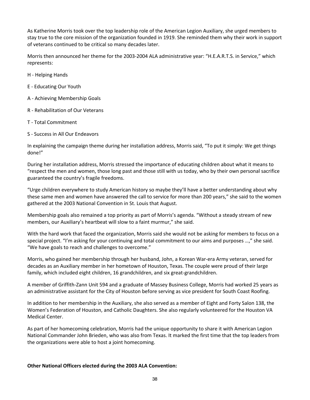As Katherine Morris took over the top leadership role of the American Legion Auxiliary, she urged members to stay true to the core mission of the organization founded in 1919. She reminded them why their work in support of veterans continued to be critical so many decades later.

Morris then announced her theme for the 2003-2004 ALA administrative year: "H.E.A.R.T.S. in Service," which represents:

H - Helping Hands

E - Educating Our Youth

A - Achieving Membership Goals

R - Rehabilitation of Our Veterans

T - Total Commitment

S - Success in All Our Endeavors

In explaining the campaign theme during her installation address, Morris said, "To put it simply: We get things done!"

During her installation address, Morris stressed the importance of educating children about what it means to "respect the men and women, those long past and those still with us today, who by their own personal sacrifice guaranteed the country's fragile freedoms.

"Urge children everywhere to study American history so maybe they'll have a better understanding about why these same men and women have answered the call to service for more than 200 years," she said to the women gathered at the 2003 National Convention in St. Louis that August.

Membership goals also remained a top priority as part of Morris's agenda. "Without a steady stream of new members, our Auxiliary's heartbeat will slow to a faint murmur," she said.

With the hard work that faced the organization, Morris said she would not be asking for members to focus on a special project. "I'm asking for your continuing and total commitment to our aims and purposes …," she said. "We have goals to reach and challenges to overcome."

Morris, who gained her membership through her husband, John, a Korean War-era Army veteran, served for decades as an Auxiliary member in her hometown of Houston, Texas. The couple were proud of their large family, which included eight children, 16 grandchildren, and six great-grandchildren.

A member of Griffith-Zann Unit 594 and a graduate of Massey Business College, Morris had worked 25 years as an administrative assistant for the City of Houston before serving as vice president for South Coast Roofing.

In addition to her membership in the Auxiliary, she also served as a member of Eight and Forty Salon 138, the Women's Federation of Houston, and Catholic Daughters. She also regularly volunteered for the Houston VA Medical Center.

As part of her homecoming celebration, Morris had the unique opportunity to share it with American Legion National Commander John Brieden, who was also from Texas. It marked the first time that the top leaders from the organizations were able to host a joint homecoming.

#### **Other National Officers elected during the 2003 ALA Convention:**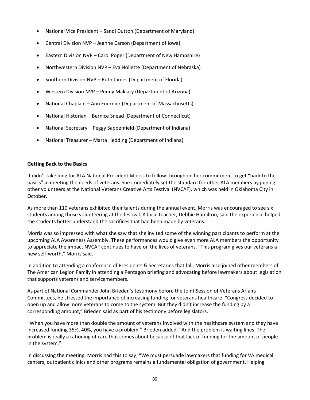- National Vice President Sandi Dutton (Department of Maryland)
- Central Division NVP Jeanne Carson (Department of Iowa)
- Eastern Division NVP Carol Poper (Department of New Hampshire)
- Northwestern Division NVP Eva Nollette (Department of Nebraska)
- Southern Division NVP Ruth James (Department of Florida)
- Western Division NVP Penny Maklary (Department of Arizona)
- National Chaplain Ann Fournier (Department of Massachusetts)
- National Historian Bernice Snead (Department of Connecticut)
- National Secretary Peggy Sappenfield (Department of Indiana)
- National Treasurer Marta Hedding (Department of Indiana)

#### **Getting Back to the Basics**

It didn't take long for ALA National President Morris to follow through on her commitment to get "back to the basics" in meeting the needs of veterans. She immediately set the standard for other ALA members by joining other volunteers at the National Veterans Creative Arts Festival (NVCAF), which was held in Oklahoma City in October.

As more than 110 veterans exhibited their talents during the annual event, Morris was encouraged to see six students among those volunteering at the festival. A local teacher, Debbie Hamilton, said the experience helped the students better understand the sacrifices that had been made by veterans.

Morris was so impressed with what she saw that she invited some of the winning participants to perform at the upcoming ALA Awareness Assembly. These performances would give even more ALA members the opportunity to appreciate the impact NVCAF continues to have on the lives of veterans. "This program gives our veterans a new self-worth," Morris said.

In addition to attending a conference of Presidents & Secretaries that fall, Morris also joined other members of The American Legion Family in attending a Pentagon briefing and advocating before lawmakers about legislation that supports veterans and servicemembers.

As part of National Commander John Brieden's testimony before the Joint Session of Veterans Affairs Committees, he stressed the importance of increasing funding for veterans healthcare. "Congress decided to open up and allow more veterans to come to the system. But they didn't increase the funding by a corresponding amount," Brieden said as part of his testimony before legislators.

"When you have more than double the amount of veterans involved with the healthcare system and they have increased funding 35%, 40%, you have a problem," Brieden added. "And the problem is waiting lines. The problem is really a rationing of care that comes about because of that lack of funding for the amount of people in the system."

In discussing the meeting, Morris had this to say: "We must persuade lawmakers that funding for VA medical centers, outpatient clinics and other programs remains a fundamental obligation of government. Helping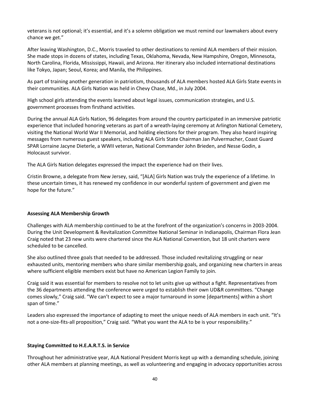veterans is not optional; it's essential, and it's a solemn obligation we must remind our lawmakers about every chance we get."

After leaving Washington, D.C., Morris traveled to other destinations to remind ALA members of their mission. She made stops in dozens of states, including Texas, Oklahoma, Nevada, New Hampshire, Oregon, Minnesota, North Carolina, Florida, Mississippi, Hawaii, and Arizona. Her itinerary also included international destinations like Tokyo, Japan; Seoul, Korea; and Manila, the Philippines.

As part of training another generation in patriotism, thousands of ALA members hosted ALA Girls State events in their communities. ALA Girls Nation was held in Chevy Chase, Md., in July 2004.

High school girls attending the events learned about legal issues, communication strategies, and U.S. government processes from firsthand activities.

During the annual ALA Girls Nation, 96 delegates from around the country participated in an immersive patriotic experience that included honoring veterans as part of a wreath-laying ceremony at Arlington National Cemetery, visiting the National World War II Memorial, and holding elections for their program. They also heard inspiring messages from numerous guest speakers, including ALA Girls State Chairman Jan Pulvermacher, Coast Guard SPAR Lorraine Jacyne Dieterle, a WWII veteran, National Commander John Brieden, and Nesse Godin, a Holocaust survivor.

The ALA Girls Nation delegates expressed the impact the experience had on their lives.

Cristin Browne, a delegate from New Jersey, said, "[ALA] Girls Nation was truly the experience of a lifetime. In these uncertain times, it has renewed my confidence in our wonderful system of government and given me hope for the future."

#### **Assessing ALA Membership Growth**

Challenges with ALA membership continued to be at the forefront of the organization's concerns in 2003-2004. During the Unit Development & Revitalization Committee National Seminar in Indianapolis, Chairman Flora Jean Craig noted that 23 new units were chartered since the ALA National Convention, but 18 unit charters were scheduled to be cancelled.

She also outlined three goals that needed to be addressed. Those included revitalizing struggling or near exhausted units, mentoring members who share similar membership goals, and organizing new charters in areas where sufficient eligible members exist but have no American Legion Family to join.

Craig said it was essential for members to resolve not to let units give up without a fight. Representatives from the 36 departments attending the conference were urged to establish their own UD&R committees. "Change comes slowly," Craig said. "We can't expect to see a major turnaround in some [departments] within a short span of time."

Leaders also expressed the importance of adapting to meet the unique needs of ALA members in each unit. "It's not a one-size-fits-all proposition," Craig said. "What you want the ALA to be is your responsibility."

#### **Staying Committed to H.E.A.R.T.S. in Service**

Throughout her administrative year, ALA National President Morris kept up with a demanding schedule, joining other ALA members at planning meetings, as well as volunteering and engaging in advocacy opportunities across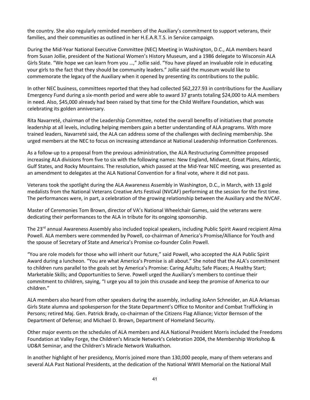the country. She also regularly reminded members of the Auxiliary's commitment to support veterans, their families, and their communities as outlined in her H.E.A.R.T.S. in Service campaign.

During the Mid-Year National Executive Committee (NEC) Meeting in Washington, D.C., ALA members heard from Susan Jollie, president of the National Women's History Museum, and a 1986 delegate to Wisconsin ALA Girls State. "We hope we can learn from you …," Jollie said. "You have played an invaluable role in educating your girls to the fact that they should be community leaders." Jollie said the museum would like to commemorate the legacy of the Auxiliary when it opened by presenting its contributions to the public.

In other NEC business, committees reported that they had collected \$62,227.93 in contributions for the Auxiliary Emergency Fund during a six-month period and were able to award 37 grants totaling \$24,000 to ALA members in need. Also, \$45,000 already had been raised by that time for the Child Welfare Foundation, which was celebrating its golden anniversary.

Rita Navarreté, chairman of the Leadership Committee, noted the overall benefits of initiatives that promote leadership at all levels, including helping members gain a better understanding of ALA programs. With more trained leaders, Navarreté said, the ALA can address some of the challenges with declining membership. She urged members at the NEC to focus on increasing attendance at National Leadership Information Conferences.

As a follow-up to a proposal from the previous administration, the ALA Restructuring Committee proposed increasing ALA divisions from five to six with the following names: New England, Midwest, Great Plains, Atlantic, Gulf States, and Rocky Mountains. The resolution, which passed at the Mid-Year NEC meeting, was presented as an amendment to delegates at the ALA National Convention for a final vote, where it did not pass.

Veterans took the spotlight during the ALA Awareness Assembly in Washington, D.C., in March, with 13 gold medalists from the National Veterans Creative Arts Festival (NVCAF) performing at the session for the first time. The performances were, in part, a celebration of the growing relationship between the Auxiliary and the NVCAF.

Master of Ceremonies Tom Brown, director of VA's National Wheelchair Games, said the veterans were dedicating their performances to the ALA in tribute for its ongoing sponsorship.

The 23rd annual Awareness Assembly also included topical speakers, including Public Spirit Award recipient Alma Powell. ALA members were commended by Powell, co-chairman of America's Promise/Alliance for Youth and the spouse of Secretary of State and America's Promise co-founder Colin Powell.

"You are role models for those who will inherit our future," said Powell, who accepted the ALA Public Spirit Award during a luncheon. "You are what America's Promise is all about." She noted that the ALA's commitment to children runs parallel to the goals set by America's Promise: Caring Adults; Safe Places; A Healthy Start; Marketable Skills; and Opportunities to Serve. Powell urged the Auxiliary's members to continue their commitment to children, saying, "I urge you all to join this crusade and keep the promise of America to our children."

ALA members also heard from other speakers during the assembly, including JoAnn Schneider, an ALA Arkansas Girls State alumna and spokesperson for the State Department's Office to Monitor and Combat Trafficking in Persons; retired Maj. Gen. Patrick Brady, co-chairman of the Citizens Flag Alliance; Victor Bernson of the Department of Defense; and Michael D. Brown, Department of Homeland Security.

Other major events on the schedules of ALA members and ALA National President Morris included the Freedoms Foundation at Valley Forge, the Children's Miracle Network's Celebration 2004, the Membership Workshop & UD&R Seminar, and the Children's Miracle Network Walkathon.

In another highlight of her presidency, Morris joined more than 130,000 people, many of them veterans and several ALA Past National Presidents, at the dedication of the National WWII Memorial on the National Mall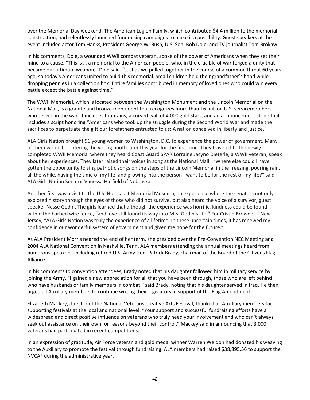over the Memorial Day weekend. The American Legion Family, which contributed \$4.4 million to the memorial construction, had relentlessly launched fundraising campaigns to make it a possibility. Guest speakers at the event included actor Tom Hanks, President George W. Bush, U.S. Sen. Bob Dole, and TV journalist Tom Brokaw.

In his comments, Dole, a wounded WWII combat veteran, spoke of the power of Americans when they set their mind to a cause. "This is … a memorial to the American people, who, in the crucible of war forged a unity that became our ultimate weapon," Dole said. "Just as we pulled together in the course of a common threat 60 years ago, so today's Americans united to build this memorial. Small children held their grandfather's hand while dropping pennies in a collection box. Entire families contributed in memory of loved ones who could win every battle except the battle against time."

The WWII Memorial, which is located between the Washington Monument and the Lincoln Memorial on the National Mall, is a granite and bronze monument that recognizes more than 16 million U.S. servicemembers who served in the war. It includes fountains, a curved wall of 4,000 gold stars, and an announcement stone that includes a script honoring "Americans who took up the struggle during the Second World War and made the sacrifices to perpetuate the gift our forefathers entrusted to us: A nation conceived in liberty and justice."

ALA Girls Nation brought 96 young women to Washington, D.C. to experience the power of government. Many of them would be entering the voting booth later this year for the first time. They traveled to the newly completed WWII Memorial where they heard Coast Guard SPAR Lorraine Jacyno Dieterle, a WWII veteran, speak about her experiences. They later raised their voices in song at the National Mall. "Where else could I have gotten the opportunity to sing patriotic songs on the steps of the Lincoln Memorial in the freezing, pouring rain, all the while, having the time of my life, and growing into the person I want to be for the rest of my life?" said ALA Girls Nation Senator Vanessa Hatfield of Nebraska.

Another first was a visit to the U.S. Holocaust Memorial Museum, an experience where the senators not only explored history through the eyes of those who did not survive, but also heard the voice of a survivor, guest speaker Nesse Godin. The girls learned that although the experience was horrific, kindness could be found within the barbed wire fence, "and love still found its way into Mrs. Godin's life." For Cristin Browne of New Jersey, "ALA Girls Nation was truly the experience of a lifetime. In these uncertain times, it has renewed my confidence in our wonderful system of government and given me hope for the future."

As ALA President Morris neared the end of her term, she presided over the Pre-Convention NEC Meeting and 2004 ALA National Convention in Nashville, Tenn. ALA members attending the annual meetings heard from numerous speakers, including retired U.S. Army Gen. Patrick Brady, chairman of the Board of the Citizens Flag Alliance.

In his comments to convention attendees, Brady noted that his daughter followed him in military service by joining the Army. "I gained a new appreciation for all that you have been through, those who are left behind who have husbands or family members in combat," said Brady, noting that his daughter served in Iraq. He then urged all Auxiliary members to continue writing their legislators in support of the Flag Amendment.

Elizabeth Mackey, director of the National Veterans Creative Arts Festival, thanked all Auxiliary members for supporting festivals at the local and national level. "Your support and successful fundraising efforts have a widespread and direct positive influence on veterans who truly need your involvement and who can't always seek out assistance on their own for reasons beyond their control," Mackey said in announcing that 3,000 veterans had participated in recent competitions.

In an expression of gratitude, Air Force veteran and gold medal winner Warren Weldon had donated his weaving to the Auxiliary to promote the festival through fundraising. ALA members had raised \$38,895.56 to support the NVCAF during the administrative year.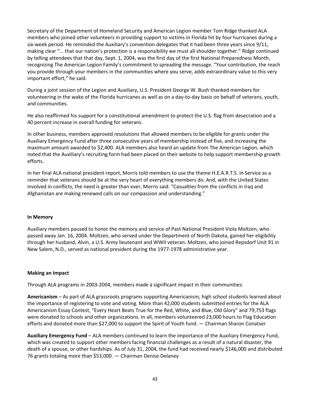Secretary of the Department of Homeland Security and American Legion member Tom Ridge thanked ALA members who joined other volunteers in providing support to victims in Florida hit by four hurricanes during a six-week period. He reminded the Auxiliary's convention delegates that it had been three years since 9/11, making clear "… that our nation's protection is a responsibility we must all shoulder together." Ridge continued by telling attendees that that day, Sept. 1, 2004, was the first day of the first National Preparedness Month, recognizing The American Legion Family's commitment to spreading the message. "Your contribution, the reach you provide through your members in the communities where you serve, adds extraordinary value to this very important effort," he said.

During a joint session of the Legion and Auxiliary, U.S. President George W. Bush thanked members for volunteering in the wake of the Florida hurricanes as well as on a day-to-day basis on behalf of veterans, youth, and communities.

He also reaffirmed his support for a constitutional amendment to protect the U.S. flag from desecration and a 40 percent increase in overall funding for veterans.

In other business, members approved resolutions that allowed members to be eligible for grants under the Auxiliary Emergency Fund after three consecutive years of membership instead of five, and increasing the maximum amount awarded to \$2,400. ALA members also heard an update from The American Legion, which noted that the Auxiliary's recruiting form had been placed on their website to help support membership growth efforts.

In her final ALA national president report, Morris told members to use the theme H.E.A.R.T.S. in Service as a reminder that veterans should be at the very heart of everything members do. And, with the United States involved in conflicts, the need is greater than ever, Morris said. "Casualties from the conflicts in Iraq and Afghanistan are making renewed calls on our compassion and understanding."

#### **In Memory**

Auxiliary members paused to honor the memory and service of Past National President Viola Moltzen, who passed away Jan. 16, 2004. Moltzen, who served under the Department of North Dakota, gained her eligibility through her husband, Alvin, a U.S. Army lieutenant and WWII veteran. Moltzen, who joined Repsdorf Unit 91 in New Salem, N.D., served as national president during the 1977-1978 administrative year.

#### **Making an Impact**

Through ALA programs in 2003-2004, members made a significant impact in their communities:

**Americanism** – As part of ALA grassroots programs supporting Americanism, high school students learned about the importance of registering to vote and voting. More than 42,000 students submitted entries for the ALA Americanism Essay Contest, "Every Heart Beats True for the Red, White, and Blue, Old Glory" and 79,753 flags were donated to schools and other organizations. In all, members volunteered 23,000 hours to Flag Education efforts and donated more than \$27,000 to support the Spirit of Youth fund. — Chairman Sharon Conatser

**Auxiliary Emergency Fund** – ALA members continued to learn the importance of the Auxiliary Emergency Fund, which was created to support other members facing financial challenges as a result of a natural disaster, the death of a spouse, or other hardships. As of July 31, 2004, the fund had received nearly \$146,000 and distributed 76 grants totaling more than \$53,000. — Chairman Denise Delaney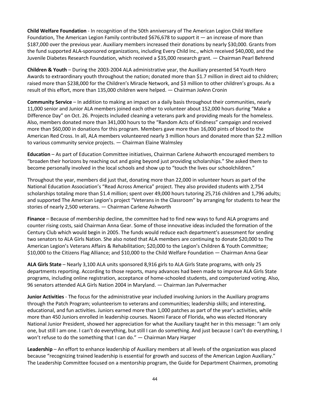**Child Welfare Foundation** - In recognition of the 50th anniversary of The American Legion Child Welfare Foundation, The American Legion Family contributed \$676,678 to support it — an increase of more than \$187,000 over the previous year. Auxiliary members increased their donations by nearly \$30,000. Grants from the fund supported ALA-sponsored organizations, including Every Child Inc., which received \$40,000, and the Juvenile Diabetes Research Foundation, which received a \$35,000 research grant. — Chairman Pearl Behrend

**Children & Youth** – During the 2003-2004 ALA administrative year, the Auxiliary presented 54 Youth Hero Awards to extraordinary youth throughout the nation; donated more than \$1.7 million in direct aid to children; raised more than \$238,000 for the Children's Miracle Network, and \$3 million to other children's groups. As a result of this effort, more than 135,000 children were helped. — Chairman JoAnn Cronin

**Community Service** – In addition to making an impact on a daily basis throughout their communities, nearly 11,000 senior and Junior ALA members joined each other to volunteer about 152,000 hours during "Make a Difference Day" on Oct. 26. Projects included cleaning a veterans park and providing meals for the homeless. Also, members donated more than 341,000 hours to the "Random Acts of Kindness" campaign and received more than \$60,000 in donations for this program. Members gave more than 16,000 pints of blood to the American Red Cross. In all, ALA members volunteered nearly 3 million hours and donated more than \$2.2 million to various community service projects. — Chairman Elaine Walmsley

**Education** – As part of Education Committee initiatives, Chairman Carlene Ashworth encouraged members to "broaden their horizons by reaching out and going beyond just providing scholarships." She asked them to become personally involved in the local schools and show up to "touch the lives our schoolchildren."

Throughout the year, members did just that, donating more than 22,000 in volunteer hours as part of the National Education Association's "Read Across America" project. They also provided students with 2,754 scholarships totaling more than \$1.4 million; spent over 49,000 hours tutoring 25,716 children and 1,796 adults; and supported The American Legion's project "Veterans in the Classroom" by arranging for students to hear the stories of nearly 2,500 veterans. — Chairman Carlene Ashworth

**Finance** – Because of membership decline, the committee had to find new ways to fund ALA programs and counter rising costs, said Chairman Anna Gear. Some of those innovative ideas included the formation of the Century Club which would begin in 2005. The funds would reduce each department's assessment for sending two senators to ALA Girls Nation. She also noted that ALA members are continuing to donate \$20,000 to The American Legion's Veterans Affairs & Rehabilitation; \$20,000 to the Legion's Children & Youth Committee; \$10,000 to the Citizens Flag Alliance; and \$10,000 to the Child Welfare Foundation — Chairman Anna Gear

**ALA Girls State** – Nearly 3,100 ALA units sponsored 8,916 girls to ALA Girls State programs, with only 25 departments reporting. According to those reports, many advances had been made to improve ALA Girls State programs, including online registration, acceptance of home-schooled students, and computerized voting. Also, 96 senators attended ALA Girls Nation 2004 in Maryland. — Chairman Jan Pulvermacher

**Junior Activities** - The focus for the administrative year included involving Juniors in the Auxiliary programs through the Patch Program; volunteerism to veterans and communities; leadership skills; and interesting, educational, and fun activities. Juniors earned more than 1,000 patches as part of the year's activities, while more than 450 Juniors enrolled in leadership courses. Naomi Farace of Florida, who was elected Honorary National Junior President, showed her appreciation for what the Auxiliary taught her in this message: "I am only one, but still I am one. I can't do everything, but still I can do something. And just because I can't do everything, I won't refuse to do the something that I can do." — Chairman Mary Harper

**Leadership** – An effort to enhance leadership of Auxiliary members at all levels of the organization was placed because "recognizing trained leadership is essential for growth and success of the American Legion Auxiliary." The Leadership Committee focused on a mentorship program, the Guide for Department Chairmen, promoting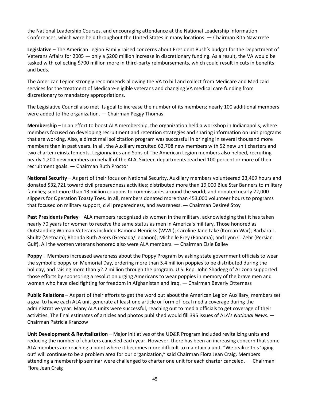the National Leadership Courses, and encouraging attendance at the National Leadership Information Conferences, which were held throughout the United States in many locations. — Chairman Rita Navarreté

**Legislative** – The American Legion Family raised concerns about President Bush's budget for the Department of Veterans Affairs for 2005 — only a \$200 million increase in discretionary funding. As a result, the VA would be tasked with collecting \$700 million more in third-party reimbursements, which could result in cuts in benefits and beds.

The American Legion strongly recommends allowing the VA to bill and collect from Medicare and Medicaid services for the treatment of Medicare-eligible veterans and changing VA medical care funding from discretionary to mandatory appropriations.

The Legislative Council also met its goal to increase the number of its members; nearly 100 additional members were added to the organization. — Chairman Peggy Thomas

**Membership** – In an effort to boost ALA membership, the organization held a workshop in Indianapolis, where members focused on developing recruitment and retention strategies and sharing information on unit programs that are working. Also, a direct mail solicitation program was successful in bringing in several thousand more members than in past years. In all, the Auxiliary recruited 62,708 new members with 52 new unit charters and two charter reinstatements. Legionnaires and Sons of The American Legion members also helped, recruiting nearly 1,200 new members on behalf of the ALA. Sixteen departments reached 100 percent or more of their recruitment goals. — Chairman Ruth Proctor

**National Security** – As part of their focus on National Security, Auxiliary members volunteered 23,469 hours and donated \$32,721 toward civil preparedness activities; distributed more than 19,000 Blue Star Banners to military families; sent more than 13 million coupons to commissaries around the world; and donated nearly 22,000 slippers for Operation Toasty Toes. In all, members donated more than 453,000 volunteer hours to programs that focused on military support, civil preparedness, and awareness. — Chairman Desireé Stoy

**Past Presidents Parley** – ALA members recognized six women in the military, acknowledging that it has taken nearly 70 years for women to receive the same status as men in America's military. Those honored as Outstanding Woman Veterans included Ramona Henricks (WWII); Caroline Jane Lake (Korean War); Barbara L. Shultz (Vietnam); Rhonda Ruth Akers (Grenada/Lebanon); Michelle Frey (Panama); and Lynn C. Zehr (Persian Gulf). All the women veterans honored also were ALA members. — Chairman Elsie Bailey

**Poppy** – Members increased awareness about the Poppy Program by asking state government officials to wear the symbolic poppy on Memorial Day, ordering more than 5.4 million poppies to be distributed during the holiday, and raising more than \$2.2 million through the program. U.S. Rep. John Shadegg of Arizona supported those efforts by sponsoring a resolution urging Americans to wear poppies in memory of the brave men and women who have died fighting for freedom in Afghanistan and Iraq. — Chairman Beverly Otterness

**Public Relations** – As part of their efforts to get the word out about the American Legion Auxiliary, members set a goal to have each ALA unit generate at least one article or form of local media coverage during the administrative year. Many ALA units were successful, reaching out to media officials to get coverage of their activities. The final estimates of articles and photos published would fill 395 issues of ALA's *National News.* — Chairman Patricia Kranzow

**Unit Development & Revitalization** – Major initiatives of the UD&R Program included revitalizing units and reducing the number of charters canceled each year. However, there has been an increasing concern that some ALA members are reaching a point where it becomes more difficult to maintain a unit. "We realize this 'aging out' will continue to be a problem area for our organization," said Chairman Flora Jean Craig. Members attending a membership seminar were challenged to charter one unit for each charter canceled. — Chairman Flora Jean Craig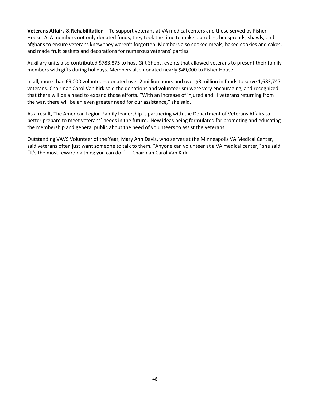**Veterans Affairs & Rehabilitation** – To support veterans at VA medical centers and those served by Fisher House, ALA members not only donated funds, they took the time to make lap robes, bedspreads, shawls, and afghans to ensure veterans knew they weren't forgotten. Members also cooked meals, baked cookies and cakes, and made fruit baskets and decorations for numerous veterans' parties.

Auxiliary units also contributed \$783,875 to host Gift Shops, events that allowed veterans to present their family members with gifts during holidays. Members also donated nearly \$49,000 to Fisher House.

In all, more than 69,000 volunteers donated over 2 million hours and over \$3 million in funds to serve 1,633,747 veterans. Chairman Carol Van Kirk said the donations and volunteerism were very encouraging, and recognized that there will be a need to expand those efforts. "With an increase of injured and ill veterans returning from the war, there will be an even greater need for our assistance," she said.

As a result, The American Legion Family leadership is partnering with the Department of Veterans Affairs to better prepare to meet veterans' needs in the future. New ideas being formulated for promoting and educating the membership and general public about the need of volunteers to assist the veterans.

Outstanding VAVS Volunteer of the Year, Mary Ann Davis, who serves at the Minneapolis VA Medical Center, said veterans often just want someone to talk to them. "Anyone can volunteer at a VA medical center," she said. "It's the most rewarding thing you can do." — Chairman Carol Van Kirk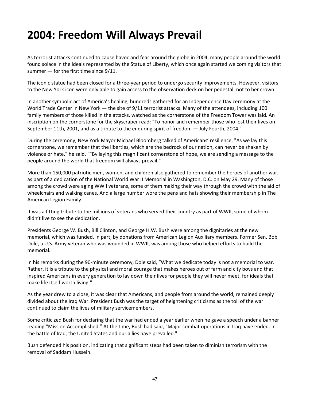## **2004: Freedom Will Always Prevail**

As terrorist attacks continued to cause havoc and fear around the globe in 2004, many people around the world found solace in the ideals represented by the Statue of Liberty, which once again started welcoming visitors that summer — for the first time since 9/11.

The iconic statue had been closed for a three-year period to undergo security improvements. However, visitors to the New York icon were only able to gain access to the observation deck on her pedestal; not to her crown.

In another symbolic act of America's healing, hundreds gathered for an Independence Day ceremony at the World Trade Center in New York — the site of 9/11 terrorist attacks. Many of the attendees, including 100 family members of those killed in the attacks, watched as the cornerstone of the Freedom Tower was laid. An inscription on the cornerstone for the skyscraper read: "To honor and remember those who lost their lives on September 11th, 2001, and as a tribute to the enduring spirit of freedom — July Fourth, 2004."

During the ceremony, New York Mayor Michael Bloomberg talked of Americans' resilience. "As we lay this cornerstone, we remember that the liberties, which are the bedrock of our nation, can never be shaken by violence or hate," he said. ""By laying this magnificent cornerstone of hope, we are sending a message to the people around the world that freedom will always prevail."

More than 150,000 patriotic men, women, and children also gathered to remember the heroes of another war, as part of a dedication of the National World War II Memorial in Washington, D.C. on May 29. Many of those among the crowd were aging WWII veterans, some of them making their way through the crowd with the aid of wheelchairs and walking canes. And a large number wore the pens and hats showing their membership in The American Legion Family.

It was a fitting tribute to the millions of veterans who served their country as part of WWII, some of whom didn't live to see the dedication.

Presidents George W. Bush, Bill Clinton, and George H.W. Bush were among the dignitaries at the new memorial, which was funded, in part, by donations from American Legion Auxiliary members. Former Sen. Bob Dole, a U.S. Army veteran who was wounded in WWII, was among those who helped efforts to build the memorial.

In his remarks during the 90-minute ceremony, Dole said, "What we dedicate today is not a memorial to war. Rather, it is a tribute to the physical and moral courage that makes heroes out of farm and city boys and that inspired Americans in every generation to lay down their lives for people they will never meet, for ideals that make life itself worth living.''

As the year drew to a close, it was clear that Americans, and people from around the world, remained deeply divided about the Iraq War. President Bush was the target of heightening criticisms as the toll of the war continued to claim the lives of military servicemembers.

Some criticized Bush for declaring that the war had ended a year earlier when he gave a speech under a banner reading "Mission Accomplished." At the time, Bush had said, "Major combat operations in Iraq have ended. In the battle of Iraq, the United States and our allies have prevailed."

Bush defended his position, indicating that significant steps had been taken to diminish terrorism with the removal of Saddam Hussein.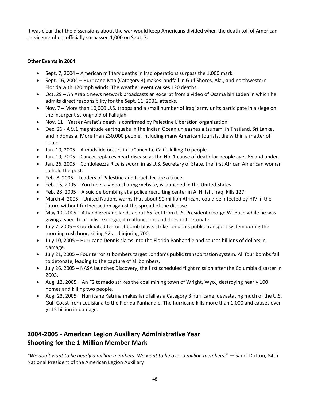It was clear that the dissensions about the war would keep Americans divided when the death toll of American servicemembers officially surpassed 1,000 on Sept. 7.

#### **Other Events in 2004**

- Sept. 7, 2004 American military deaths in Iraq operations surpass the 1,000 mark.
- Sept. 16, 2004 Hurricane Ivan (Category 3) makes landfall in Gulf Shores, Ala., and northwestern Florida with 120 mph winds. The weather event causes 120 deaths.
- Oct. 29 An Arabic news network broadcasts an excerpt from a video of Osama bin Laden in which he admits direct responsibility for the Sept. 11, 2001, attacks.
- Nov. 7 More than 10,000 U.S. troops and a small number of Iraqi army units participate in a siege on the insurgent stronghold of Fallujah.
- Nov. 11 Yasser Arafat's death is confirmed by Palestine Liberation organization.
- Dec. 26 A 9.1 magnitude earthquake in the Indian Ocean unleashes a tsunami in Thailand, Sri Lanka, and Indonesia. More than 230,000 people, including many American tourists, die within a matter of hours.
- Jan. 10, 2005 A mudslide occurs in LaConchita, Calif., killing 10 people.
- Jan. 19, 2005 Cancer replaces heart disease as the No. 1 cause of death for people ages 85 and under.
- Jan. 26, 2005 Condoleezza Rice is sworn in as U.S. Secretary of State, the first African American woman to hold the post.
- Feb. 8, 2005 Leaders of Palestine and Israel declare a truce.
- Feb. 15, 2005 YouTube, a video sharing website, is launched in the United States.
- Feb. 28, 2005 A suicide bombing at a police recruiting center in Al Hillah, Iraq, kills 127.
- March 4, 2005 United Nations warns that about 90 million Africans could be infected by HIV in the future without further action against the spread of the disease.
- May 10, 2005 A hand grenade lands about 65 feet from U.S. President George W. Bush while he was giving a speech in Tbilisi, Georgia; it malfunctions and does not detonate.
- July 7, 2005 Coordinated terrorist bomb blasts strike London's public transport system during the morning rush hour, killing 52 and injuring 700.
- July 10, 2005 Hurricane Dennis slams into the Florida Panhandle and causes billions of dollars in damage.
- July 21, 2005 Four terrorist bombers target London's public transportation system. All four bombs fail to detonate, leading to the capture of all bombers.
- July 26, 2005 NASA launches Discovery, the first scheduled flight mission after the Columbia disaster in 2003.
- Aug. 12, 2005 An F2 tornado strikes the coal mining town of Wright, Wyo., destroying nearly 100 homes and killing two people.
- Aug. 23, 2005 Hurricane Katrina makes landfall as a Category 3 hurricane, devastating much of the U.S. Gulf Coast from Louisiana to the Florida Panhandle. The hurricane kills more than 1,000 and causes over \$115 billion in damage.

## **2004-2005 - American Legion Auxiliary Administrative Year Shooting for the 1-Million Member Mark**

*"We don't want to be nearly a million members. We want to be over a million members." —* Sandi Dutton, 84th National President of the American Legion Auxiliary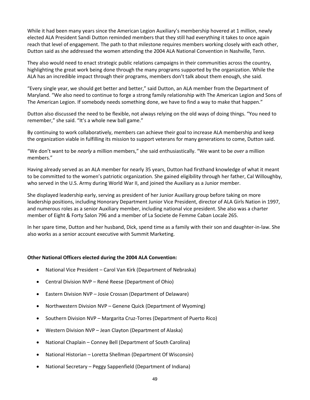While it had been many years since the American Legion Auxiliary's membership hovered at 1 million, newly elected ALA President Sandi Dutton reminded members that they still had everything it takes to once again reach that level of engagement. The path to that milestone requires members working closely with each other, Dutton said as she addressed the women attending the 2004 ALA National Convention in Nashville, Tenn.

They also would need to enact strategic public relations campaigns in their communities across the country, highlighting the great work being done through the many programs supported by the organization. While the ALA has an incredible impact through their programs, members don't talk about them enough, she said.

"Every single year, we should get better and better," said Dutton, an ALA member from the Department of Maryland. "We also need to continue to forge a strong family relationship with The American Legion and Sons of The American Legion. If somebody needs something done, we have to find a way to make that happen."

Dutton also discussed the need to be flexible, not always relying on the old ways of doing things. "You need to remember," she said. "It's a whole new ball game."

By continuing to work collaboratively, members can achieve their goal to increase ALA membership and keep the organization viable in fulfilling its mission to support veterans for many generations to come, Dutton said.

"We don't want to be *nearly* a million members," she said enthusiastically. "We want to be *over* a million members."

Having already served as an ALA member for nearly 35 years, Dutton had firsthand knowledge of what it meant to be committed to the women's patriotic organization. She gained eligibility through her father, Cal Willoughby, who served in the U.S. Army during World War II, and joined the Auxiliary as a Junior member.

She displayed leadership early, serving as president of her Junior Auxiliary group before taking on more leadership positions, including Honorary Department Junior Vice President, director of ALA Girls Nation in 1997, and numerous roles as a senior Auxiliary member, including national vice president. She also was a charter member of Eight & Forty Salon 796 and a member of La Societe de Femme Caban Locale 265.

In her spare time, Dutton and her husband, Dick, spend time as a family with their son and daughter-in-law. She also works as a senior account executive with Summit Marketing.

#### **Other National Officers elected during the 2004 ALA Convention:**

- National Vice President Carol Van Kirk (Department of Nebraska)
- Central Division NVP René Reese (Department of Ohio)
- Eastern Division NVP Josie Crossan (Department of Delaware)
- Northwestern Division NVP Genene Quick (Department of Wyoming)
- Southern Division NVP Margarita Cruz-Torres (Department of Puerto Rico)
- Western Division NVP Jean Clayton (Department of Alaska)
- National Chaplain Conney Bell (Department of South Carolina)
- National Historian Loretta Shellman (Department Of Wisconsin)
- National Secretary Peggy Sappenfield (Department of Indiana)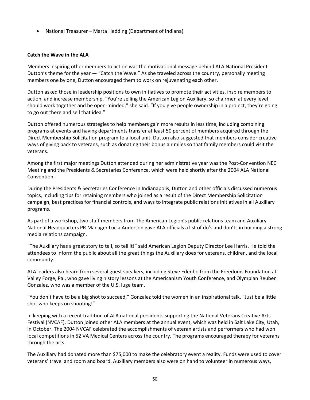• National Treasurer – Marta Hedding (Department of Indiana)

#### **Catch the Wave in the ALA**

Members inspiring other members to action was the motivational message behind ALA National President Dutton's theme for the year — "Catch the Wave." As she traveled across the country, personally meeting members one by one, Dutton encouraged them to work on rejuvenating each other.

Dutton asked those in leadership positions to own initiatives to promote their activities, inspire members to action, and increase membership. "You're selling the American Legion Auxiliary, so chairmen at every level should work together and be open-minded," she said. "If you give people ownership in a project, they're going to go out there and sell that idea."

Dutton offered numerous strategies to help members gain more results in less time, including combining programs at events and having departments transfer at least 50 percent of members acquired through the Direct Membership Solicitation program to a local unit. Dutton also suggested that members consider creative ways of giving back to veterans, such as donating their bonus air miles so that family members could visit the veterans.

Among the first major meetings Dutton attended during her administrative year was the Post-Convention NEC Meeting and the Presidents & Secretaries Conference, which were held shortly after the 2004 ALA National Convention.

During the Presidents & Secretaries Conference in Indianapolis, Dutton and other officials discussed numerous topics, including tips for retaining members who joined as a result of the Direct Membership Solicitation campaign, best practices for financial controls, and ways to integrate public relations initiatives in all Auxiliary programs.

As part of a workshop, two staff members from The American Legion's public relations team and Auxiliary National Headquarters PR Manager Lucia Anderson gave ALA officials a list of do's and don'ts in building a strong media relations campaign.

"The Auxiliary has a great story to tell, so tell it!" said American Legion Deputy Director Lee Harris. He told the attendees to inform the public about all the great things the Auxiliary does for veterans, children, and the local community.

ALA leaders also heard from several guest speakers, including Steve Edenbo from the Freedoms Foundation at Valley Forge, Pa., who gave living history lessons at the Americanism Youth Conference, and Olympian Reuben Gonzalez, who was a member of the U.S. luge team.

"You don't have to be a big shot to succeed," Gonzalez told the women in an inspirational talk. "Just be a little shot who keeps on shooting!"

In keeping with a recent tradition of ALA national presidents supporting the National Veterans Creative Arts Festival (NVCAF), Dutton joined other ALA members at the annual event, which was held in Salt Lake City, Utah, in October. The 2004 NVCAF celebrated the accomplishments of veteran artists and performers who had won local competitions in 52 VA Medical Centers across the country. The programs encouraged therapy for veterans through the arts.

The Auxiliary had donated more than \$75,000 to make the celebratory event a reality. Funds were used to cover veterans' travel and room and board. Auxiliary members also were on hand to volunteer in numerous ways,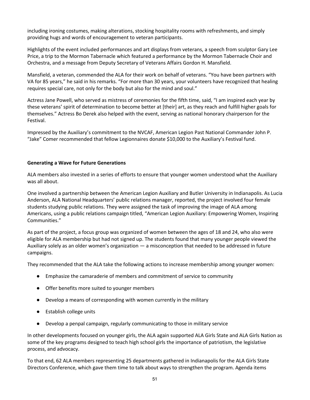including ironing costumes, making alterations, stocking hospitality rooms with refreshments, and simply providing hugs and words of encouragement to veteran participants.

Highlights of the event included performances and art displays from veterans, a speech from sculptor Gary Lee Price, a trip to the Mormon Tabernacle which featured a performance by the Mormon Tabernacle Choir and Orchestra, and a message from Deputy Secretary of Veterans Affairs Gordon H. Mansfield.

Mansfield, a veteran, commended the ALA for their work on behalf of veterans. "You have been partners with VA for 85 years," he said in his remarks. "For more than 30 years, your volunteers have recognized that healing requires special care, not only for the body but also for the mind and soul."

Actress Jane Powell, who served as mistress of ceremonies for the fifth time, said, "I am inspired each year by these veterans' spirit of determination to become better at [their] art, as they reach and fulfill higher goals for themselves." Actress Bo Derek also helped with the event, serving as national honorary chairperson for the Festival.

Impressed by the Auxiliary's commitment to the NVCAF, American Legion Past National Commander John P. "Jake" Comer recommended that fellow Legionnaires donate \$10,000 to the Auxiliary's Festival fund.

#### **Generating a Wave for Future Generations**

ALA members also invested in a series of efforts to ensure that younger women understood what the Auxiliary was all about.

One involved a partnership between the American Legion Auxiliary and Butler University in Indianapolis. As Lucia Anderson, ALA National Headquarters' public relations manager, reported, the project involved four female students studying public relations. They were assigned the task of improving the image of ALA among Americans, using a public relations campaign titled, "American Legion Auxiliary: Empowering Women, Inspiring Communities."

As part of the project, a focus group was organized of women between the ages of 18 and 24, who also were eligible for ALA membership but had not signed up. The students found that many younger people viewed the Auxiliary solely as an older women's organization — a misconception that needed to be addressed in future campaigns.

They recommended that the ALA take the following actions to increase membership among younger women:

- Emphasize the camaraderie of members and commitment of service to community
- Offer benefits more suited to younger members
- Develop a means of corresponding with women currently in the military
- Establish college units
- Develop a penpal campaign, regularly communicating to those in military service

In other developments focused on younger girls, the ALA again supported ALA Girls State and ALA Girls Nation as some of the key programs designed to teach high school girls the importance of patriotism, the legislative process, and advocacy.

To that end, 62 ALA members representing 25 departments gathered in Indianapolis for the ALA Girls State Directors Conference, which gave them time to talk about ways to strengthen the program. Agenda items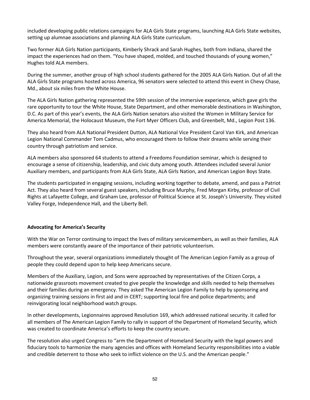included developing public relations campaigns for ALA Girls State programs, launching ALA Girls State websites, setting up alumnae associations and planning ALA Girls State curriculum.

Two former ALA Girls Nation participants, Kimberly Shrack and Sarah Hughes, both from Indiana, shared the impact the experiences had on them. "You have shaped, molded, and touched thousands of young women," Hughes told ALA members.

During the summer, another group of high school students gathered for the 2005 ALA Girls Nation. Out of all the ALA Girls State programs hosted across America, 96 senators were selected to attend this event in Chevy Chase, Md., about six miles from the White House.

The ALA Girls Nation gathering represented the 59th session of the immersive experience, which gave girls the rare opportunity to tour the White House, State Department, and other memorable destinations in Washington, D.C. As part of this year's events, the ALA Girls Nation senators also visited the Women in Military Service for America Memorial, the Holocaust Museum, the Fort Myer Officers Club, and Greenbelt, Md., Legion Post 136.

They also heard from ALA National President Dutton, ALA National Vice President Carol Van Kirk, and American Legion National Commander Tom Cadmus, who encouraged them to follow their dreams while serving their country through patriotism and service.

ALA members also sponsored 64 students to attend a Freedoms Foundation seminar, which is designed to encourage a sense of citizenship, leadership, and civic duty among youth. Attendees included several Junior Auxiliary members, and participants from ALA Girls State, ALA Girls Nation, and American Legion Boys State.

The students participated in engaging sessions, including working together to debate, amend, and pass a Patriot Act. They also heard from several guest speakers, including Bruce Murphy, Fred Morgan Kirby, professor of Civil Rights at Lafayette College, and Graham Lee, professor of Political Science at St. Joseph's University. They visited Valley Forge, Independence Hall, and the Liberty Bell.

#### **Advocating for America's Security**

With the War on Terror continuing to impact the lives of military servicemembers, as well as their families, ALA members were constantly aware of the importance of their patriotic volunteerism.

Throughout the year, several organizations immediately thought of The American Legion Family as a group of people they could depend upon to help keep Americans secure.

Members of the Auxiliary, Legion, and Sons were approached by representatives of the Citizen Corps, a nationwide grassroots movement created to give people the knowledge and skills needed to help themselves and their families during an emergency. They asked The American Legion Family to help by sponsoring and organizing training sessions in first aid and in CERT; supporting local fire and police departments; and reinvigorating local neighborhood watch groups.

In other developments, Legionnaires approved Resolution 169, which addressed national security. It called for all members of The American Legion Family to rally in support of the Department of Homeland Security, which was created to coordinate America's efforts to keep the country secure.

The resolution also urged Congress to "arm the Department of Homeland Security with the legal powers and fiduciary tools to harmonize the many agencies and offices with Homeland Security responsibilities into a viable and credible deterrent to those who seek to inflict violence on the U.S. and the American people."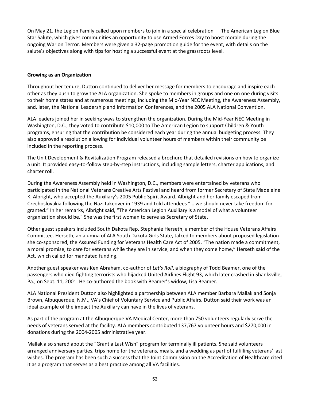On May 21, the Legion Family called upon members to join in a special celebration — The American Legion Blue Star Salute, which gives communities an opportunity to use Armed Forces Day to boost morale during the ongoing War on Terror. Members were given a 32-page promotion guide for the event, with details on the salute's objectives along with tips for hosting a successful event at the grassroots level.

#### **Growing as an Organization**

Throughout her tenure, Dutton continued to deliver her message for members to encourage and inspire each other as they push to grow the ALA organization. She spoke to members in groups and one on one during visits to their home states and at numerous meetings, including the Mid-Year NEC Meeting, the Awareness Assembly, and, later, the National Leadership and Information Conferences, and the 2005 ALA National Convention.

ALA leaders joined her in seeking ways to strengthen the organization. During the Mid-Year NEC Meeting in Washington, D.C., they voted to contribute \$10,000 to The American Legion to support Children & Youth programs, ensuring that the contribution be considered each year during the annual budgeting process. They also approved a resolution allowing for individual volunteer hours of members within their community be included in the reporting process.

The Unit Development & Revitalization Program released a brochure that detailed revisions on how to organize a unit. It provided easy-to-follow step-by-step instructions, including sample letters, charter applications, and charter roll.

During the Awareness Assembly held in Washington, D.C., members were entertained by veterans who participated in the National Veterans Creative Arts Festival and heard from former Secretary of State Madeleine K. Albright, who accepted the Auxiliary's 2005 Public Spirit Award. Albright and her family escaped from Czechoslovakia following the Nazi takeover in 1939 and told attendees "… we should never take freedom for granted." In her remarks, Albright said, "The American Legion Auxiliary is a model of what a volunteer organization should be." She was the first woman to serve as Secretary of State.

Other guest speakers included South Dakota Rep. Stephanie Herseth, a member of the House Veterans Affairs Committee. Herseth, an alumna of ALA South Dakota Girls State, talked to members about proposed legislation she co-sponsored, the Assured Funding for Veterans Health Care Act of 2005. "The nation made a commitment, a moral promise, to care for veterans while they are in service, and when they come home," Herseth said of the Act, which called for mandated funding.

Another guest speaker was Ken Abraham, co-author of *Let's Roll*, a biography of Todd Beamer, one of the passengers who died fighting terrorists who hijacked United Airlines Flight 93, which later crashed in Shanksville, Pa., on Sept. 11, 2001. He co-authored the book with Beamer's widow, Lisa Beamer.

ALA National President Dutton also highlighted a partnership between ALA member Barbara Mallak and Sonja Brown, Albuquerque, N.M., VA's Chief of Voluntary Service and Public Affairs. Dutton said their work was an ideal example of the impact the Auxiliary can have in the lives of veterans.

As part of the program at the Albuquerque VA Medical Center, more than 750 volunteers regularly serve the needs of veterans served at the facility. ALA members contributed 137,767 volunteer hours and \$270,000 in donations during the 2004-2005 administrative year.

Mallak also shared about the "Grant a Last Wish" program for terminally ill patients. She said volunteers arranged anniversary parties, trips home for the veterans, meals, and a wedding as part of fulfilling veterans' last wishes. The program has been such a success that the Joint Commission on the Accreditation of Healthcare cited it as a program that serves as a best practice among all VA facilities.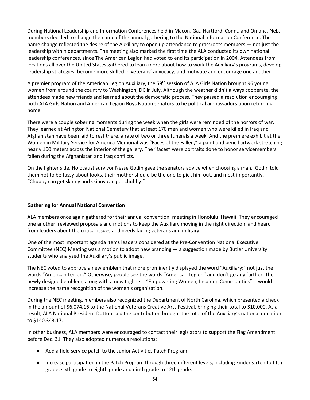During National Leadership and Information Conferences held in Macon, Ga., Hartford, Conn., and Omaha, Neb., members decided to change the name of the annual gathering to the National Information Conference. The name change reflected the desire of the Auxiliary to open up attendance to grassroots members — not just the leadership within departments. The meeting also marked the first time the ALA conducted its own national leadership conferences, since The American Legion had voted to end its participation in 2004. Attendees from locations all over the United States gathered to learn more about how to work the Auxiliary's programs, develop leadership strategies, become more skilled in veterans' advocacy, and motivate and encourage one another.

A premier program of the American Legion Auxiliary, the 59<sup>th</sup> session of ALA Girls Nation brought 96 young women from around the country to Washington, DC in July. Although the weather didn't always cooperate, the attendees made new friends and learned about the democratic process. They passed a resolution encouraging both ALA Girls Nation and American Legion Boys Nation senators to be political ambassadors upon returning home.

There were a couple sobering moments during the week when the girls were reminded of the horrors of war. They learned at Arlington National Cemetery that at least 170 men and women who were killed in Iraq and Afghanistan have been laid to rest there, a rate of two or three funerals a week. And the premiere exhibit at the Women in Military Service for America Memorial was "Faces of the Fallen," a paint and pencil artwork stretching nearly 100 meters across the interior of the gallery. The "faces" were portraits done to honor servicemembers fallen during the Afghanistan and Iraq conflicts.

On the lighter side, Holocaust survivor Nesse Godin gave the senators advice when choosing a man. Godin told them not to be fussy about looks, their mother should be the one to pick him out, and most importantly, "Chubby can get skinny and skinny can get chubby."

#### **Gathering for Annual National Convention**

ALA members once again gathered for their annual convention, meeting in Honolulu, Hawaii. They encouraged one another, reviewed proposals and motions to keep the Auxiliary moving in the right direction, and heard from leaders about the critical issues and needs facing veterans and military.

One of the most important agenda items leaders considered at the Pre-Convention National Executive Committee (NEC) Meeting was a motion to adopt new branding — a suggestion made by Butler University students who analyzed the Auxiliary's public image.

The NEC voted to approve a new emblem that more prominently displayed the word "Auxiliary;" not just the words "American Legion." Otherwise, people see the words "American Legion" and don't go any further. The newly designed emblem, along with a new tagline -- "Empowering Women, Inspiring Communities" -- would increase the name recognition of the women's organization.

During the NEC meeting, members also recognized the Department of North Carolina, which presented a check in the amount of \$6,074.16 to the National Veterans Creative Arts Festival, bringing their total to \$10,000. As a result, ALA National President Dutton said the contribution brought the total of the Auxiliary's national donation to \$140,343.17.

In other business, ALA members were encouraged to contact their legislators to support the Flag Amendment before Dec. 31. They also adopted numerous resolutions:

- Add a field service patch to the Junior Activities Patch Program.
- Increase participation in the Patch Program through three different levels, including kindergarten to fifth grade, sixth grade to eighth grade and ninth grade to 12th grade.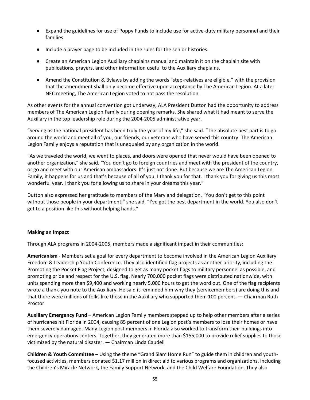- Expand the guidelines for use of Poppy Funds to include use for active-duty military personnel and their families.
- Include a prayer page to be included in the rules for the senior histories.
- Create an American Legion Auxiliary chaplains manual and maintain it on the chaplain site with publications, prayers, and other information useful to the Auxiliary chaplains.
- Amend the Constitution & Bylaws by adding the words "step-relatives are eligible," with the provision that the amendment shall only become effective upon acceptance by The American Legion. At a later NEC meeting, The American Legion voted to not pass the resolution.

As other events for the annual convention got underway, ALA President Dutton had the opportunity to address members of The American Legion Family during opening remarks. She shared what it had meant to serve the Auxiliary in the top leadership role during the 2004-2005 administrative year.

"Serving as the national president has been truly the year of my life," she said. "The absolute best part is to go around the world and meet all of you, our friends, our veterans who have served this country. The American Legion Family enjoys a reputation that is unequaled by any organization in the world.

"As we traveled the world, we went to places, and doors were opened that never would have been opened to another organization," she said. "You don't go to foreign countries and meet with the president of the country, or go and meet with our American ambassadors. It's just not done. But because we are The American Legion Family, it happens for us and that's because of all of you. I thank you for that. I thank you for giving us this most wonderful year. I thank you for allowing us to share in your dreams this year."

Dutton also expressed her gratitude to members of the Maryland delegation. "You don't get to this point without those people in your department," she said. "I've got the best department in the world. You also don't get to a position like this without helping hands."

#### **Making an Impact**

Through ALA programs in 2004-2005, members made a significant impact in their communities:

**Americanism** - Members set a goal for every department to become involved in the American Legion Auxiliary Freedom & Leadership Youth Conference. They also identified flag projects as another priority, including the Promoting the Pocket Flag Project, designed to get as many pocket flags to military personnel as possible, and promoting pride and respect for the U.S. flag. Nearly 700,000 pocket flags were distributed nationwide, with units spending more than \$9,400 and working nearly 5,000 hours to get the word out. One of the flag recipients wrote a thank-you note to the Auxiliary. He said it reminded him why they (servicemembers) are doing this and that there were millions of folks like those in the Auxiliary who supported them 100 percent. — Chairman Ruth Proctor

**Auxiliary Emergency Fund** – American Legion Family members stepped up to help other members after a series of hurricanes hit Florida in 2004, causing 85 percent of one Legion post's members to lose their homes or have them severely damaged. Many Legion post members in Florida also worked to transform their buildings into emergency operations centers. Together, they generated more than \$155,000 to provide relief supplies to those victimized by the natural disaster. — Chairman Linda Caudell

**Children & Youth Committee** – Using the theme "Grand Slam Home Run" to guide them in children and youthfocused activities, members donated \$1.17 million in direct aid to various programs and organizations, including the Children's Miracle Network, the Family Support Network, and the Child Welfare Foundation. They also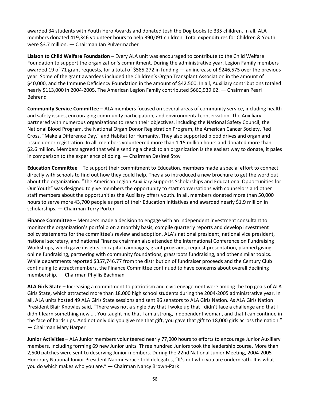awarded 34 students with Youth Hero Awards and donated Josh the Dog books to 335 children. In all, ALA members donated 419,346 volunteer hours to help 390,091 children. Total expenditures for Children & Youth were \$3.7 million. — Chairman Jan Pulvermacher

**Liaison to Child Welfare Foundation** – Every ALA unit was encouraged to contribute to the Child Welfare Foundation to support the organization's commitment. During the administrative year, Legion Family members awarded 19 of 71 grant requests, for a total of \$585,272 in funding — an increase of \$246,575 over the previous year. Some of the grant awardees included the Children's Organ Transplant Association in the amount of \$40,000, and the Immune Deficiency Foundation in the amount of \$42,500. In all, Auxiliary contributions totaled nearly \$113,000 in 2004-2005. The American Legion Family contributed \$660,939.62. — Chairman Pearl Behrend

**Community Service Committee** – ALA members focused on several areas of community service, including health and safety issues, encouraging community participation, and environmental conservation. The Auxiliary partnered with numerous organizations to reach their objectives, including the National Safety Council, the National Blood Program, the National Organ Donor Registration Program, the American Cancer Society, Red Cross, "Make a Difference Day," and Habitat for Humanity. They also supported blood drives and organ and tissue donor registration. In all, members volunteered more than 1.15 million hours and donated more than \$2.6 million. Members agreed that while sending a check to an organization is the easiest way to donate, it pales in comparison to the experience of doing. — Chairman Desireé Stoy

**Education Committee** – To support their commitment to Education, members made a special effort to connect directly with schools to find out how they could help. They also introduced a new brochure to get the word out about the organization. "The American Legion Auxiliary Supports Scholarships and Educational Opportunities for Our Youth" was designed to give members the opportunity to start conversations with counselors and other staff members about the opportunities the Auxiliary offers youth. In all, members donated more than 50,000 hours to serve more 43,700 people as part of their Education initiatives and awarded nearly \$1.9 million in scholarships. — Chairman Terry Porter

**Finance Committee** – Members made a decision to engage with an independent investment consultant to monitor the organization's portfolio on a monthly basis, compile quarterly reports and develop investment policy statements for the committee's review and adoption. ALA's national president, national vice president, national secretary, and national Finance chairman also attended the International Conference on Fundraising Workshops, which gave insights on capital campaigns, grant programs, request presentation, planned giving, online fundraising, partnering with community foundations, grassroots fundraising, and other similar topics. While departments reported \$357,746.77 from the distribution of fundraiser proceeds and the Century Club continuing to attract members, the Finance Committee continued to have concerns about overall declining membership. — Chairman Phyllis Bachman

**ALA Girls State** – Increasing a commitment to patriotism and civic engagement were among the top goals of ALA Girls State, which attracted more than 18,000 high school students during the 2004-2005 administrative year. In all, ALA units hosted 49 ALA Girls State sessions and sent 96 senators to ALA Girls Nation. As ALA Girls Nation President Blair Knowles said, "There was not a single day that I woke up that I didn't face a challenge and that I didn't learn something new …. You taught me that I am a strong, independent woman, and that I can continue in the face of hardships. And not only did you give me that gift, you gave that gift to 18,000 girls across the nation." — Chairman Mary Harper

**Junior Activities** – ALA Junior members volunteered nearly 77,000 hours to efforts to encourage Junior Auxiliary members, including forming 69 new Junior units. Three hundred Juniors took the leadership course. More than 2,500 patches were sent to deserving Junior members. During the 22nd National Junior Meeting, 2004-2005 Honorary National Junior President Naomi Farace told delegates, "It's not who you are underneath. It is what you do which makes who you are." — Chairman Nancy Brown-Park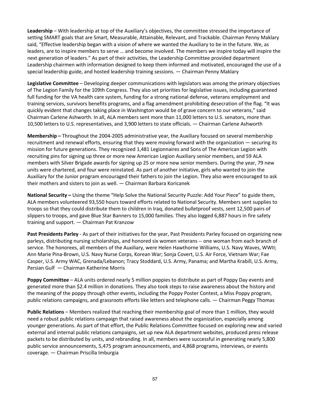**Leadership** – With leadership at top of the Auxiliary's objectives, the committee stressed the importance of setting SMART goals that are Smart, Measurable, Attainable, Relevant, and Trackable. Chairman Penny Maklary said, "Effective leadership began with a vision of where we wanted the Auxiliary to be in the future. We, as leaders, are to inspire members to serve … and become involved. The members we inspire today will inspire the next generation of leaders." As part of their activities, the Leadership Committee provided department Leadership chairmen with information designed to keep them informed and motivated, encouraged the use of a special leadership guide, and hosted leadership training sessions. — Chairman Penny Maklary

**Legislative Committee** – Developing deeper communications with legislators was among the primary objectives of The Legion Family for the 109th Congress. They also set priorities for legislative issues, including guaranteed full funding for the VA health care system, funding for a strong national defense, veterans employment and training services, survivors benefits programs, and a flag amendment prohibiting desecration of the flag. "It was quickly evident that changes taking place in Washington would be of grave concern to our veterans," said Chairman Carlene Ashworth. In all, ALA members sent more than 11,000 letters to U.S. senators, more than 10,500 letters to U.S. representatives, and 3,900 letters to state officials. — Chairman Carlene Ashworth

**Membership –** Throughout the 2004-2005 administrative year, the Auxiliary focused on several membership recruitment and renewal efforts, ensuring that they were moving forward with the organization — securing its mission for future generations. They recognized 1,481 Legionnaires and Sons of The American Legion with recruiting pins for signing up three or more new American Legion Auxiliary senior members, and 59 ALA members with Silver Brigade awards for signing up 25 or more new senior members. During the year, 79 new units were chartered, and four were reinstated. As part of another initiative, girls who wanted to join the Auxiliary for the Junior program encouraged their fathers to join the Legion. They also were encouraged to ask their mothers and sisters to join as well. — Chairman Barbara Koricanek

**National Security –** Using the theme "Help Solve the National Security Puzzle: Add Your Piece" to guide them, ALA members volunteered 93,550 hours toward efforts related to National Security. Members sent supplies to troops so that they could distribute them to children in Iraq, donated bulletproof vests, sent 12,500 pairs of slippers to troops, and gave Blue Star Banners to 15,000 families. They also logged 6,887 hours in fire safety training and support. — Chairman Pat Kranzow

**Past Presidents Parley** - As part of their initiatives for the year, Past Presidents Parley focused on organizing new parleys, distributing nursing scholarships, and honored six women veterans -- one woman from each branch of service. The honorees, all members of the Auxiliary, were Helen Hawthorne Williams, U.S. Navy Waves, WWII; Ann Marie Pina-Brown, U.S. Navy Nurse Corps, Korean War; Sonja Covert, U.S. Air Force, Vietnam War; Fae Casper, U.S. Army WAC, Grenada/Lebanon; Tracy Stoddard, U.S. Army, Panama; and Martha Krabill, U.S. Army, Persian Gulf — Chairman Katherine Morris

**Poppy Committee** – ALA units ordered nearly 5 million poppies to distribute as part of Poppy Day events and generated more than \$2.4 million in donations. They also took steps to raise awareness about the history and the meaning of the poppy through other events, including the Poppy Poster Contest, a Miss Poppy program, public relations campaigns, and grassroots efforts like letters and telephone calls. — Chairman Peggy Thomas

**Public Relations** – Members realized that reaching their membership goal of more than 1 million, they would need a robust public relations campaign that raised awareness about the organization, especially among younger generations. As part of that effort, the Public Relations Committee focused on exploring new and varied external and internal public relations campaigns, set up new ALA department websites, produced press release packets to be distributed by units, and rebranding. In all, members were successful in generating nearly 5,800 public service announcements, 5,475 program announcements, and 4,868 programs, interviews, or events coverage. — Chairman Priscilla Imburgia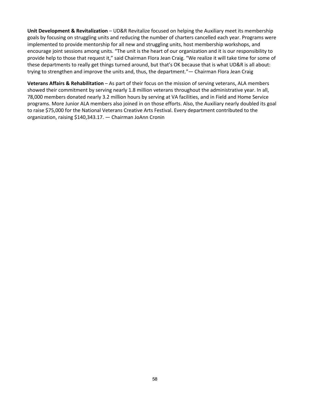**Unit Development & Revitalization** – UD&R Revitalize focused on helping the Auxiliary meet its membership goals by focusing on struggling units and reducing the number of charters cancelled each year. Programs were implemented to provide mentorship for all new and struggling units, host membership workshops, and encourage joint sessions among units. "The unit is the heart of our organization and it is our responsibility to provide help to those that request it," said Chairman Flora Jean Craig. "We realize it will take time for some of these departments to really get things turned around, but that's OK because that is what UD&R is all about: trying to strengthen and improve the units and, thus, the department."— Chairman Flora Jean Craig

Veterans Affairs & Rehabilitation - As part of their focus on the mission of serving veterans, ALA members showed their commitment by serving nearly 1.8 million veterans throughout the administrative year. In all, 78,000 members donated nearly 3.2 million hours by serving at VA facilities, and in Field and Home Service programs. More Junior ALA members also joined in on those efforts. Also, the Auxiliary nearly doubled its goal to raise \$75,000 for the National Veterans Creative Arts Festival. Every department contributed to the organization, raising \$140,343.17. — Chairman JoAnn Cronin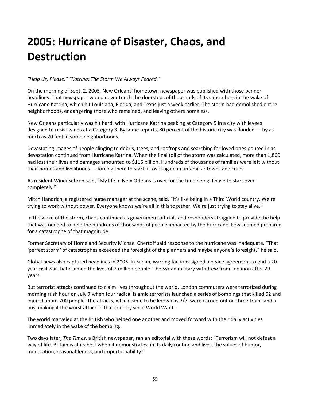# **2005: Hurricane of Disaster, Chaos, and Destruction**

#### *"Help Us, Please." "Katrina: The Storm We Always Feared."*

On the morning of Sept. 2, 2005*,* New Orleans' hometown newspaper was published with those banner headlines. That newspaper would never touch the doorsteps of thousands of its subscribers in the wake of Hurricane Katrina, which hit Louisiana, Florida, and Texas just a week earlier. The storm had demolished entire neighborhoods, endangering those who remained, and leaving others homeless.

New Orleans particularly was hit hard, with Hurricane Katrina peaking at Category 5 in a city with levees designed to resist winds at a Category 3. By some reports, 80 percent of the historic city was flooded — by as much as 20 feet in some neighborhoods.

Devastating images of people clinging to debris, trees, and rooftops and searching for loved ones poured in as devastation continued from Hurricane Katrina. When the final toll of the storm was calculated, more than 1,800 had lost their lives and damages amounted to \$115 billion. Hundreds of thousands of families were left without their homes and livelihoods — forcing them to start all over again in unfamiliar towns and cities.

As resident Windi Sebren said, "My life in New Orleans is over for the time being. I have to start over completely."

Mitch Handrich, a registered nurse manager at the scene, said, "It's like being in a Third World country. We're trying to work without power. Everyone knows we're all in this together. We're just trying to stay alive."

In the wake of the storm, chaos continued as government officials and responders struggled to provide the help that was needed to help the hundreds of thousands of people impacted by the hurricane. Few seemed prepared for a catastrophe of that magnitude.

Former Secretary of Homeland Security Michael Chertoff said response to the hurricane was inadequate. "That 'perfect storm' of catastrophes exceeded the foresight of the planners and maybe anyone's foresight," he said.

Global news also captured headlines in 2005. In Sudan, warring factions signed a peace agreement to end a 20 year civil war that claimed the lives of 2 million people. The Syrian military withdrew from Lebanon after 29 years.

But terrorist attacks continued to claim lives throughout the world. London commuters were terrorized during morning rush hour on July 7 when four radical Islamic terrorists launched a series of bombings that killed 52 and injured about 700 people. The attacks, which came to be known as 7/7, were carried out on three trains and a bus, making it the worst attack in that country since World War II.

The world marveled at the British who helped one another and moved forward with their daily activities immediately in the wake of the bombing.

Two days later, *The Times*, a British newspaper, ran an editorial with these words: "Terrorism will not defeat a way of life. Britain is at its best when it demonstrates, in its daily routine and lives, the values of humor, moderation, reasonableness, and imperturbability."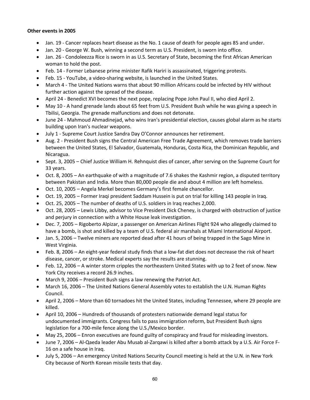#### **Other events in 2005**

- Jan. 19 Cancer replaces heart disease as the No. 1 cause of death for people ages 85 and under.
- Jan. 20 George W. Bush, winning a second term as U.S. President, is sworn into office.
- Jan. 26 Condoleezza Rice is sworn in as U.S. Secretary of State, becoming the first African American woman to hold the post.
- Feb. 14 Former Lebanese prime minister Rafik Hariri is assassinated, triggering protests.
- Feb. 15 YouTube, a video-sharing website, is launched in the United States.
- March 4 The United Nations warns that about 90 million Africans could be infected by HIV without further action against the spread of the disease.
- April 24 Benedict XVI becomes the next pope, replacing Pope John Paul II, who died April 2.
- May 10 A hand grenade lands about 65 feet from U.S. President Bush while he was giving a speech in Tbilisi, Georgia. The grenade malfunctions and does not detonate.
- June 24 Mahmoud Ahmadinejad, who wins Iran's presidential election, causes global alarm as he starts building upon Iran's nuclear weapons.
- July 1 Supreme Court Justice Sandra Day O'Connor announces her retirement.
- Aug. 2 President Bush signs the Central American Free Trade Agreement, which removes trade barriers between the United States, El Salvador, Guatemala, Honduras, Costa Rica, the Dominican Republic, and Nicaragua.
- Sept. 3, 2005 Chief Justice William H. Rehnquist dies of cancer, after serving on the Supreme Court for 33 years.
- Oct. 8, 2005 An earthquake of with a magnitude of 7.6 shakes the Kashmir region, a disputed territory between Pakistan and India. More than 80,000 people die and about 4 million are left homeless.
- Oct. 10, 2005 Angela Merkel becomes Germany's first female chancellor.
- Oct. 19, 2005 Former Iraqi president Saddam Hussein is put on trial for killing 143 people in Iraq.
- Oct. 25, 2005 The number of deaths of U.S. soldiers in Iraq reaches 2,000.
- Oct. 28, 2005 Lewis Libby, advisor to Vice President Dick Cheney, is charged with obstruction of justice and perjury in connection with a White House leak investigation.
- Dec. 7, 2005 Rigoberto Alpizar, a passenger on American Airlines Flight 924 who allegedly claimed to have a bomb, is shot and killed by a team of U.S. federal air marshals at Miami International Airport.
- Jan. 5, 2006 Twelve miners are reported dead after 41 hours of being trapped in the Sago Mine in West Virginia.
- Feb. 8, 2006 An eight-year federal study finds that a low-fat diet does not decrease the risk of heart disease, cancer, or stroke. Medical experts say the results are stunning.
- Feb. 12, 2006 A winter storm cripples the northeastern United States with up to 2 feet of snow. New York City receives a record 26.9 inches.
- March 9, 2006 President Bush signs a law renewing the Patriot Act.
- March 16, 2006 The United Nations General Assembly votes to establish the U.N. Human Rights Council.
- April 2, 2006 More than 60 tornadoes hit the United States, including Tennessee, where 29 people are killed.
- April 10, 2006 Hundreds of thousands of protesters nationwide demand legal status for undocumented immigrants. Congress fails to pass immigration reform, but President Bush signs legislation for a 700-mile fence along the U.S./Mexico border.
- May 25, 2006 Enron executives are found guilty of conspiracy and fraud for misleading investors.
- June 7, 2006 Al-Qaeda leader Abu Musab al-Zarqawi is killed after a bomb attack by a U.S. Air Force F-16 on a safe house in Iraq.
- July 5, 2006 An emergency United Nations Security Council meeting is held at the U.N. in New York City because of North Korean missile tests that day.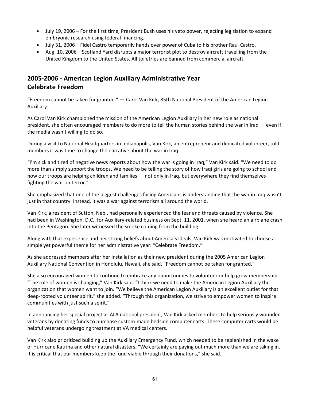- July 19, 2006 For the first time, President Bush uses his veto power, rejecting legislation to expand embryonic research using federal financing.
- July 31, 2006 Fidel Castro temporarily hands over power of Cuba to his brother Raul Castro.
- Aug. 10, 2006 Scotland Yard disrupts a major terrorist plot to destroy aircraft travelling from the United Kingdom to the United States. All toiletries are banned from commercial aircraft.

## **2005-2006 - American Legion Auxiliary Administrative Year Celebrate Freedom**

"Freedom cannot be taken for granted." — Carol Van Kirk, 85th National President of the American Legion Auxiliary

As Carol Van Kirk championed the mission of the American Legion Auxiliary in her new role as national president, she often encouraged members to do more to tell the human stories behind the war in Iraq — even if the media wasn't willing to do so.

During a visit to National Headquarters in Indianapolis, Van Kirk, an entrepreneur and dedicated volunteer, told members it was time to change the narrative about the war in Iraq.

"I'm sick and tired of negative news reports about how the war is going in Iraq," Van Kirk said. "We need to do more than simply support the troops. We need to be telling the story of how Iraqi girls are going to school and how our troops are helping children and families — not only in Iraq, but everywhere they find themselves fighting the war on terror."

She emphasized that one of the biggest challenges facing Americans is understanding that the war in Iraq wasn't just in that country. Instead, it was a war against terrorism all around the world.

Van Kirk, a resident of Sutton, Neb., had personally experienced the fear and threats caused by violence. She had been in Washington, D.C., for Auxiliary-related business on Sept. 11, 2001, when she heard an airplane crash into the Pentagon. She later witnessed the smoke coming from the building.

Along with that experience and her strong beliefs about America's ideals, Van Kirk was motivated to choose a simple yet powerful theme for her administrative year: "Celebrate Freedom."

As she addressed members after her installation as their new president during the 2005 American Legion Auxiliary National Convention in Honolulu, Hawaii, she said, "Freedom cannot be taken for granted."

She also encouraged women to continue to embrace any opportunities to volunteer or help grow membership. "The role of women is changing," Van Kirk said. "I think we need to make the American Legion Auxiliary the organization that women want to join. "We believe the American Legion Auxiliary is an excellent outlet for that deep-rooted volunteer spirit," she added. "Through this organization, we strive to empower women to inspire communities with just such a spirit."

In announcing her special project as ALA national president, Van Kirk asked members to help seriously wounded veterans by donating funds to purchase custom-made bedside computer carts. These computer carts would be helpful veterans undergoing treatment at VA medical centers.

Van Kirk also prioritized building up the Auxiliary Emergency Fund, which needed to be replenished in the wake of Hurricane Katrina and other natural disasters. "We certainly are paying out much more than we are taking in. It is critical that our members keep the fund viable through their donations," she said.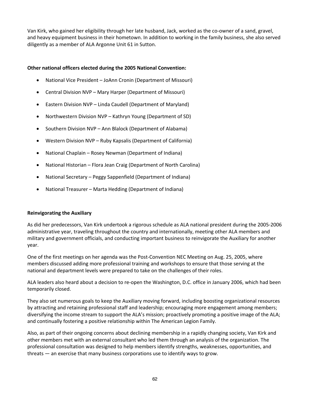Van Kirk, who gained her eligibility through her late husband, Jack, worked as the co-owner of a sand, gravel, and heavy equipment business in their hometown. In addition to working in the family business, she also served diligently as a member of ALA Argonne Unit 61 in Sutton.

#### **Other national officers elected during the 2005 National Convention:**

- National Vice President JoAnn Cronin (Department of Missouri)
- Central Division NVP Mary Harper (Department of Missouri)
- Eastern Division NVP Linda Caudell (Department of Maryland)
- Northwestern Division NVP Kathryn Young (Department of SD)
- Southern Division NVP Ann Blalock (Department of Alabama)
- Western Division NVP Ruby Kapsalis (Department of California)
- National Chaplain Rosey Newman (Department of Indiana)
- National Historian Flora Jean Craig (Department of North Carolina)
- National Secretary Peggy Sappenfield (Department of Indiana)
- National Treasurer Marta Hedding (Department of Indiana)

#### **Reinvigorating the Auxiliary**

As did her predecessors, Van Kirk undertook a rigorous schedule as ALA national president during the 2005-2006 administrative year, traveling throughout the country and internationally, meeting other ALA members and military and government officials, and conducting important business to reinvigorate the Auxiliary for another year.

One of the first meetings on her agenda was the Post-Convention NEC Meeting on Aug. 25, 2005, where members discussed adding more professional training and workshops to ensure that those serving at the national and department levels were prepared to take on the challenges of their roles.

ALA leaders also heard about a decision to re-open the Washington, D.C. office in January 2006, which had been temporarily closed.

They also set numerous goals to keep the Auxiliary moving forward, including boosting organizational resources by attracting and retaining professional staff and leadership; encouraging more engagement among members; diversifying the income stream to support the ALA's mission; proactively promoting a positive image of the ALA; and continually fostering a positive relationship within The American Legion Family.

Also, as part of their ongoing concerns about declining membership in a rapidly changing society, Van Kirk and other members met with an external consultant who led them through an analysis of the organization. The professional consultation was designed to help members identify strengths, weaknesses, opportunities, and threats — an exercise that many business corporations use to identify ways to grow.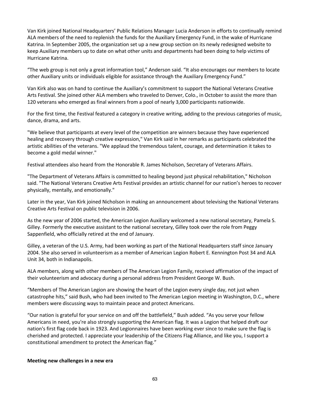Van Kirk joined National Headquarters' Public Relations Manager Lucia Anderson in efforts to continually remind ALA members of the need to replenish the funds for the Auxiliary Emergency Fund, in the wake of Hurricane Katrina. In September 2005, the organization set up a new group section on its newly redesigned website to keep Auxiliary members up to date on what other units and departments had been doing to help victims of Hurricane Katrina.

"The web group is not only a great information tool," Anderson said. "It also encourages our members to locate other Auxiliary units or individuals eligible for assistance through the Auxiliary Emergency Fund."

Van Kirk also was on hand to continue the Auxiliary's commitment to support the National Veterans Creative Arts Festival. She joined other ALA members who traveled to Denver, Colo., in October to assist the more than 120 veterans who emerged as final winners from a pool of nearly 3,000 participants nationwide.

For the first time, the Festival featured a category in creative writing, adding to the previous categories of music, dance, drama, and arts.

"We believe that participants at every level of the competition are winners because they have experienced healing and recovery through creative expression," Van Kirk said in her remarks as participants celebrated the artistic abilities of the veterans. "We applaud the tremendous talent, courage, and determination it takes to become a gold medal winner."

Festival attendees also heard from the Honorable R. James Nicholson, Secretary of Veterans Affairs.

"The Department of Veterans Affairs is committed to healing beyond just physical rehabilitation," Nicholson said. "The National Veterans Creative Arts Festival provides an artistic channel for our nation's heroes to recover physically, mentally, and emotionally."

Later in the year, Van Kirk joined Nicholson in making an announcement about televising the National Veterans Creative Arts Festival on public television in 2006.

As the new year of 2006 started, the American Legion Auxiliary welcomed a new national secretary, Pamela S. Gilley. Formerly the executive assistant to the national secretary, Gilley took over the role from Peggy Sappenfield, who officially retired at the end of January.

Gilley, a veteran of the U.S. Army, had been working as part of the National Headquarters staff since January 2004. She also served in volunteerism as a member of American Legion Robert E. Kennington Post 34 and ALA Unit 34, both in Indianapolis.

ALA members, along with other members of The American Legion Family, received affirmation of the impact of their volunteerism and advocacy during a personal address from President George W. Bush.

"Members of The American Legion are showing the heart of the Legion every single day, not just when catastrophe hits," said Bush, who had been invited to The American Legion meeting in Washington, D.C., where members were discussing ways to maintain peace and protect Americans.

"Our nation is grateful for your service on and off the battlefield," Bush added. "As you serve your fellow Americans in need, you're also strongly supporting the American flag. It was a Legion that helped draft our nation's first flag code back in 1923. And Legionnaires have been working ever since to make sure the flag is cherished and protected. I appreciate your leadership of the Citizens Flag Alliance, and like you, I support a constitutional amendment to protect the American flag."

#### **Meeting new challenges in a new era**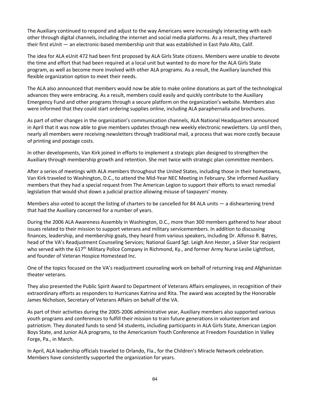The Auxiliary continued to respond and adjust to the way Americans were increasingly interacting with each other through digital channels, including the internet and social media platforms. As a result, they chartered their first eUnit — an electronic-based membership unit that was established in East Palo Alto, Calif.

The idea for ALA eUnit 472 had been first proposed by ALA Girls State citizens. Members were unable to devote the time and effort that had been required at a local unit but wanted to do more for the ALA Girls State program, as well as become more involved with other ALA programs. As a result, the Auxiliary launched this flexible organization option to meet their needs.

The ALA also announced that members would now be able to make online donations as part of the technological advances they were embracing. As a result, members could easily and quickly contribute to the Auxiliary Emergency Fund and other programs through a secure platform on the organization's website. Members also were informed that they could start ordering supplies online, including ALA paraphernalia and brochures.

As part of other changes in the organization's communication channels, ALA National Headquarters announced in April that it was now able to give members updates through new weekly electronic newsletters. Up until then, nearly all members were receiving newsletters through traditional mail, a process that was more costly because of printing and postage costs.

In other developments, Van Kirk joined in efforts to implement a strategic plan designed to strengthen the Auxiliary through membership growth and retention. She met twice with strategic plan committee members.

After a series of meetings with ALA members throughout the United States, including those in their hometowns, Van Kirk traveled to Washington, D.C., to attend the Mid-Year NEC Meeting in February. She informed Auxiliary members that they had a special request from The American Legion to support their efforts to enact remedial legislation that would shut down a judicial practice allowing misuse of taxpayers' money.

Members also voted to accept the listing of charters to be cancelled for 84 ALA units — a disheartening trend that had the Auxiliary concerned for a number of years.

During the 2006 ALA Awareness Assembly in Washington, D.C., more than 300 members gathered to hear about issues related to their mission to support veterans and military servicemembers. In addition to discussing finances, leadership, and membership goals, they heard from various speakers, including Dr. Alfonso R. Batres, head of the VA's Readjustment Counseling Services; National Guard Sgt. Leigh Ann Hester, a Silver Star recipient who served with the 617<sup>th</sup> Military Police Company in Richmond, Ky., and former Army Nurse Leslie Lightfoot, and founder of Veteran Hospice Homestead Inc.

One of the topics focused on the VA's readjustment counseling work on behalf of returning Iraq and Afghanistan theater veterans.

They also presented the Public Spirit Award to Department of Veterans Affairs employees, in recognition of their extraordinary efforts as responders to Hurricanes Katrina and Rita. The award was accepted by the Honorable James Nicholson, Secretary of Veterans Affairs on behalf of the VA.

As part of their activities during the 2005-2006 administrative year, Auxiliary members also supported various youth programs and conferences to fulfill their mission to train future generations in volunteerism and patriotism. They donated funds to send 54 students, including participants in ALA Girls State, American Legion Boys State, and Junior ALA programs, to the Americanism Youth Conference at Freedom Foundation in Valley Forge, Pa., in March.

In April, ALA leadership officials traveled to Orlando, Fla., for the Children's Miracle Network celebration. Members have consistently supported the organization for years.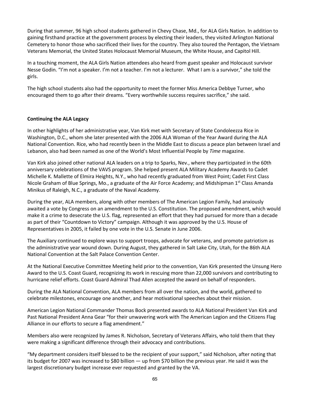During that summer, 96 high school students gathered in Chevy Chase, Md., for ALA Girls Nation. In addition to gaining firsthand practice at the government process by electing their leaders, they visited Arlington National Cemetery to honor those who sacrificed their lives for the country. They also toured the Pentagon, the Vietnam Veterans Memorial, the United States Holocaust Memorial Museum, the White House, and Capitol Hill.

In a touching moment, the ALA Girls Nation attendees also heard from guest speaker and Holocaust survivor Nesse Godin. "I'm not a speaker. I'm not a teacher. I'm not a lecturer. What I am is a survivor," she told the girls.

The high school students also had the opportunity to meet the former Miss America Debbye Turner, who encouraged them to go after their dreams. "Every worthwhile success requires sacrifice," she said.

#### **Continuing the ALA Legacy**

In other highlights of her administrative year, Van Kirk met with Secretary of State Condoleezza Rice in Washington, D.C., whom she later presented with the 2006 ALA Woman of the Year Award during the ALA National Convention. Rice, who had recently been in the Middle East to discuss a peace plan between Israel and Lebanon, also had been named as one of the World's Most Influential People by *Time* magazine.

Van Kirk also joined other national ALA leaders on a trip to Sparks, Nev., where they participated in the 60th anniversary celebrations of the VAVS program. She helped present ALA Military Academy Awards to Cadet Michelle K. Mallette of Elmira Heights, N.Y., who had recently graduated from West Point; Cadet First Class Nicole Graham of Blue Springs, Mo., a graduate of the Air Force Academy; and Midshipman 1<sup>st</sup> Class Amanda Minikus of Raleigh, N.C., a graduate of the Naval Academy.

During the year, ALA members, along with other members of The American Legion Family, had anxiously awaited a vote by Congress on an amendment to the U.S. Constitution. The proposed amendment, which would make it a crime to desecrate the U.S. flag, represented an effort that they had pursued for more than a decade as part of their "Countdown to Victory" campaign. Although it was approved by the U.S. House of Representatives in 2005, it failed by one vote in the U.S. Senate in June 2006.

The Auxiliary continued to explore ways to support troops, advocate for veterans, and promote patriotism as the administrative year wound down. During August, they gathered in Salt Lake City, Utah, for the 86th ALA National Convention at the Salt Palace Convention Center.

At the National Executive Committee Meeting held prior to the convention, Van Kirk presented the Unsung Hero Award to the U.S. Coast Guard, recognizing its work in rescuing more than 22,000 survivors and contributing to hurricane relief efforts. Coast Guard Admiral Thad Allen accepted the award on behalf of responders.

During the ALA National Convention, ALA members from all over the nation, and the world, gathered to celebrate milestones, encourage one another, and hear motivational speeches about their mission.

American Legion National Commander Thomas Bock presented awards to ALA National President Van Kirk and Past National President Anna Gear "for their unwavering work with The American Legion and the Citizens Flag Alliance in our efforts to secure a flag amendment."

Members also were recognized by James R. Nicholson, Secretary of Veterans Affairs, who told them that they were making a significant difference through their advocacy and contributions.

"My department considers itself blessed to be the recipient of your support," said Nicholson, after noting that its budget for 2007 was increased to \$80 billion — up from \$70 billion the previous year. He said it was the largest discretionary budget increase ever requested and granted by the VA.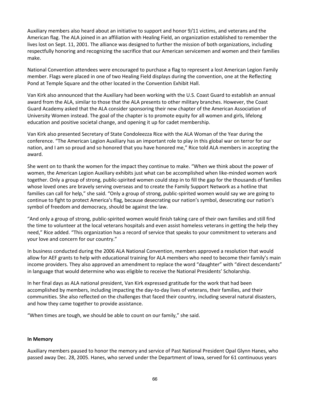Auxiliary members also heard about an initiative to support and honor 9/11 victims, and veterans and the American flag. The ALA joined in an affiliation with Healing Field, an organization established to remember the lives lost on Sept. 11, 2001. The alliance was designed to further the mission of both organizations, including respectfully honoring and recognizing the sacrifice that our American servicemen and women and their families make.

National Convention attendees were encouraged to purchase a flag to represent a lost American Legion Family member. Flags were placed in one of two Healing Field displays during the convention, one at the Reflecting Pond at Temple Square and the other located in the Convention Exhibit Hall.

Van Kirk also announced that the Auxiliary had been working with the U.S. Coast Guard to establish an annual award from the ALA, similar to those that the ALA presents to other military branches. However, the Coast Guard Academy asked that the ALA consider sponsoring their new chapter of the American Association of University Women instead. The goal of the chapter is to promote equity for all women and girls, lifelong education and positive societal change, and opening it up for cadet membership.

Van Kirk also presented Secretary of State Condoleezza Rice with the ALA Woman of the Year during the conference. "The American Legion Auxiliary has an important role to play in this global war on terror for our nation, and I am so proud and so honored that you have honored me," Rice told ALA members in accepting the award.

She went on to thank the women for the impact they continue to make. "When we think about the power of women, the American Legion Auxiliary exhibits just what can be accomplished when like-minded women work together. Only a group of strong, public-spirited women could step in to fill the gap for the thousands of families whose loved ones are bravely serving overseas and to create the Family Support Network as a hotline that families can call for help," she said. "Only a group of strong, public-spirited women would say we are going to continue to fight to protect America's flag, because desecrating our nation's symbol, desecrating our nation's symbol of freedom and democracy, should be against the law.

"And only a group of strong, public-spirited women would finish taking care of their own families and still find the time to volunteer at the local veterans hospitals and even assist homeless veterans in getting the help they need," Rice added. "This organization has a record of service that speaks to your commitment to veterans and your love and concern for our country."

In business conducted during the 2006 ALA National Convention, members approved a resolution that would allow for AEF grants to help with educational training for ALA members who need to become their family's main income providers. They also approved an amendment to replace the word "daughter" with "direct descendants" in language that would determine who was eligible to receive the National Presidents' Scholarship.

In her final days as ALA national president, Van Kirk expressed gratitude for the work that had been accomplished by members, including impacting the day-to-day lives of veterans, their families, and their communities. She also reflected on the challenges that faced their country, including several natural disasters, and how they came together to provide assistance.

"When times are tough, we should be able to count on our family," she said.

#### **In Memory**

Auxiliary members paused to honor the memory and service of Past National President Opal Glynn Hanes, who passed away Dec. 28, 2005. Hanes, who served under the Department of Iowa, served for 61 continuous years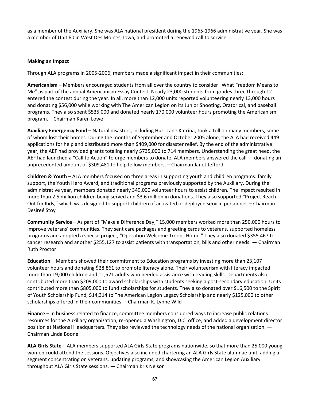as a member of the Auxiliary. She was ALA national president during the 1965-1966 administrative year. She was a member of Unit 60 in West Des Moines, Iowa, and promoted a renewed call to service.

#### **Making an Impact**

Through ALA programs in 2005-2006, members made a significant impact in their communities:

**Americanism –** Members encouraged students from all over the country to consider "What Freedom Means to Me" as part of the annual Americanism Essay Contest. Nearly 23,000 students from grades three through 12 entered the contest during the year. In all, more than 12,000 units reported volunteering nearly 13,000 hours and donating \$56,000 while working with The American Legion on its Junior Shooting, Oratorical, and baseball programs. They also spent \$535,000 and donated nearly 170,000 volunteer hours promoting the Americanism program. – Chairman Karen Lowe

**Auxiliary Emergency Fund** – Natural disasters, including Hurricane Katrina, took a toll on many members, some of whom lost their homes. During the months of September and October 2005 alone, the ALA had received 449 applications for help and distributed more than \$409,000 for disaster relief. By the end of the administrative year, the AEF had provided grants totaling nearly \$735,000 to 714 members. Understanding the great need, the AEF had launched a "Call to Action" to urge members to donate. ALA members answered the call — donating an unprecedented amount of \$309,481 to help fellow members. – Chairman Janet Jefford

**Children & Youth** – ALA members focused on three areas in supporting youth and children programs: family support, the Youth Hero Award, and traditional programs previously supported by the Auxiliary. During the administrative year, members donated nearly 349,000 volunteer hours to assist children. The impact resulted in more than 2.5 million children being served and \$3.6 million in donations. They also supported "Project Reach Out for Kids," which was designed to support children of activated or deployed service personnel. – Chairman Desireé Stoy

**Community Service** – As part of "Make a Difference Day," 15,000 members worked more than 250,000 hours to improve veterans' communities. They sent care packages and greeting cards to veterans, supported homeless programs and adopted a special project, "Operation Welcome Troops Home." They also donated \$355.467 to cancer research and another \$255,127 to assist patients with transportation, bills and other needs. — Chairman Ruth Proctor

**Education** – Members showed their commitment to Education programs by investing more than 23,107 volunteer hours and donating \$28,861 to promote literacy alone. Their volunteerism with literacy impacted more than 19,000 children and 11,521 adults who needed assistance with reading skills. Departments also contributed more than \$209,000 to award scholarships with students seeking a post-secondary education. Units contributed more than \$805,000 to fund scholarships for students. They also donated over \$16,500 to the Spirit of Youth Scholarship Fund, \$14,314 to The American Legion Legacy Scholarship and nearly \$125,000 to other scholarships offered in their communities. – Chairman K. Lynne Wild

**Finance** – In business related to finance, committee members considered ways to increase public relations resources for the Auxiliary organization, re-opened a Washington, D.C. office, and added a development director position at National Headquarters. They also reviewed the technology needs of the national organization. — Chairman Linda Boone

**ALA Girls State** – ALA members supported ALA Girls State programs nationwide, so that more than 25,000 young women could attend the sessions. Objectives also included chartering an ALA Girls State alumnae unit, adding a segment concentrating on veterans, updating programs, and showcasing the American Legion Auxiliary throughout ALA Girls State sessions. — Chairman Kris Nelson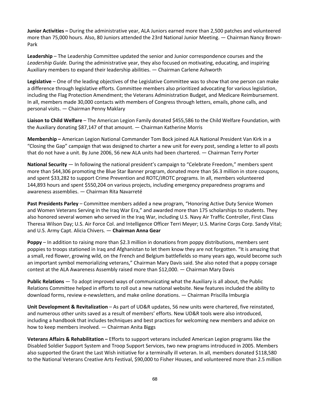**Junior Activities –** During the administrative year, ALA Juniors earned more than 2,500 patches and volunteered more than 75,000 hours. Also, 80 Juniors attended the 23rd National Junior Meeting. — Chairman Nancy Brown-Park

**Leadership** – The Leadership Committee updated the senior and Junior correspondence courses and the *Leadership Guide.* During the administrative year, they also focused on motivating, educating, and inspiring Auxiliary members to expand their leadership abilities. — Chairman Carlene Ashworth

**Legislative** – One of the leading objectives of the Legislative Committee was to show that one person can make a difference through legislative efforts. Committee members also prioritized advocating for various legislation, including the Flag Protection Amendment; the Veterans Administration Budget, and Medicare Reimbursement. In all, members made 30,000 contacts with members of Congress through letters, emails, phone calls, and personal visits. — Chairman Penny Maklary

**Liaison to Child Welfare** – The American Legion Family donated \$455,586 to the Child Welfare Foundation, with the Auxiliary donating \$87,147 of that amount. — Chairman Katherine Morris

**Membership –** American Legion National Commander Tom Bock joined ALA National President Van Kirk in a "Closing the Gap" campaign that was designed to charter a new unit for every post, sending a letter to all posts that do not have a unit. By June 2006, 56 new ALA units had been chartered. — Chairman Terry Porter

**National Security** — In following the national president's campaign to "Celebrate Freedom," members spent more than \$44,306 promoting the Blue Star Banner program, donated more than \$6.3 million in store coupons, and spent \$33,282 to support Crime Prevention and ROTC/JROTC programs. In all, members volunteered 144,893 hours and spent \$550,204 on various projects, including emergency preparedness programs and awareness assemblies. — Chairman Rita Navarreté

**Past Presidents Parley** – Committee members added a new program, "Honoring Active Duty Service Women and Women Veterans Serving in the Iraq War Era," and awarded more than 175 scholarships to students. They also honored several women who served in the Iraq War, including U.S. Navy Air Traffic Controller, First Class Theresa Wilson Day; U.S. Air Force Col. and Intelligence Officer Terri Meyer; U.S. Marine Corps Corp. Sandy Vital; and U.S. Army Capt. Alicia Chivers. — **Chairman Anna Gear**

**Poppy** – In addition to raising more than \$2.3 million in donations from poppy distributions, members sent poppies to troops stationed in Iraq and Afghanistan to let them know they are not forgotten. "It is amazing that a small, red flower, growing wild, on the French and Belgium battlefields so many years ago, would become such an important symbol memorializing veterans," Chairman Mary Davis said. She also noted that a poppy corsage contest at the ALA Awareness Assembly raised more than \$12,000. — Chairman Mary Davis

**Public Relations** — To adopt improved ways of communicating what the Auxiliary is all about, the Public Relations Committee helped in efforts to roll out a new national website. New features included the ability to download forms, review e-newsletters, and make online donations. — Chairman Priscilla Imburgia

**Unit Development & Revitalization** – As part of UD&R updates, 56 new units were chartered, five reinstated, and numerous other units saved as a result of members' efforts. New UD&R tools were also introduced, including a handbook that includes techniques and best practices for welcoming new members and advice on how to keep members involved. — Chairman Anita Biggs

**Veterans Affairs & Rehabilitation –** Efforts to support veterans included American Legion programs like the Disabled Soldier Support System and Troop Support Services, two new programs introduced in 2005. Members also supported the Grant the Last Wish initiative for a terminally ill veteran. In all, members donated \$118,580 to the National Veterans Creative Arts Festival, \$90,000 to Fisher Houses, and volunteered more than 2.5 million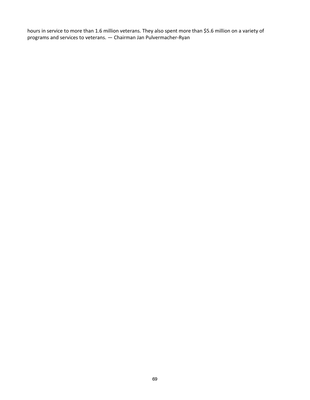hours in service to more than 1.6 million veterans. They also spent more than \$5.6 million on a variety of programs and services to veterans. — Chairman Jan Pulvermacher-Ryan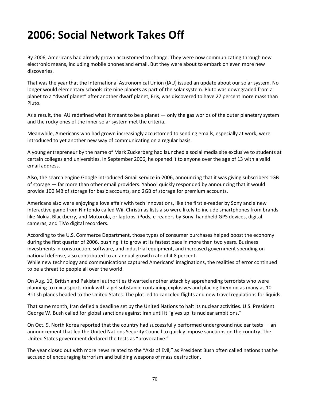## **2006: Social Network Takes Off**

By 2006, Americans had already grown accustomed to change. They were now communicating through new electronic means, including mobile phones and email. But they were about to embark on even more new discoveries.

That was the year that the International Astronomical Union (IAU) issued an update about our solar system. No longer would elementary schools cite nine planets as part of the solar system. Pluto was downgraded from a planet to a "dwarf planet" after another dwarf planet, Eris, was discovered to have 27 percent more mass than Pluto.

As a result, the IAU redefined what it meant to be a planet — only the gas worlds of the outer planetary system and the rocky ones of the inner solar system met the criteria.

Meanwhile, Americans who had grown increasingly accustomed to sending emails, especially at work, were introduced to yet another new way of communicating on a regular basis.

A young entrepreneur by the name of Mark Zuckerberg had launched a social media site exclusive to students at certain colleges and universities. In September 2006, he opened it to anyone over the age of 13 with a valid email address.

Also, the search engine Google introduced Gmail service in 2006, announcing that it was giving subscribers 1GB of storage — far more than other email providers. Yahoo! quickly responded by announcing that it would provide 100 MB of storage for basic accounts, and 2GB of storage for premium accounts.

Americans also were enjoying a love affair with tech innovations, like the first e-reader by Sony and a new interactive game from Nintendo called Wii. Christmas lists also were likely to include smartphones from brands like Nokia, Blackberry, and Motorola, or laptops, iPods, e-readers by Sony, handheld GPS devices, digital cameras, and TiVo digital recorders.

According to the U.S. Commerce Department, those types of consumer purchases helped boost the economy during the first quarter of 2006, pushing it to grow at its fastest pace in more than two years. Business investments in construction, software, and industrial equipment, and increased government spending on national defense, also contributed to an annual growth rate of 4.8 percent.

While new technology and communications captured Americans' imaginations, the realities of error continued to be a threat to people all over the world.

On Aug. 10, British and Pakistani authorities thwarted another attack by apprehending terrorists who were planning to mix a sports drink with a gel substance containing explosives and placing them on as many as 10 British planes headed to the United States. The plot led to canceled flights and new travel regulations for liquids.

That same month, Iran defied a deadline set by the United Nations to halt its nuclear activities. U.S. President George W. Bush called for global sanctions against Iran until it "gives up its nuclear ambitions."

On Oct. 9, North Korea reported that the country had successfully performed underground nuclear tests — an announcement that led the United Nations Security Council to quickly impose sanctions on the country. The United States government declared the tests as "provocative."

The year closed out with more news related to the "Axis of Evil," as President Bush often called nations that he accused of encouraging terrorism and building weapons of mass destruction.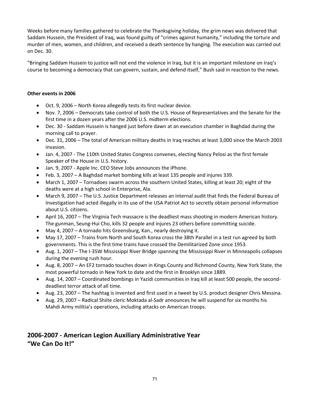Weeks before many families gathered to celebrate the Thanksgiving holiday, the grim news was delivered that Saddam Hussein, the President of Iraq, was found guilty of "crimes against humanity," including the torture and murder of men, women, and children, and received a death sentence by hanging. The execution was carried out on Dec. 30.

"Bringing Saddam Hussein to justice will not end the violence in Iraq, but it is an important milestone on Iraq's course to becoming a democracy that can govern, sustain, and defend itself," Bush said in reaction to the news.

#### **Other events in 2006**

- Oct. 9, 2006 North Korea allegedly tests its first nuclear device.
- Nov. 7, 2006 Democrats take control of both the U.S. House of Representatives and the Senate for the first time in a dozen years after the 2006 U.S. midterm elections.
- Dec. 30 Saddam Hussein is hanged just before dawn at an execution chamber in Baghdad during the morning call to prayer.
- Dec. 31, 2006 The total of American military deaths in Iraq reaches at least 3,000 since the March 2003 invasion.
- Jan. 4, 2007 The 110th United States Congress convenes, electing Nancy Pelosi as the first female Speaker of the House in U.S. history.
- Jan. 9, 2007 Apple Inc. CEO Steve Jobs announces the iPhone.
- Feb. 3, 2007 A Baghdad market bombing kills at least 135 people and injures 339.
- March 1, 2007 Tornadoes swarm across the southern United States, killing at least 20; eight of the deaths were at a high school in Enterprise, Ala.
- March 9, 2007 The U.S. Justice Department releases an internal audit that finds the Federal Bureau of Investigation had acted illegally in its use of the USA Patriot Act to secretly obtain personal information about U.S. citizens.
- April 16, 2007 The Virginia Tech massacre is the deadliest mass shooting in modern American history. The gunman, Seung-Hui Cho, kills 32 people and injures 23 others before committing suicide.
- May 4, 2007 A tornado hits Greensburg, Kan., nearly destroying it.
- May 17, 2007 Trains from North and South Korea cross the 38th Parallel in a test run agreed by both governments. This is the first time trains have crossed the Demilitarized Zone since 1953.
- Aug. 1, 2007 The I-35W Mississippi River Bridge spanning the Mississippi River in Minneapolis collapses during the evening rush hour.
- Aug. 8, 2007 An EF2 tornado touches down in Kings County and Richmond County, New York State, the most powerful tornado in New York to date and the first in Brooklyn since 1889.
- Aug. 14, 2007 Coordinated bombings in Yazidi communities in Iraq kill at least 500 people, the seconddeadliest terror attack of all time.
- Aug. 23, 2007 The hashtag is invented and first used in a tweet by U.S. product designer Chris Messina.
- Aug. 29, 2007 Radical Shiite cleric Moktada al-Sadr announces he will suspend for six months his Mahdi Army militia's operations, including attacks on American troops.

### **2006-2007 - American Legion Auxiliary Administrative Year "We Can Do It!"**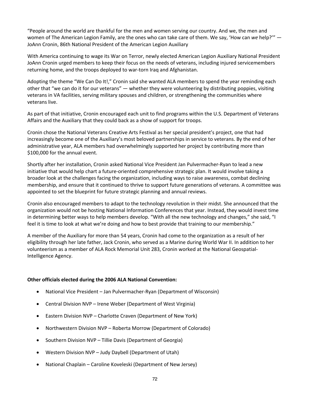"People around the world are thankful for the men and women serving our country. And we, the men and women of The American Legion Family, are the ones who can take care of them. We say, 'How can *we* help?'" — JoAnn Cronin, 86th National President of the American Legion Auxiliary

With America continuing to wage its War on Terror, newly elected American Legion Auxiliary National President JoAnn Cronin urged members to keep their focus on the needs of veterans, including injured servicemembers returning home, and the troops deployed to war-torn Iraq and Afghanistan.

Adopting the theme "We Can Do It!," Cronin said she wanted ALA members to spend the year reminding each other that "we can do it for our veterans" — whether they were volunteering by distributing poppies, visiting veterans in VA facilities, serving military spouses and children, or strengthening the communities where veterans live.

As part of that initiative, Cronin encouraged each unit to find programs within the U.S. Department of Veterans Affairs and the Auxiliary that they could back as a show of support for troops.

Cronin chose the National Veterans Creative Arts Festival as her special president's project, one that had increasingly become one of the Auxiliary's most beloved partnerships in service to veterans. By the end of her administrative year, ALA members had overwhelmingly supported her project by contributing more than \$100,000 for the annual event.

Shortly after her installation, Cronin asked National Vice President Jan Pulvermacher-Ryan to lead a new initiative that would help chart a future-oriented comprehensive strategic plan. It would involve taking a broader look at the challenges facing the organization, including ways to raise awareness, combat declining membership, and ensure that it continued to thrive to support future generations of veterans. A committee was appointed to set the blueprint for future strategic planning and annual reviews.

Cronin also encouraged members to adapt to the technology revolution in their midst. She announced that the organization would not be hosting National Information Conferences that year. Instead, they would invest time in determining better ways to help members develop. "With all the new technology and changes," she said, "I feel it is time to look at what we're doing and how to best provide that training to our membership."

A member of the Auxiliary for more than 54 years, Cronin had come to the organization as a result of her eligibility through her late father, Jack Cronin, who served as a Marine during World War II. In addition to her volunteerism as a member of ALA Rock Memorial Unit 283, Cronin worked at the National Geospatial-Intelligence Agency.

#### **Other officials elected during the 2006 ALA National Convention:**

- National Vice President Jan Pulvermacher-Ryan (Department of Wisconsin)
- Central Division NVP Irene Weber (Department of West Virginia)
- Eastern Division NVP Charlotte Craven (Department of New York)
- Northwestern Division NVP Roberta Morrow (Department of Colorado)
- Southern Division NVP Tillie Davis (Department of Georgia)
- Western Division NVP Judy Daybell (Department of Utah)
- National Chaplain Caroline Koveleski (Department of New Jersey)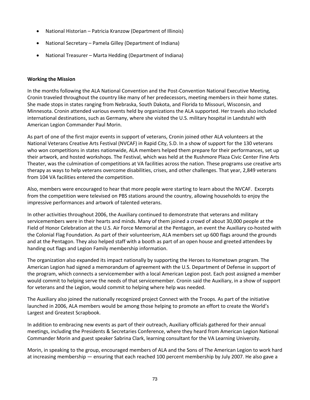- National Historian Patricia Kranzow (Department of Illinois)
- National Secretary Pamela Gilley (Department of Indiana)
- National Treasurer Marta Hedding (Department of Indiana)

### **Working the Mission**

In the months following the ALA National Convention and the Post-Convention National Executive Meeting, Cronin traveled throughout the country like many of her predecessors, meeting members in their home states. She made stops in states ranging from Nebraska, South Dakota, and Florida to Missouri, Wisconsin, and Minnesota. Cronin attended various events held by organizations the ALA supported. Her travels also included international destinations, such as Germany, where she visited the U.S. military hospital in Landstuhl with American Legion Commander Paul Morin.

As part of one of the first major events in support of veterans, Cronin joined other ALA volunteers at the National Veterans Creative Arts Festival (NVCAF) in Rapid City, S.D. In a show of support for the 130 veterans who won competitions in states nationwide, ALA members helped them prepare for their performances, set up their artwork, and hosted workshops. The Festival, which was held at the Rushmore Plaza Civic Center Fine Arts Theater, was the culmination of competitions at VA facilities across the nation. These programs use creative arts therapy as ways to help veterans overcome disabilities, crises, and other challenges. That year, 2,849 veterans from 104 VA facilities entered the competition.

Also, members were encouraged to hear that more people were starting to learn about the NVCAF. Excerpts from the competition were televised on PBS stations around the country, allowing households to enjoy the impressive performances and artwork of talented veterans.

In other activities throughout 2006, the Auxiliary continued to demonstrate that veterans and military servicemembers were in their hearts and minds. Many of them joined a crowd of about 30,000 people at the Field of Honor Celebration at the U.S. Air Force Memorial at the Pentagon, an event the Auxiliary co-hosted with the Colonial Flag Foundation. As part of their volunteerism, ALA members set up 600 flags around the grounds and at the Pentagon. They also helped staff with a booth as part of an open house and greeted attendees by handing out flags and Legion Family membership information.

The organization also expanded its impact nationally by supporting the Heroes to Hometown program. The American Legion had signed a memorandum of agreement with the U.S. Department of Defense in support of the program, which connects a servicemember with a local American Legion post. Each post assigned a member would commit to helping serve the needs of that servicemember. Cronin said the Auxiliary, in a show of support for veterans and the Legion, would commit to helping where help was needed.

The Auxiliary also joined the nationally recognized project Connect with the Troops. As part of the initiative launched in 2006, ALA members would be among those helping to promote an effort to create the World's Largest and Greatest Scrapbook.

In addition to embracing new events as part of their outreach, Auxiliary officials gathered for their annual meetings, including the Presidents & Secretaries Conference, where they heard from American Legion National Commander Morin and guest speaker Sabrina Clark, learning consultant for the VA Learning University.

Morin, in speaking to the group, encouraged members of ALA and the Sons of The American Legion to work hard at increasing membership — ensuring that each reached 100 percent membership by July 2007. He also gave a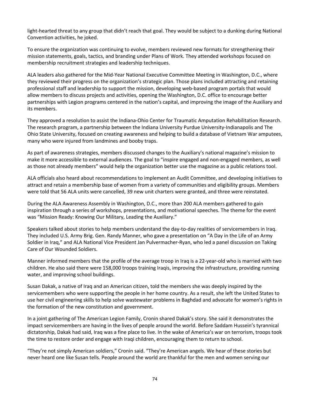light-hearted threat to any group that didn't reach that goal. They would be subject to a dunking during National Convention activities, he joked.

To ensure the organization was continuing to evolve, members reviewed new formats for strengthening their mission statements, goals, tactics, and branding under Plans of Work. They attended workshops focused on membership recruitment strategies and leadership techniques.

ALA leaders also gathered for the Mid-Year National Executive Committee Meeting in Washington, D.C., where they reviewed their progress on the organization's strategic plan. Those plans included attracting and retaining professional staff and leadership to support the mission, developing web-based program portals that would allow members to discuss projects and activities, opening the Washington, D.C. office to encourage better partnerships with Legion programs centered in the nation's capital, and improving the image of the Auxiliary and its members.

They approved a resolution to assist the Indiana-Ohio Center for Traumatic Amputation Rehabilitation Research. The research program, a partnership between the Indiana University Purdue University-Indianapolis and The Ohio State University, focused on creating awareness and helping to build a database of Vietnam War amputees, many who were injured from landmines and booby traps.

As part of awareness strategies, members discussed changes to the Auxiliary's national magazine's mission to make it more accessible to external audiences. The goal to "inspire engaged and non-engaged members, as well as those not already members" would help the organization better use the magazine as a public relations tool.

ALA officials also heard about recommendations to implement an Audit Committee, and developing initiatives to attract and retain a membership base of women from a variety of communities and eligibility groups. Members were told that 56 ALA units were cancelled, 39 new unit charters were granted, and three were reinstated.

During the ALA Awareness Assembly in Washington, D.C., more than 200 ALA members gathered to gain inspiration through a series of workshops, presentations, and motivational speeches. The theme for the event was "Mission Ready: Knowing Our Military, Leading the Auxiliary."

Speakers talked about stories to help members understand the day-to-day realities of servicemembers in Iraq. They included U.S. Army Brig. Gen. Randy Manner, who gave a presentation on "A Day in the Life of an Army Soldier in Iraq," and ALA National Vice President Jan Pulvermacher-Ryan, who led a panel discussion on Taking Care of Our Wounded Soldiers.

Manner informed members that the profile of the average troop in Iraq is a 22-year-old who is married with two children. He also said there were 158,000 troops training Iraqis, improving the infrastructure, providing running water, and improving school buildings.

Susan Dakak, a native of Iraq and an American citizen, told the members she was deeply inspired by the servicemembers who were supporting the people in her home country. As a result, she left the United States to use her civil engineering skills to help solve wastewater problems in Baghdad and advocate for women's rights in the formation of the new constitution and government.

In a joint gathering of The American Legion Family, Cronin shared Dakak's story. She said it demonstrates the impact servicemembers are having in the lives of people around the world. Before Saddam Hussein's tyrannical dictatorship, Dakak had said, Iraq was a fine place to live. In the wake of America's war on terrorism, troops took the time to restore order and engage with Iraqi children, encouraging them to return to school.

"They're not simply American soldiers," Cronin said. "They're American angels. We hear of these stories but never heard one like Susan tells. People around the world are thankful for the men and women serving our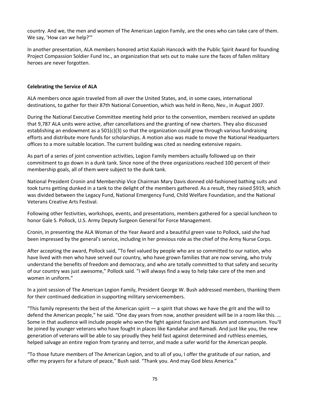country. And we, the men and women of The American Legion Family, are the ones who can take care of them. We say, 'How can *we* help?'"

In another presentation, ALA members honored artist Kaziah Hancock with the Public Spirit Award for founding Project Compassion Soldier Fund Inc., an organization that sets out to make sure the faces of fallen military heroes are never forgotten.

## **Celebrating the Service of ALA**

ALA members once again traveled from all over the United States, and, in some cases, international destinations, to gather for their 87th National Convention, which was held in Reno, Nev., in August 2007.

During the National Executive Committee meeting held prior to the convention, members received an update that 9,787 ALA units were active, after cancellations and the granting of new charters. They also discussed establishing an endowment as a 501(c)(3) so that the organization could grow through various fundraising efforts and distribute more funds for scholarships. A motion also was made to move the National Headquarters offices to a more suitable location. The current building was cited as needing extensive repairs.

As part of a series of joint convention activities, Legion Family members actually followed up on their commitment to go down in a dunk tank. Since none of the three organizations reached 100 percent of their membership goals, all of them were subject to the dunk tank.

National President Cronin and Membership Vice Chairman Mary Davis donned old-fashioned bathing suits and took turns getting dunked in a tank to the delight of the members gathered. As a result, they raised \$919, which was divided between the Legacy Fund, National Emergency Fund, Child Welfare Foundation, and the National Veterans Creative Arts Festival.

Following other festivities, workshops, events, and presentations, members gathered for a special luncheon to honor Gale S. Pollock, U.S. Army Deputy Surgeon General for Force Management.

Cronin, in presenting the ALA Woman of the Year Award and a beautiful green vase to Pollock, said she had been impressed by the general's service, including in her previous role as the chief of the Army Nurse Corps.

After accepting the award, Pollock said, "To feel valued by people who are so committed to our nation, who have lived with men who have served our country, who have grown families that are now serving, who truly understand the benefits of freedom and democracy, and who are totally committed to that safety and security of our country was just awesome," Pollock said. "I will always find a way to help take care of the men and women in uniform."

In a joint session of The American Legion Family, President George W. Bush addressed members, thanking them for their continued dedication in supporting military servicemembers.

"This family represents the best of the American spirit  $-$  a spirit that shows we have the grit and the will to defend the American people," he said. "One day years from now, another president will be in a room like this. … Some in that audience will include people who won the fight against fascism and Nazism and communism. You'll be joined by younger veterans who have fought in places like Kandahar and Ramadi. And just like you, the new generation of veterans will be able to say proudly they held fast against determined and ruthless enemies, helped salvage an entire region from tyranny and terror, and made a safer world for the American people.

"To those future members of The American Legion, and to all of you, I offer the gratitude of our nation, and offer my prayers for a future of peace," Bush said. "Thank you. And may God bless America."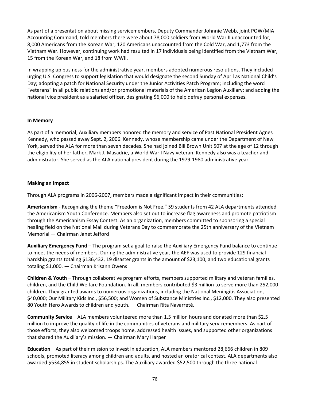As part of a presentation about missing servicemembers, Deputy Commander Johnnie Webb, joint POW/MIA Accounting Command, told members there were about 78,000 soldiers from World War II unaccounted for, 8,000 Americans from the Korean War, 120 Americans unaccounted from the Cold War, and 1,773 from the Vietnam War. However, continuing work had resulted in 17 individuals being identified from the Vietnam War, 15 from the Korean War, and 18 from WWII.

In wrapping up business for the administrative year, members adopted numerous resolutions. They included urging U.S. Congress to support legislation that would designate the second Sunday of April as National Child's Day; adopting a patch for National Security under the Junior Activities Patch Program; including the word "veterans" in all public relations and/or promotional materials of the American Legion Auxiliary; and adding the national vice president as a salaried officer, designating \$6,000 to help defray personal expenses.

## **In Memory**

As part of a memorial, Auxiliary members honored the memory and service of Past National President Agnes Kennedy, who passed away Sept. 2, 2006. Kennedy, whose membership came under the Department of New York, served the ALA for more than seven decades. She had joined Bill Brown Unit 507 at the age of 12 through the eligibility of her father, Mark J. Masadrie, a World War I Navy veteran. Kennedy also was a teacher and administrator. She served as the ALA national president during the 1979-1980 administrative year.

#### **Making an Impact**

Through ALA programs in 2006-2007, members made a significant impact in their communities:

**Americanism** - Recognizing the theme "Freedom is Not Free," 59 students from 42 ALA departments attended the Americanism Youth Conference. Members also set out to increase flag awareness and promote patriotism through the Americanism Essay Contest. As an organization, members committed to sponsoring a special healing field on the National Mall during Veterans Day to commemorate the 25th anniversary of the Vietnam Memorial — Chairman Janet Jefford

**Auxiliary Emergency Fund** – The program set a goal to raise the Auxiliary Emergency Fund balance to continue to meet the needs of members. During the administrative year, the AEF was used to provide 129 financial hardship grants totaling \$136,432, 19 disaster grants in the amount of \$23,100, and two educational grants totaling \$1,000. — Chairman Krisann Owens

**Children & Youth** – Through collaborative program efforts, members supported military and veteran families, children, and the Child Welfare Foundation. In all, members contributed \$3 million to serve more than 252,000 children. They granted awards to numerous organizations, including the National Meningitis Association, \$40,000; Our Military Kids Inc., \$56,500; and Women of Substance Ministries Inc., \$12,000. They also presented 80 Youth Hero Awards to children and youth. — Chairman Rita Navarreté.

**Community Service** – ALA members volunteered more than 1.5 million hours and donated more than \$2.5 million to improve the quality of life in the communities of veterans and military servicemembers. As part of those efforts, they also welcomed troops home, addressed health issues, and supported other organizations that shared the Auxiliary's mission. — Chairman Mary Harper

**Education** – As part of their mission to invest in education, ALA members mentored 28,666 children in 809 schools, promoted literacy among children and adults, and hosted an oratorical contest. ALA departments also awarded \$534,855 in student scholarships. The Auxiliary awarded \$52,500 through the three national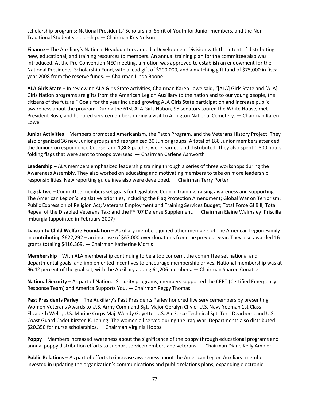scholarship programs: National Presidents' Scholarship, Spirit of Youth for Junior members, and the Non-Traditional Student scholarship. — Chairman Kris Nelson

**Finance** – The Auxiliary's National Headquarters added a Development Division with the intent of distributing new, educational, and training resources to members. An annual training plan for the committee also was introduced. At the Pre-Convention NEC meeting, a motion was approved to establish an endowment for the National Presidents' Scholarship Fund, with a lead gift of \$200,000, and a matching gift fund of \$75,000 in fiscal year 2008 from the reserve funds. — Chairman Linda Boone

**ALA Girls State** – In reviewing ALA Girls State activities, Chairman Karen Lowe said, "[ALA] Girls State and [ALA] Girls Nation programs are gifts from the American Legion Auxiliary to the nation and to our young people, the citizens of the future." Goals for the year included growing ALA Girls State participation and increase public awareness about the program. During the 61st ALA Girls Nation, 98 senators toured the White House, met President Bush, and honored servicemembers during a visit to Arlington National Cemetery. — Chairman Karen Lowe

**Junior Activities** – Members promoted Americanism, the Patch Program, and the Veterans History Project. They also organized 36 new Junior groups and reorganized 30 Junior groups. A total of 188 Junior members attended the Junior Correspondence Course, and 1,808 patches were earned and distributed. They also spent 1,800 hours folding flags that were sent to troops overseas. — Chairman Carlene Ashworth

**Leadership** – ALA members emphasized leadership training through a series of three workshops during the Awareness Assembly. They also worked on educating and motivating members to take on more leadership responsibilities. New reporting guidelines also were developed. — Chairman Terry Porter

**Legislative** – Committee members set goals for Legislative Council training, raising awareness and supporting The American Legion's legislative priorities, including the Flag Protection Amendment; Global War on Terrorism; Public Expression of Religion Act; Veterans Employment and Training Services Budget; Total Force GI Bill; Total Repeal of the Disabled Veterans Tax; and the FY '07 Defense Supplement. — Chairman Elaine Walmsley; Priscilla Imburgia (appointed in February 2007)

**Liaison to Child Welfare Foundation** – Auxiliary members joined other members of The American Legion Family in contributing \$622,292 – an increase of \$67,000 over donations from the previous year. They also awarded 16 grants totaling \$416,369. — Chairman Katherine Morris

**Membership** – With ALA membership continuing to be a top concern, the committee set national and departmental goals, and implemented incentives to encourage membership drives. National membership was at 96.42 percent of the goal set, with the Auxiliary adding 61,206 members. — Chairman Sharon Conatser

**National Security** – As part of National Security programs, members supported the CERT (Certified Emergency Response Team) and America Supports You. — Chairman Peggy Thomas

**Past Presidents Parley** – The Auxiliary's Past Presidents Parley honored five servicemembers by presenting Women Veterans Awards to U.S. Army Command Sgt. Major Geralyn Chyle; U.S. Navy Yeoman 1st Class Elizabeth Wells; U.S. Marine Corps Maj. Wendy Goyette; U.S. Air Force Technical Sgt. Terri Dearborn; and U.S. Coast Guard Cadet Kirsten K. Laning. The women all served during the Iraq War. Departments also distributed \$20,350 for nurse scholarships. — Chairman Virginia Hobbs

**Poppy** – Members increased awareness about the significance of the poppy through educational programs and annual poppy distribution efforts to support servicemembers and veterans. — Chairman Diane Kelly Ambler

**Public Relations** – As part of efforts to increase awareness about the American Legion Auxiliary, members invested in updating the organization's communications and public relations plans; expanding electronic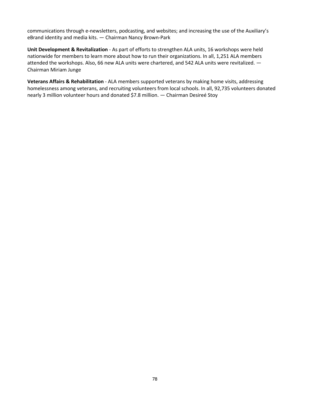communications through e-newsletters, podcasting, and websites; and increasing the use of the Auxiliary's eBrand identity and media kits. — Chairman Nancy Brown-Park

**Unit Development & Revitalization** - As part of efforts to strengthen ALA units, 16 workshops were held nationwide for members to learn more about how to run their organizations. In all, 1,251 ALA members attended the workshops. Also, 66 new ALA units were chartered, and 542 ALA units were revitalized. — Chairman Miriam Junge

**Veterans Affairs & Rehabilitation** - ALA members supported veterans by making home visits, addressing homelessness among veterans, and recruiting volunteers from local schools. In all, 92,735 volunteers donated nearly 3 million volunteer hours and donated \$7.8 million. — Chairman Desireé Stoy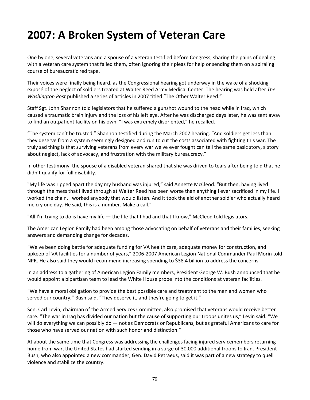## **2007: A Broken System of Veteran Care**

One by one, several veterans and a spouse of a veteran testified before Congress, sharing the pains of dealing with a veteran care system that failed them, often ignoring their pleas for help or sending them on a spiraling course of bureaucratic red tape.

Their voices were finally being heard, as the Congressional hearing got underway in the wake of a shocking exposé of the neglect of soldiers treated at Walter Reed Army Medical Center. The hearing was held after *The Washington Post* published a series of articles in 2007 titled "The Other Walter Reed."

Staff Sgt. John Shannon told legislators that he suffered a gunshot wound to the head while in Iraq, which caused a traumatic brain injury and the loss of his left eye. After he was discharged days later, he was sent away to find an outpatient facility on his own. "I was extremely disoriented," he recalled.

"The system can't be trusted," Shannon testified during the March 2007 hearing. "And soldiers get less than they deserve from a system seemingly designed and run to cut the costs associated with fighting this war. The truly sad thing is that surviving veterans from every war we've ever fought can tell the same basic story, a story about neglect, lack of advocacy, and frustration with the military bureaucracy."

In other testimony, the spouse of a disabled veteran shared that she was driven to tears after being told that he didn't qualify for full disability.

"My life was ripped apart the day my husband was injured," said Annette McCleod. "But then, having lived through the mess that I lived through at Walter Reed has been worse than anything I ever sacrificed in my life. I worked the chain. I worked anybody that would listen. And it took the aid of another soldier who actually heard me cry one day. He said, this is a number. Make a call."

"All I'm trying to do is have my life — the life that I had and that I know," McCleod told legislators.

The American Legion Family had been among those advocating on behalf of veterans and their families, seeking answers and demanding change for decades.

"We've been doing battle for adequate funding for VA health care, adequate money for construction, and upkeep of VA facilities for a number of years," 2006-2007 American Legion National Commander Paul Morin told NPR. He also said they would recommend increasing spending to \$38.4 billion to address the concerns.

In an address to a gathering of American Legion Family members, President George W. Bush announced that he would appoint a bipartisan team to lead the White House probe into the conditions at veteran facilities.

"We have a moral obligation to provide the best possible care and treatment to the men and women who served our country," Bush said. "They deserve it, and they're going to get it."

Sen. Carl Levin, chairman of the Armed Services Committee, also promised that veterans would receive better care. "The war in Iraq has divided our nation but the cause of supporting our troops unites us," Levin said. "We will do everything we can possibly do — not as Democrats or Republicans, but as grateful Americans to care for those who have served our nation with such honor and distinction."

At about the same time that Congress was addressing the challenges facing injured servicemembers returning home from war, the United States had started sending in a surge of 30,000 additional troops to Iraq. President Bush, who also appointed a new commander, Gen. David Petraeus, said it was part of a new strategy to quell violence and stabilize the country.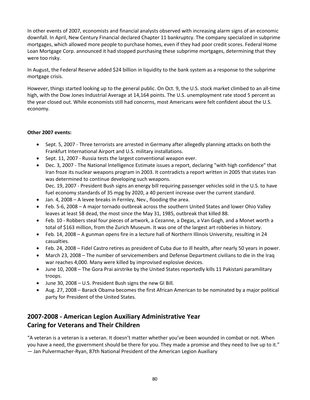In other events of 2007, economists and financial analysts observed with increasing alarm signs of an economic downfall. In April, New Century Financial declared Chapter 11 bankruptcy. The company specialized in subprime mortgages, which allowed more people to purchase homes, even if they had poor credit scores. Federal Home Loan Mortgage Corp. announced it had stopped purchasing these subprime mortgages, determining that they were too risky.

In August, the Federal Reserve added \$24 billion in liquidity to the bank system as a response to the subprime mortgage crisis.

However, things started looking up to the general public. On Oct. 9, the U.S. stock market climbed to an all-time high, with the Dow Jones Industrial Average at 14,164 points. The U.S. unemployment rate stood 5 percent as the year closed out. While economists still had concerns, most Americans were felt confident about the U.S. economy.

## **Other 2007 events:**

- Sept. 5, 2007 Three terrorists are arrested in Germany after allegedly planning attacks on both the Frankfurt International Airport and U.S. military installations.
- Sept. 11, 2007 Russia tests the largest conventional weapon ever.
- Dec. 3, 2007 The National Intelligence Estimate issues a report, declaring "with high confidence" that Iran froze its nuclear weapons program in 2003. It contradicts a report written in 2005 that states Iran was determined to continue developing such weapons. Dec. 19, 2007 - President Bush signs an energy bill requiring passenger vehicles sold in the U.S. to have fuel economy standards of 35 mpg by 2020, a 40 percent increase over the current standard.
- Jan. 4, 2008 A levee breaks in Fernley, Nev., flooding the area.
- Feb. 5-6, 2008 A major tornado outbreak across the southern United States and lower Ohio Valley leaves at least 58 dead, the most since the May 31, 1985, outbreak that killed 88.
- Feb. 10 Robbers steal four pieces of artwork, a Cezanne, a Degas, a Van Gogh, and a Monet worth a total of \$163 million, from the Zurich Museum. It was one of the largest art robberies in history.
- Feb. 14, 2008 A gunman opens fire in a lecture hall of Northern Illinois University, resulting in 24 casualties.
- Feb. 24, 2008 Fidel Castro retires as president of Cuba due to ill health, after nearly 50 years in power.
- March 23, 2008 The number of servicemembers and Defense Department civilians to die in the Iraq war reaches 4,000. Many were killed by improvised explosive devices.
- June 10, 2008 The Gora Prai airstrike by the United States reportedly kills 11 Pakistani paramilitary troops.
- June 30, 2008 U.S. President Bush signs the new GI Bill.
- Aug. 27, 2008 Barack Obama becomes the first African American to be nominated by a major political party for President of the United States.

## **2007-2008 - American Legion Auxiliary Administrative Year Caring for Veterans and Their Children**

"A veteran is a veteran is a veteran. It doesn't matter whether you've been wounded in combat or not. When you have a need, the government should be there for you. They made a promise and they need to live up to it." — Jan Pulvermacher-Ryan, 87th National President of the American Legion Auxiliary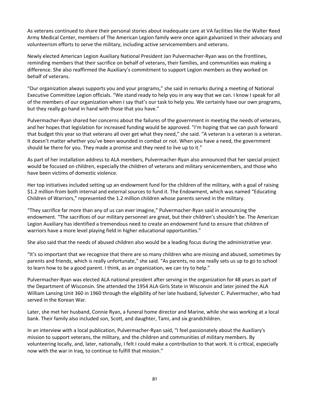As veterans continued to share their personal stories about inadequate care at VA facilities like the Walter Reed Army Medical Center, members of The American Legion family were once again galvanized in their advocacy and volunteerism efforts to serve the military, including active servicemembers and veterans.

Newly elected American Legion Auxiliary National President Jan Pulvermacher-Ryan was on the frontlines, reminding members that their sacrifice on behalf of veterans, their families, and communities was making a difference. She also reaffirmed the Auxiliary's commitment to support Legion members as they worked on behalf of veterans.

"Our organization always supports you and your programs," she said in remarks during a meeting of National Executive Committee Legion officials. "We stand ready to help you in any way that we can. I know I speak for all of the members of our organization when I say that's our task to help you. We certainly have our own programs, but they really go hand in hand with those that you have."

Pulvermacher-Ryan shared her concerns about the failures of the government in meeting the needs of veterans, and her hopes that legislation for increased funding would be approved. "I'm hoping that we can push forward that budget this year so that veterans all over get what they need," she said. "A veteran is a veteran is a veteran. It doesn't matter whether you've been wounded in combat or not. When you have a need, the government should be there for you. They made a promise and they need to live up to it."

As part of her installation address to ALA members, Pulvermacher-Ryan also announced that her special project would be focused on children, especially the children of veterans and military servicemembers, and those who have been victims of domestic violence.

Her top initiatives included setting up an endowment fund for the children of the military, with a goal of raising \$1.2 million from both internal and external sources to fund it. The Endowment, which was named "Educating Children of Warriors," represented the 1.2 million children whose parents served in the military.

"They sacrifice far more than any of us can ever imagine," Pulvermacher-Ryan said in announcing the endowment. "The sacrifices of our military personnel are great, but their children's shouldn't be. The American Legion Auxiliary has identified a tremendous need to create an endowment fund to ensure that children of warriors have a more level playing field in higher educational opportunities."

She also said that the needs of abused children also would be a leading focus during the administrative year.

"It's so important that we recognize that there are so many children who are missing and abused, sometimes by parents and friends, which is really unfortunate," she said. "As parents, no one really sets us up to go to school to learn how to be a good parent. I think, as an organization, we can try to help."

Pulvermacher-Ryan was elected ALA national president after serving in the organization for 48 years as part of the Department of Wisconsin. She attended the 1954 ALA Girls State in Wisconsin and later joined the ALA William Lansing Unit 360 in 1960 through the eligibility of her late husband, Sylvester C. Pulvermacher, who had served in the Korean War.

Later, she met her husband, Connie Ryan, a funeral home director and Marine, while she was working at a local bank. Their family also included son, Scott, and daughter, Tami, and six grandchildren.

In an interview with a local publication, Pulvermacher-Ryan said, "I feel passionately about the Auxiliary's mission to support veterans, the military, and the children and communities of military members. By volunteering locally, and, later, nationally, I felt I could make a contribution to that work. It is critical, especially now with the war in Iraq, to continue to fulfill that mission."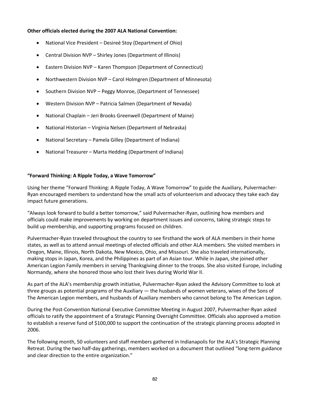## **Other officials elected during the 2007 ALA National Convention:**

- National Vice President Desireé Stoy (Department of Ohio)
- Central Division NVP Shirley Jones (Department of Illinois)
- Eastern Division NVP Karen Thompson (Department of Connecticut)
- Northwestern Division NVP Carol Holmgren (Department of Minnesota)
- Southern Division NVP Peggy Monroe, (Department of Tennessee)
- Western Division NVP Patricia Salmen (Department of Nevada)
- National Chaplain Jeri Brooks Greenwell (Department of Maine)
- National Historian Virginia Nelsen (Department of Nebraska)
- National Secretary Pamela Gilley (Department of Indiana)
- National Treasurer Marta Hedding (Department of Indiana)

#### **"Forward Thinking: A Ripple Today, a Wave Tomorrow"**

Using her theme "Forward Thinking: A Ripple Today, A Wave Tomorrow" to guide the Auxiliary, Pulvermacher-Ryan encouraged members to understand how the small acts of volunteerism and advocacy they take each day impact future generations.

"Always look forward to build a better tomorrow," said Pulvermacher-Ryan, outlining how members and officials could make improvements by working on department issues and concerns, taking strategic steps to build up membership, and supporting programs focused on children.

Pulvermacher-Ryan traveled throughout the country to see firsthand the work of ALA members in their home states, as well as to attend annual meetings of elected officials and other ALA members. She visited members in Oregon, Maine, Illinois, North Dakota, New Mexico, Ohio, and Missouri. She also traveled internationally, making stops in Japan, Korea, and the Philippines as part of an Asian tour. While in Japan, she joined other American Legion Family members in serving Thanksgiving dinner to the troops. She also visited Europe, including Normandy, where she honored those who lost their lives during World War II.

As part of the ALA's membership growth initiative, Pulvermacher-Ryan asked the Advisory Committee to look at three groups as potential programs of the Auxiliary — the husbands of women veterans, wives of the Sons of The American Legion members, and husbands of Auxiliary members who cannot belong to The American Legion.

During the Post-Convention National Executive Committee Meeting in August 2007, Pulvermacher-Ryan asked officials to ratify the appointment of a Strategic Planning Oversight Committee. Officials also approved a motion to establish a reserve fund of \$100,000 to support the continuation of the strategic planning process adopted in 2006.

The following month, 50 volunteers and staff members gathered in Indianapolis for the ALA's Strategic Planning Retreat. During the two half-day gatherings, members worked on a document that outlined "long-term guidance and clear direction to the entire organization."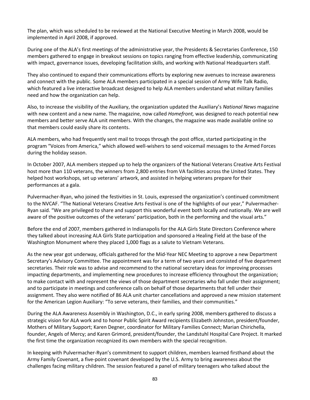The plan, which was scheduled to be reviewed at the National Executive Meeting in March 2008, would be implemented in April 2008, if approved.

During one of the ALA's first meetings of the administrative year, the Presidents & Secretaries Conference, 150 members gathered to engage in breakout sessions on topics ranging from effective leadership, communicating with impact, governance issues, developing facilitation skills, and working with National Headquarters staff.

They also continued to expand their communications efforts by exploring new avenues to increase awareness and connect with the public. Some ALA members participated in a special session of Army Wife Talk Radio, which featured a live interactive broadcast designed to help ALA members understand what military families need and how the organization can help.

Also, to increase the visibility of the Auxiliary, the organization updated the Auxiliary's *National News* magazine with new content and a new name. The magazine, now called *Homefront,* was designed to reach potential new members and better serve ALA unit members. With the changes, the magazine was made available online so that members could easily share its contents.

ALA members, who had frequently sent mail to troops through the post office, started participating in the program "Voices from America," which allowed well-wishers to send voicemail messages to the Armed Forces during the holiday season.

In October 2007, ALA members stepped up to help the organizers of the National Veterans Creative Arts Festival host more than 110 veterans, the winners from 2,800 entries from VA facilities across the United States. They helped host workshops, set up veterans' artwork, and assisted in helping veterans prepare for their performances at a gala.

Pulvermacher-Ryan, who joined the festivities in St. Louis, expressed the organization's continued commitment to the NVCAF. "The National Veterans Creative Arts Festival is one of the highlights of our year," Pulvermacher-Ryan said. "We are privileged to share and support this wonderful event both locally and nationally. We are well aware of the positive outcomes of the veterans' participation, both in the performing and the visual arts."

Before the end of 2007, members gathered in Indianapolis for the ALA Girls State Directors Conference where they talked about increasing ALA Girls State participation and sponsored a Healing Field at the base of the Washington Monument where they placed 1,000 flags as a salute to Vietnam Veterans.

As the new year got underway, officials gathered for the Mid-Year NEC Meeting to approve a new Department Secretary's Advisory Committee. The appointment was for a term of two years and consisted of five department secretaries. Their role was to advise and recommend to the national secretary ideas for improving processes impacting departments, and implementing new procedures to increase efficiency throughout the organization; to make contact with and represent the views of those department secretaries who fall under their assignment; and to participate in meetings and conference calls on behalf of those departments that fell under their assignment. They also were notified of 86 ALA unit charter cancellations and approved a new mission statement for the American Legion Auxiliary: "To serve veterans, their families, and their communities."

During the ALA Awareness Assembly in Washington, D.C., in early spring 2008, members gathered to discuss a strategic vision for ALA work and to honor Public Spirit Award recipients Elizabeth Johnston, president/founder, Mothers of Military Support; Karen Degner, coordinator for Military Families Connect; Marian Chirichella, founder, Angels of Mercy; and Karen Grimord, president/founder, the Landstuhl Hospital Care Project. It marked the first time the organization recognized its own members with the special recognition.

In keeping with Pulvermacher-Ryan's commitment to support children, members learned firsthand about the Army Family Covenant, a five-point covenant developed by the U.S. Army to bring awareness about the challenges facing military children. The session featured a panel of military teenagers who talked about the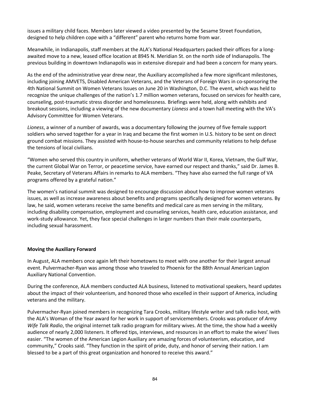issues a military child faces. Members later viewed a video presented by the Sesame Street Foundation, designed to help children cope with a "different" parent who returns home from war.

Meanwhile, in Indianapolis, staff members at the ALA's National Headquarters packed their offices for a longawaited move to a new, leased office location at 8945 N. Meridian St. on the north side of Indianapolis. The previous building in downtown Indianapolis was in extensive disrepair and had been a concern for many years.

As the end of the administrative year drew near, the Auxiliary accomplished a few more significant milestones, including joining AMVETS, Disabled American Veterans, and the Veterans of Foreign Wars in co-sponsoring the 4th National Summit on Women Veterans Issues on June 20 in Washington, D.C. The event, which was held to recognize the unique challenges of the nation's 1.7 million women veterans, focused on services for health care, counseling, post-traumatic stress disorder and homelessness. Briefings were held, along with exhibits and breakout sessions, including a viewing of the new documentary *Lioness* and a town hall meeting with the VA's Advisory Committee for Women Veterans.

*Lioness*, a winner of a number of awards, was a documentary following the journey of five female support soldiers who served together for a year in Iraq and became the first women in U.S. history to be sent on direct ground combat missions. They assisted with house-to-house searches and community relations to help defuse the tensions of local civilians.

"Women who served this country in uniform, whether veterans of World War II, Korea, Vietnam, the Gulf War, the current Global War on Terror, or peacetime service, have earned our respect and thanks," said Dr. James B. Peake, Secretary of Veterans Affairs in remarks to ALA members. "They have also earned the full range of VA programs offered by a grateful nation."

The women's national summit was designed to encourage discussion about how to improve women veterans issues, as well as increase awareness about benefits and programs specifically designed for women veterans. By law, he said, women veterans receive the same benefits and medical care as men serving in the military, including disability compensation, employment and counseling services, health care, education assistance, and work-study allowance. Yet, they face special challenges in larger numbers than their male counterparts, including sexual harassment.

## **Moving the Auxiliary Forward**

In August, ALA members once again left their hometowns to meet with one another for their largest annual event. Pulvermacher-Ryan was among those who traveled to Phoenix for the 88th Annual American Legion Auxiliary National Convention.

During the conference, ALA members conducted ALA business, listened to motivational speakers, heard updates about the impact of their volunteerism, and honored those who excelled in their support of America, including veterans and the military.

Pulvermacher-Ryan joined members in recognizing Tara Crooks, military lifestyle writer and talk radio host, with the ALA's Woman of the Year award for her work in support of servicemembers. Crooks was producer of *Army Wife Talk Radio*, the original internet talk radio program for military wives. At the time, the show had a weekly audience of nearly 2,000 listeners. It offered tips, interviews, and resources in an effort to make the wives' lives easier. "The women of the American Legion Auxiliary are amazing forces of volunteerism, education, and community," Crooks said. "They function in the spirit of pride, duty, and honor of serving their nation. I am blessed to be a part of this great organization and honored to receive this award."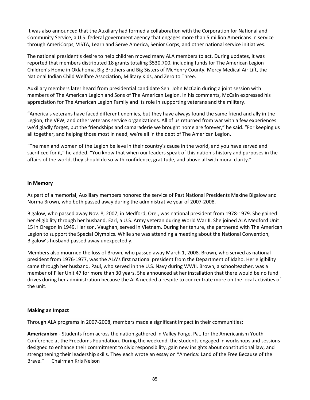It was also announced that the Auxiliary had formed a collaboration with the Corporation for National and Community Service, a U.S. federal government agency that engages more than 5 million Americans in service through AmeriCorps, VISTA, Learn and Serve America, Senior Corps, and other national service initiatives.

The national president's desire to help children moved many ALA members to act. During updates, it was reported that members distributed 18 grants totaling \$530,700, including funds for The American Legion Children's Home in Oklahoma, Big Brothers and Big Sisters of McHenry County, Mercy Medical Air Lift, the National Indian Child Welfare Association, Military Kids, and Zero to Three.

Auxiliary members later heard from presidential candidate Sen. John McCain during a joint session with members of The American Legion and Sons of The American Legion. In his comments, McCain expressed his appreciation for The American Legion Family and its role in supporting veterans and the military.

"America's veterans have faced different enemies, but they have always found the same friend and ally in the Legion, the VFW, and other veterans service organizations. All of us returned from war with a few experiences we'd gladly forget, but the friendships and camaraderie we brought home are forever," he said. "For keeping us all together, and helping those most in need, we're all in the debt of The American Legion.

"The men and women of the Legion believe in their country's cause in the world, and you have served and sacrificed for it," he added. "You know that when our leaders speak of this nation's history and purposes in the affairs of the world, they should do so with confidence, gratitude, and above all with moral clarity."

## **In Memory**

As part of a memorial, Auxiliary members honored the service of Past National Presidents Maxine Bigalow and Norma Brown, who both passed away during the administrative year of 2007-2008.

Bigalow, who passed away Nov. 8, 2007, in Medford, Ore., was national president from 1978-1979. She gained her eligibility through her husband, Earl, a U.S. Army veteran during World War II. She joined ALA Medford Unit 15 in Oregon in 1949. Her son, Vaughan, served in Vietnam. During her tenure, she partnered with The American Legion to support the Special Olympics. While she was attending a meeting about the National Convention, Bigalow's husband passed away unexpectedly.

Members also mourned the loss of Brown, who passed away March 1, 2008. Brown, who served as national president from 1976-1977, was the ALA's first national president from the Department of Idaho. Her eligibility came through her husband, Paul, who served in the U.S. Navy during WWII. Brown, a schoolteacher, was a member of Filer Unit 47 for more than 30 years. She announced at her installation that there would be no fund drives during her administration because the ALA needed a respite to concentrate more on the local activities of the unit.

## **Making an Impact**

Through ALA programs in 2007-2008, members made a significant impact in their communities:

**Americanism** - Students from across the nation gathered in Valley Forge, Pa., for the Americanism Youth Conference at the Freedoms Foundation. During the weekend, the students engaged in workshops and sessions designed to enhance their commitment to civic responsibility, gain new insights about constitutional law, and strengthening their leadership skills. They each wrote an essay on "America: Land of the Free Because of the Brave." — Chairman Kris Nelson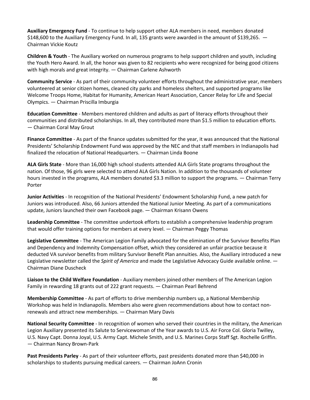**Auxiliary Emergency Fund** - To continue to help support other ALA members in need, members donated \$148,600 to the Auxiliary Emergency Fund. In all, 135 grants were awarded in the amount of \$139,265. — Chairman Vickie Koutz

**Children & Youth** - The Auxiliary worked on numerous programs to help support children and youth, including the Youth Hero Award. In all, the honor was given to 82 recipients who were recognized for being good citizens with high morals and great integrity. — Chairman Carlene Ashworth

**Community Service** - As part of their community volunteer efforts throughout the administrative year, members volunteered at senior citizen homes, cleaned city parks and homeless shelters, and supported programs like Welcome Troops Home, Habitat for Humanity, American Heart Association, Cancer Relay for Life and Special Olympics. — Chairman Priscilla Imburgia

**Education Committee** - Members mentored children and adults as part of literacy efforts throughout their communities and distributed scholarships. In all, they contributed more than \$1.5 million to education efforts. — Chairman Coral May Grout

**Finance Committee** - As part of the finance updates submitted for the year, it was announced that the National Presidents' Scholarship Endowment Fund was approved by the NEC and that staff members in Indianapolis had finalized the relocation of National Headquarters. — Chairman Linda Boone

**ALA Girls State** - More than 16,000 high school students attended ALA Girls State programs throughout the nation. Of those, 96 girls were selected to attend ALA Girls Nation. In addition to the thousands of volunteer hours invested in the programs, ALA members donated \$3.3 million to support the programs. — Chairman Terry Porter

**Junior Activities** - In recognition of the National Presidents' Endowment Scholarship Fund, a new patch for Juniors was introduced. Also, 66 Juniors attended the National Junior Meeting. As part of a communications update, Juniors launched their own Facebook page. — Chairman Krisann Owens

**Leadership Committee** - The committee undertook efforts to establish a comprehensive leadership program that would offer training options for members at every level. — Chairman Peggy Thomas

**Legislative Committee** - The American Legion Family advocated for the elimination of the Survivor Benefits Plan and Dependency and Indemnity Compensation offset, which they considered an unfair practice because it deducted VA survivor benefits from military Survivor Benefit Plan annuities. Also, the Auxiliary introduced a new Legislative newsletter called the *Spirit of America* and made the Legislative Advocacy Guide available online. — Chairman Diane Duscheck

**Liaison to the Child Welfare Foundation** - Auxiliary members joined other members of The American Legion Family in rewarding 18 grants out of 222 grant requests. — Chairman Pearl Behrend

**Membership Committee** - As part of efforts to drive membership numbers up, a National Membership Workshop was held in Indianapolis. Members also were given recommendations about how to contact nonrenewals and attract new memberships. — Chairman Mary Davis

**National Security Committee** - In recognition of women who served their countries in the military, the American Legion Auxiliary presented its Salute to Servicewoman of the Year awards to U.S. Air Force Col. Gloria Twilley, U.S. Navy Capt. Donna Joyal, U.S. Army Capt. Michele Smith, and U.S. Marines Corps Staff Sgt. Rochelle Griffin. — Chairman Nancy Brown-Park

**Past Presidents Parley** - As part of their volunteer efforts, past presidents donated more than \$40,000 in scholarships to students pursuing medical careers. — Chairman JoAnn Cronin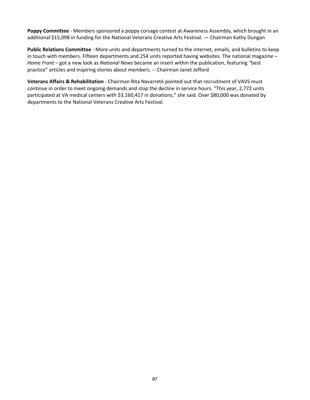**Poppy Committee** - Members sponsored a poppy corsage contest at Awareness Assembly, which brought in an additional \$15,098 in funding for the National Veterans Creative Arts Festival. — Chairman Kathy Dungan

**Public Relations Committee** - More units and departments turned to the internet, emails, and bulletins to keep in touch with members. Fifteen departments and 254 units reported having websites. The national magazine – *Home Front* – got a new look as *National News* became an insert within the publication, featuring "best practice" articles and inspiring stories about members. -- Chairman Janet Jefford

**Veterans Affairs & Rehabilitation** - Chairman Rita Navarreté pointed out that recruitment of VAVS must continue in order to meet ongoing demands and stop the decline in service hours. "This year, 2,772 units participated at VA medical centers with \$3,160,417 in donations," she said. Over \$80,000 was donated by departments to the National Veterans Creative Arts Festival.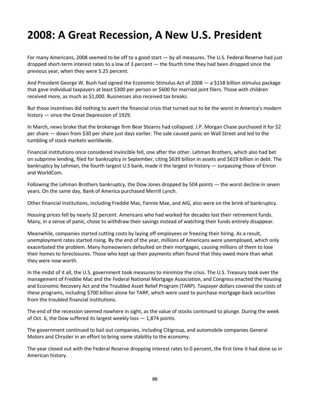## **2008: A Great Recession, A New U.S. President**

For many Americans, 2008 seemed to be off to a good start — by all measures. The U.S. Federal Reserve had just dropped short-term interest rates to a low of 3 percent — the fourth time they had been dropped since the previous year, when they were 5.25 percent.

And President George W. Bush had signed the Economic Stimulus Act of 2008 — a \$158 billion stimulus package that gave individual taxpayers at least \$300 per person or \$600 for married joint filers. Those with children received more, as much as \$1,000. Businesses also received tax breaks.

But those incentives did nothing to avert the financial crisis that turned out to be the worst in America's modern history — since the Great Depression of 1929.

In March, news broke that the brokerage firm Bear Stearns had collapsed. J.P. Morgan Chase purchased it for \$2 per share — down from \$30 per share just days earlier. The sale caused panic on Wall Street and led to the tumbling of stock markets worldwide.

Financial institutions once considered invincible fell, one after the other. Lehman Brothers, which also had bet on subprime lending, filed for bankruptcy in September, citing \$639 billion in assets and \$619 billion in debt. The bankruptcy by Lehman, the fourth largest U.S bank, made it the largest in history — surpassing those of Enron and WorldCom.

Following the Lehman Brothers bankruptcy, the Dow Jones dropped by 504 points — the worst decline in seven years. On the same day, Bank of America purchased Merrill Lynch.

Other financial institutions, including Freddie Mac, Fannie Mae, and AIG, also were on the brink of bankruptcy.

Housing prices fell by nearly 32 percent. Americans who had worked for decades lost their retirement funds. Many, in a sense of panic, chose to withdraw their savings instead of watching their funds entirely disappear.

Meanwhile, companies started cutting costs by laying off employees or freezing their hiring. As a result, unemployment rates started rising. By the end of the year, millions of Americans were unemployed, which only exacerbated the problem. Many homeowners defaulted on their mortgages, causing millions of them to lose their homes to foreclosures. Those who kept up their payments often found that they owed more than what they were now worth.

In the midst of it all, the U.S. government took measures to minimize the crisis. The U.S. Treasury took over the management of Freddie Mac and the Federal National Mortgage Association, and Congress enacted the Housing and Economic Recovery Act and the Troubled Asset Relief Program (TARP). Taxpayer dollars covered the costs of these programs, including \$700 billion alone for TARP, which were used to purchase mortgage-back securities from the troubled financial institutions.

The end of the recession seemed nowhere in sight, as the value of stocks continued to plunge. During the week of Oct. 6, the Dow suffered its largest weekly loss — 1,874 points.

The government continued to bail out companies, including Citigroup, and automobile companies General Motors and Chrysler in an effort to bring some stability to the economy.

The year closed out with the Federal Reserve dropping interest rates to 0 percent, the first time it had done so in American history.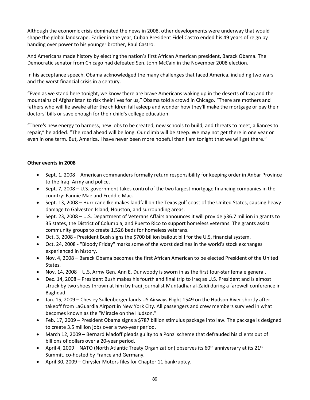Although the economic crisis dominated the news in 2008, other developments were underway that would shape the global landscape. Earlier in the year, Cuban President Fidel Castro ended his 49 years of reign by handing over power to his younger brother, Raul Castro.

And Americans made history by electing the nation's first African American president, Barack Obama. The Democratic senator from Chicago had defeated Sen. John McCain in the November 2008 election.

In his acceptance speech, Obama acknowledged the many challenges that faced America, including two wars and the worst financial crisis in a century.

"Even as we stand here tonight, we know there are brave Americans waking up in the deserts of Iraq and the mountains of Afghanistan to risk their lives for us," Obama told a crowd in Chicago. "There are mothers and fathers who will lie awake after the children fall asleep and wonder how they'll make the mortgage or pay their doctors' bills or save enough for their child's college education.

"There's new energy to harness, new jobs to be created, new schools to build, and threats to meet, alliances to repair," he added. "The road ahead will be long. Our climb will be steep. We may not get there in one year or even in one term. But, America, I have never been more hopeful than I am tonight that we will get there."

## **Other events in 2008**

- Sept. 1, 2008 American commanders formally return responsibility for keeping order in Anbar Province to the Iraqi Army and police.
- Sept. 7, 2008 U.S. government takes control of the two largest mortgage financing companies in the country: Fannie Mae and Freddie Mac.
- Sept. 13, 2008 Hurricane Ike makes landfall on the Texas gulf coast of the United States, causing heavy damage to Galveston Island, Houston, and surrounding areas.
- Sept. 23, 2008 U.S. Department of Veterans Affairs announces it will provide \$36.7 million in grants to 35 states, the District of Columbia, and Puerto Rico to support homeless veterans. The grants assist community groups to create 1,526 beds for homeless veterans.
- Oct. 3, 2008 President Bush signs the \$700 billion bailout bill for the U.S, financial system.
- Oct. 24, 2008 "Bloody Friday" marks some of the worst declines in the world's stock exchanges experienced in history.
- Nov. 4, 2008 Barack Obama becomes the first African American to be elected President of the United States.
- Nov. 14, 2008 U.S. Army Gen. Ann E. Dunwoody is sworn in as the first four-star female general.
- Dec. 14, 2008 President Bush makes his fourth and final trip to Iraq as U.S. President and is almost struck by two shoes thrown at him by Iraqi journalist Muntadhar al-Zaidi during a farewell conference in Baghdad.
- Jan. 15, 2009 Chesley Sullenberger lands US Airways Flight 1549 on the Hudson River shortly after takeoff from LaGuardia Airport in New York City. All passengers and crew members survived in what becomes known as the "Miracle on the Hudson."
- Feb. 17, 2009 President Obama signs a \$787 billion stimulus package into law. The package is designed to create 3.5 million jobs over a two-year period.
- March 12, 2009 Bernard Madoff pleads guilty to a Ponzi scheme that defrauded his clients out of billions of dollars over a 20-year period.
- April 4, 2009 NATO (North Atlantic Treaty Organization) observes its 60<sup>th</sup> anniversary at its 21<sup>st</sup> Summit, co-hosted by France and Germany.
- April 30, 2009 Chrysler Motors files for Chapter 11 bankruptcy.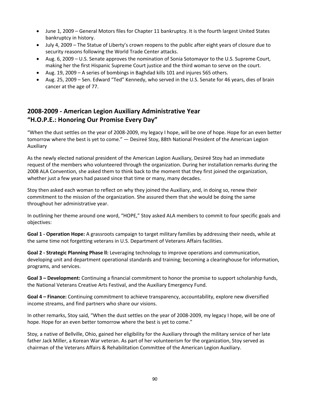- June 1, 2009 General Motors files for Chapter 11 bankruptcy. It is the fourth largest United States bankruptcy in history.
- July 4, 2009 The Statue of Liberty's crown reopens to the public after eight years of closure due to security reasons following the World Trade Center attacks.
- Aug. 6, 2009 U.S. Senate approves the nomination of Sonia Sotomayor to the U.S. Supreme Court, making her the first Hispanic Supreme Court justice and the third woman to serve on the court.
- Aug. 19, 2009 A series of bombings in Baghdad kills 101 and injures 565 others.
- Aug. 25, 2009 Sen. Edward "Ted" Kennedy, who served in the U.S. Senate for 46 years, dies of brain cancer at the age of 77.

## **2008-2009 - American Legion Auxiliary Administrative Year "H.O.P.E.: Honoring Our Promise Every Day"**

"When the dust settles on the year of 2008-2009, my legacy I hope, will be one of hope. Hope for an even better tomorrow where the best is yet to come." — Desireé Stoy, 88th National President of the American Legion Auxiliary

As the newly elected national president of the American Legion Auxiliary, Desireé Stoy had an immediate request of the members who volunteered through the organization. During her installation remarks during the 2008 ALA Convention, she asked them to think back to the moment that they first joined the organization, whether just a few years had passed since that time or many, many decades.

Stoy then asked each woman to reflect on why they joined the Auxiliary, and, in doing so, renew their commitment to the mission of the organization. She assured them that she would be doing the same throughout her administrative year.

In outlining her theme around one word, "HOPE," Stoy asked ALA members to commit to four specific goals and objectives:

**Goal 1 - Operation Hope:** A grassroots campaign to target military families by addressing their needs, while at the same time not forgetting veterans in U.S. Department of Veterans Affairs facilities.

**Goal 2 - Strategic Planning Phase ll:** Leveraging technology to improve operations and communication, developing unit and department operational standards and training; becoming a clearinghouse for information, programs, and services.

**Goal 3 – Development:** Continuing a financial commitment to honor the promise to support scholarship funds, the National Veterans Creative Arts Festival, and the Auxiliary Emergency Fund.

**Goal 4 – Finance:** Continuing commitment to achieve transparency, accountability, explore new diversified income streams, and find partners who share our visions.

In other remarks, Stoy said, "When the dust settles on the year of 2008-2009, my legacy I hope, will be one of hope. Hope for an even better tomorrow where the best is yet to come."

Stoy, a native of Bellville, Ohio, gained her eligibility for the Auxiliary through the military service of her late father Jack Miller, a Korean War veteran. As part of her volunteerism for the organization, Stoy served as chairman of the Veterans Affairs & Rehabilitation Committee of the American Legion Auxiliary.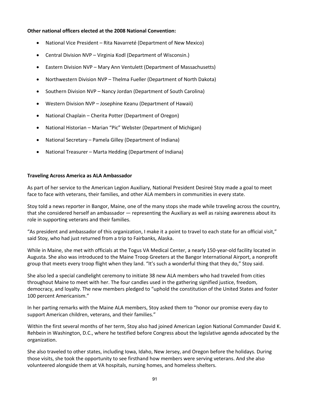## **Other national officers elected at the 2008 National Convention:**

- National Vice President Rita Navarreté (Department of New Mexico)
- Central Division NVP Virginia Kodl (Department of Wisconsin.)
- Eastern Division NVP Mary Ann Ventulett (Department of Massachusetts)
- Northwestern Division NVP Thelma Fueller (Department of North Dakota)
- Southern Division NVP Nancy Jordan (Department of South Carolina)
- Western Division NVP Josephine Keanu (Department of Hawaii)
- National Chaplain Cherita Potter (Department of Oregon)
- National Historian Marian "Pic" Webster (Department of Michigan)
- National Secretary Pamela Gilley (Department of Indiana)
- National Treasurer Marta Hedding (Department of Indiana)

#### **Traveling Across America as ALA Ambassador**

As part of her service to the American Legion Auxiliary, National President Desireé Stoy made a goal to meet face to face with veterans, their families, and other ALA members in communities in every state.

Stoy told a news reporter in Bangor, Maine, one of the many stops she made while traveling across the country, that she considered herself an ambassador — representing the Auxiliary as well as raising awareness about its role in supporting veterans and their families.

"As president and ambassador of this organization, I make it a point to travel to each state for an official visit," said Stoy, who had just returned from a trip to Fairbanks, Alaska.

While in Maine, she met with officials at the Togus VA Medical Center, a nearly 150-year-old facility located in Augusta. She also was introduced to the Maine Troop Greeters at the Bangor International Airport, a nonprofit group that meets every troop flight when they land. "It's such a wonderful thing that they do," Stoy said.

She also led a special candlelight ceremony to initiate 38 new ALA members who had traveled from cities throughout Maine to meet with her. The four candles used in the gathering signified justice, freedom, democracy, and loyalty. The new members pledged to "uphold the constitution of the United States and foster 100 percent Americanism."

In her parting remarks with the Maine ALA members, Stoy asked them to "honor our promise every day to support American children, veterans, and their families."

Within the first several months of her term, Stoy also had joined American Legion National Commander David K. Rehbein in Washington, D.C., where he testified before Congress about the legislative agenda advocated by the organization.

She also traveled to other states, including Iowa, Idaho, New Jersey, and Oregon before the holidays. During those visits, she took the opportunity to see firsthand how members were serving veterans. And she also volunteered alongside them at VA hospitals, nursing homes, and homeless shelters.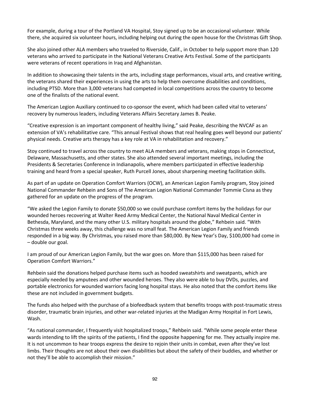For example, during a tour of the Portland VA Hospital, Stoy signed up to be an occasional volunteer. While there, she acquired six volunteer hours, including helping out during the open house for the Christmas Gift Shop.

She also joined other ALA members who traveled to Riverside, Calif., in October to help support more than 120 veterans who arrived to participate in the National Veterans Creative Arts Festival. Some of the participants were veterans of recent operations in Iraq and Afghanistan.

In addition to showcasing their talents in the arts, including stage performances, visual arts, and creative writing, the veterans shared their experiences in using the arts to help them overcome disabilities and conditions, including PTSD. More than 3,000 veterans had competed in local competitions across the country to become one of the finalists of the national event.

The American Legion Auxiliary continued to co-sponsor the event, which had been called vital to veterans' recovery by numerous leaders, including Veterans Affairs Secretary James B. Peake.

"Creative expression is an important component of healthy living," said Peake, describing the NVCAF as an extension of VA's rehabilitative care. "This annual Festival shows that real healing goes well beyond our patients' physical needs. Creative arts therapy has a key role at VA in rehabilitation and recovery."

Stoy continued to travel across the country to meet ALA members and veterans, making stops in Connecticut, Delaware, Massachusetts, and other states. She also attended several important meetings, including the Presidents & Secretaries Conference in Indianapolis, where members participated in effective leadership training and heard from a special speaker, Ruth Purcell Jones, about sharpening meeting facilitation skills.

As part of an update on Operation Comfort Warriors (OCW), an American Legion Family program, Stoy joined National Commander Rehbein and Sons of The American Legion National Commander Tommie Cisna as they gathered for an update on the progress of the program.

"We asked the Legion Family to donate \$50,000 so we could purchase comfort items by the holidays for our wounded heroes recovering at Walter Reed Army Medical Center, the National Naval Medical Center in Bethesda, Maryland, and the many other U.S. military hospitals around the globe," Rehbein said. "With Christmas three weeks away, this challenge was no small feat. The American Legion Family and friends responded in a big way. By Christmas, you raised more than \$80,000. By New Year's Day, \$100,000 had come in – double our goal.

I am proud of our American Legion Family, but the war goes on. More than \$115,000 has been raised for Operation Comfort Warriors."

Rehbein said the donations helped purchase items such as hooded sweatshirts and sweatpants, which are especially needed by amputees and other wounded heroes. They also were able to buy DVDs, puzzles, and portable electronics for wounded warriors facing long hospital stays. He also noted that the comfort items like these are not included in government budgets.

The funds also helped with the purchase of a biofeedback system that benefits troops with post-traumatic stress disorder, traumatic brain injuries, and other war-related injuries at the Madigan Army Hospital in Fort Lewis, Wash.

"As national commander, I frequently visit hospitalized troops," Rehbein said. "While some people enter these wards intending to lift the spirits of the patients, I find the opposite happening for me. They actually inspire me. It is not uncommon to hear troops express the desire to rejoin their units in combat, even after they've lost limbs. Their thoughts are not about their own disabilities but about the safety of their buddies, and whether or not they'll be able to accomplish their mission."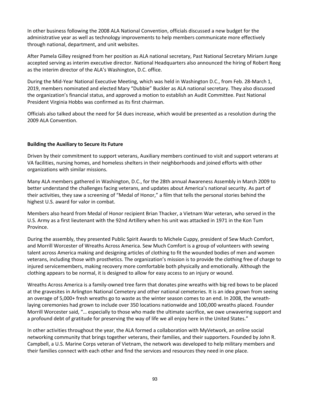In other business following the 2008 ALA National Convention, officials discussed a new budget for the administrative year as well as technology improvements to help members communicate more effectively through national, department, and unit websites.

After Pamela Gilley resigned from her position as ALA national secretary, Past National Secretary Miriam Junge accepted serving as interim executive director. National Headquarters also announced the hiring of Robert Reeg as the interim director of the ALA's Washington, D.C. office.

During the Mid-Year National Executive Meeting, which was held in Washington D.C., from Feb. 28-March 1, 2019, members nominated and elected Mary "Dubbie" Buckler as ALA national secretary. They also discussed the organization's financial status, and approved a motion to establish an Audit Committee. Past National President Virginia Hobbs was confirmed as its first chairman.

Officials also talked about the need for \$4 dues increase, which would be presented as a resolution during the 2009 ALA Convention.

## **Building the Auxiliary to Secure its Future**

Driven by their commitment to support veterans, Auxiliary members continued to visit and support veterans at VA facilities, nursing homes, and homeless shelters in their neighborhoods and joined efforts with other organizations with similar missions.

Many ALA members gathered in Washington, D.C., for the 28th annual Awareness Assembly in March 2009 to better understand the challenges facing veterans, and updates about America's national security. As part of their activities, they saw a screening of "Medal of Honor," a film that tells the personal stories behind the highest U.S. award for valor in combat.

Members also heard from Medal of Honor recipient Brian Thacker, a Vietnam War veteran, who served in the U.S. Army as a first lieutenant with the 92nd Artillery when his unit was attacked in 1971 in the Kon Tum Province.

During the assembly, they presented Public Spirit Awards to Michele Cuppy, president of Sew Much Comfort, and Morrill Worcester of Wreaths Across America. Sew Much Comfort is a group of volunteers with sewing talent across America making and designing articles of clothing to fit the wounded bodies of men and women veterans, including those with prosthetics. The organization's mission is to provide the clothing free of charge to injured servicemembers, making recovery more comfortable both physically and emotionally. Although the clothing appears to be normal, it is designed to allow for easy access to an injury or wound.

Wreaths Across America is a family-owned tree farm that donates pine wreaths with big red bows to be placed at the gravesites in Arlington National Cemetery and other national cemeteries. It is an idea grown from seeing an overage of 5,000+ fresh wreaths go to waste as the winter season comes to an end. In 2008, the wreathlaying ceremonies had grown to include over 350 locations nationwide and 100,000 wreaths placed. Founder Morrill Worcester said, "… especially to those who made the ultimate sacrifice, we owe unwavering support and a profound debt of gratitude for preserving the way of life we all enjoy here in the United States."

In other activities throughout the year, the ALA formed a collaboration with MyVetwork, an online social networking community that brings together veterans, their families, and their supporters. Founded by John R. Campbell, a U.S. Marine Corps veteran of Vietnam, the network was developed to help military members and their families connect with each other and find the services and resources they need in one place.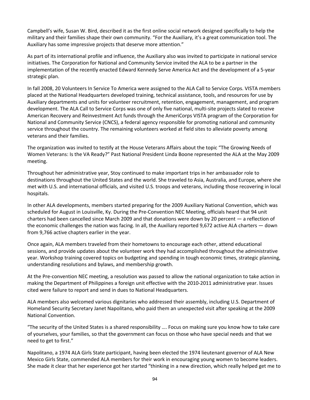Campbell's wife, Susan W. Bird, described it as the first online social network designed specifically to help the military and their families shape their own community. "For the Auxiliary, it's a great communication tool. The Auxiliary has some impressive projects that deserve more attention."

As part of its international profile and influence, the Auxiliary also was invited to participate in national service initiatives. The Corporation for National and Community Service invited the ALA to be a partner in the implementation of the recently enacted Edward Kennedy Serve America Act and the development of a 5-year strategic plan.

In fall 2008, 20 Volunteers In Service To America were assigned to the ALA Call to Service Corps. VISTA members placed at the National Headquarters developed training, technical assistance, tools, and resources for use by Auxiliary departments and units for volunteer recruitment, retention, engagement, management, and program development. The ALA Call to Service Corps was one of only five national, multi-site projects slated to receive American Recovery and Reinvestment Act funds through the AmeriCorps VISTA program of the Corporation for National and Community Service (CNCS), a federal agency responsible for promoting national and community service throughout the country. The remaining volunteers worked at field sites to alleviate poverty among veterans and their families.

The organization was invited to testify at the House Veterans Affairs about the topic "The Growing Needs of Women Veterans: Is the VA Ready?" Past National President Linda Boone represented the ALA at the May 2009 meeting.

Throughout her administrative year, Stoy continued to make important trips in her ambassador role to destinations throughout the United States and the world. She traveled to Asia, Australia, and Europe, where she met with U.S. and international officials, and visited U.S. troops and veterans, including those recovering in local hospitals.

In other ALA developments, members started preparing for the 2009 Auxiliary National Convention, which was scheduled for August in Louisville, Ky. During the Pre-Convention NEC Meeting, officials heard that 94 unit charters had been cancelled since March 2009 and that donations were down by 20 percent — a reflection of the economic challenges the nation was facing. In all, the Auxiliary reported 9,672 active ALA charters — down from 9,766 active chapters earlier in the year.

Once again, ALA members traveled from their hometowns to encourage each other, attend educational sessions, and provide updates about the volunteer work they had accomplished throughout the administrative year. Workshop training covered topics on budgeting and spending in tough economic times, strategic planning, understanding resolutions and bylaws, and membership growth.

At the Pre-convention NEC meeting, a resolution was passed to allow the national organization to take action in making the Department of Philippines a foreign unit effective with the 2010-2011 administrative year. Issues cited were failure to report and send in dues to National Headquarters.

ALA members also welcomed various dignitaries who addressed their assembly, including U.S. Department of Homeland Security Secretary Janet Napolitano, who paid them an unexpected visit after speaking at the 2009 National Convention.

"The security of the United States is a shared responsibility …. Focus on making sure you know how to take care of yourselves, your families, so that the government can focus on those who have special needs and that we need to get to first."

Napolitano, a 1974 ALA Girls State participant, having been elected the 1974 lieutenant governor of ALA New Mexico Girls State, commended ALA members for their work in encouraging young women to become leaders. She made it clear that her experience got her started "thinking in a new direction, which really helped get me to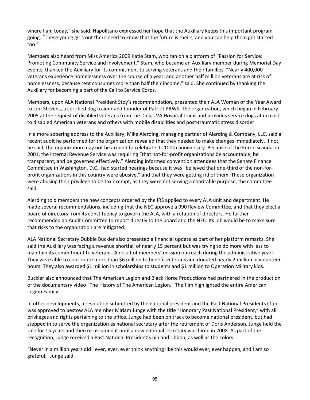where I am today," she said. Napolitano expressed her hope that the Auxiliary keeps this important program going. "These young girls out there need to know that the future is theirs, and you can help them get started too."

Members also heard from Miss America 2009 Katie Stam, who ran on a platform of "Passion for Service: Promoting Community Service and Involvement." Stam, who became an Auxiliary member during Memorial Day events, thanked the Auxiliary for its commitment to serving veterans and their families. "Nearly 400,000 veterans experience homelessness over the course of a year, and another half million veterans are at risk of homelessness, because rent consumes more than half their income," said. She continued by thanking the Auxiliary for becoming a part of the Call to Service Corps.

Members, upon ALA National President Stoy's recommendation, presented their ALA Woman of the Year Award to Lori Stevens, a certified dog trainer and founder of Patriot PAWS. The organization, which began in February 2005 at the request of disabled veterans from the Dallas VA Hospital trains and provides service dogs at no cost to disabled American veterans and others with mobile disabilities and post-traumatic stress disorder.

In a more sobering address to the Auxiliary, Mike Alerding, managing partner of Alerding & Company, LLC, said a recent audit he performed for the organization revealed that they needed to make changes immediately. If not, he said, the organization may not be around to celebrate its 100th anniversary. Because of the Enron scandal in 2001, the Internal Revenue Service was requiring "that not-for-profit organizations be accountable, be transparent, and be governed effectively." Alerding informed convention attendees that the Senate Finance Committee in Washington, D.C., had started hearings because it was "believed that one-third of the non-forprofit organizations in this country were abusive," and that they were getting rid of them. These organization were abusing their privilege to be tax exempt, as they were not serving a charitable purpose, the committee said.

Alerding told members the new concepts ordered by the IRS applied to every ALA unit and department. He made several recommendations, including that the NEC approve a 990 Review Committee, and that they elect a board of directors from its constituency to govern the ALA, with a rotation of directors. He further recommended an Audit Committee to report directly to the board and the NEC. Its job would be to make sure that risks to the organization are mitigated.

ALA National Secretary Dubbie Buckler also presented a financial update as part of her platform remarks. She said the Auxiliary was facing a revenue shortfall of nearly 15 percent but was trying to do more with less to maintain its commitment to veterans. A result of members' mission outreach during the administrative year: They were able to contribute more than \$6 million to benefit veterans and donated nearly 2 million in volunteer hours. They also awarded \$1 million in scholarships to students and \$1 million to Operation Military kids.

Buckler also announced that The American Legion and Black Horse Productions had partnered in the production of the documentary video "The History of The American Legion." The film highlighted the entire American Legion Family.

In other developments, a resolution submitted by the national president and the Past National Presidents Club, was approved to bestow ALA member Miriam Junge with the title "Honorary Past National President," with all privileges and rights pertaining to the office. Junge had been on track to become national president, but had stepped in to serve the organization as national secretary after the retirement of Doris Anderson. Junge held the role for 15 years and then re-assumed it until a new national secretary was hired in 2008. As part of the recognition, Junge received a Past National President's pin and ribbon, as well as the colors.

"Never in a million years did I ever, ever, ever think anything like this would ever, ever happen, and I am so grateful," Junge said.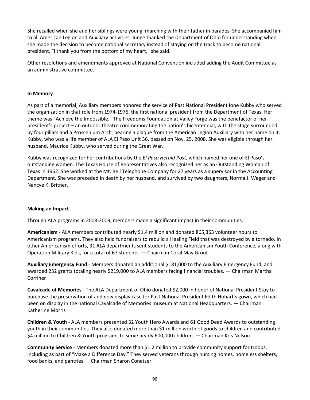She recalled when she and her siblings were young, marching with their father in parades. She accompanied him to all American Legion and Auxiliary activities. Junge thanked the Department of Ohio for understanding when she made the decision to become national secretary instead of staying on the track to become national president. "I thank you from the bottom of my heart," she said.

Other resolutions and amendments approved at National Convention included adding the Audit Committee as an administrative committee.

## **In Memory**

As part of a memorial, Auxiliary members honored the service of Past National President Ione Kubby who served the organization in that role from 1974-1975, the first national president from the Department of Texas. Her theme was "Achieve the Impossible." The Freedoms Foundation at Valley Forge was the benefactor of her president's project – an outdoor theatre commemorating the nation's bicentennial, with the stage surrounded by four pillars and a Proscenium Arch, bearing a plaque from the American Legion Auxiliary with her name on it. Kubby, who was a life member of ALA El Paso Unit 36, passed on Nov. 25, 2008. She was eligible through her husband, Maurice Kubby, who served during the Great War.

Kubby was recognized for her contributions by the *El Paso Herald Post*, which named her one of El Paso's outstanding women. The Texas House of Representatives also recognized her as an Outstanding Woman of Texas in 1962. She worked at the Mt. Bell Telephone Company for 27 years as a supervisor in the Accounting Department. She was preceded in death by her husband, and survived by two daughters, Norma J. Wager and Nancye K. Britner.

## **Making an Impact**

Through ALA programs in 2008-2009, members made a significant impact in their communities:

**Americanism** - ALA members contributed nearly \$1.4 million and donated 865,363 volunteer hours to Americanism programs. They also held fundraisers to rebuild a Healing Field that was destroyed by a tornado. In other Americanism efforts, 31 ALA departments sent students to the Americanism Youth Conference, along with Operation Military Kids, for a total of 67 students. — Chairman Coral May Grout

**Auxiliary Emergency Fund** - Members donated an additional \$181,000 to the Auxiliary Emergency Fund, and awarded 232 grants totaling nearly \$219,000 to ALA members facing financial troubles. — Chairman Martha Corriher

**Cavalcade of Memories** - The ALA Department of Ohio donated \$2,000 in honor of National President Stoy to purchase the preservation of and new display case for Past National President Edith Hobart's gown, which had been on display in the national Cavalcade of Memories museum at National Headquarters. — Chairman Katherine Morris

**Children & Youth** - ALA members presented 32 Youth Hero Awards and 61 Good Deed Awards to outstanding youth in their communities. They also donated more than \$1 million worth of goods to children and contributed \$4 million to Children & Youth programs to serve nearly 600,000 children. — Chairman Kris Nelson

**Community Service** - Members donated more than \$1.2 million to provide community support for troops, including as part of "Make a Difference Day." They served veterans through nursing homes, homeless shelters, food banks, and pantries — Chairman Sharon Conatser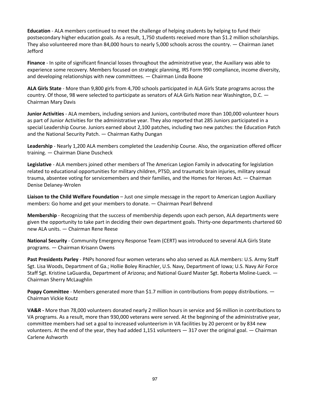**Education** - ALA members continued to meet the challenge of helping students by helping to fund their postsecondary higher education goals. As a result, 1,750 students received more than \$1.2 million scholarships. They also volunteered more than 84,000 hours to nearly 5,000 schools across the country. — Chairman Janet Jefford

**Finance** - In spite of significant financial losses throughout the administrative year, the Auxiliary was able to experience some recovery. Members focused on strategic planning, IRS Form 990 compliance, income diversity, and developing relationships with new committees. — Chairman Linda Boone

**ALA Girls State** - More than 9,800 girls from 4,700 schools participated in ALA Girls State programs across the country. Of those, 98 were selected to participate as senators of ALA Girls Nation near Washington, D.C. — Chairman Mary Davis

**Junior Activities** - ALA members, including seniors and Juniors, contributed more than 100,000 volunteer hours as part of Junior Activities for the administrative year. They also reported that 285 Juniors participated in a special Leadership Course. Juniors earned about 2,100 patches, including two new patches: the Education Patch and the National Security Patch. — Chairman Kathy Dungan

**Leadership** - Nearly 1,200 ALA members completed the Leadership Course. Also, the organization offered officer training. — Chairman Diane Duscheck

**Legislative** - ALA members joined other members of The American Legion Family in advocating for legislation related to educational opportunities for military children, PTSD, and traumatic brain injuries, military sexual trauma, absentee voting for servicemembers and their families, and the Homes for Heroes Act. — Chairman Denise Delaney-Wrolen

**Liaison to the Child Welfare Foundation** – Just one simple message in the report to American Legion Auxiliary members: Go home and get your members to donate. — Chairman Pearl Behrend

**Membership** - Recognizing that the success of membership depends upon each person, ALA departments were given the opportunity to take part in deciding their own department goals. Thirty-one departments chartered 60 new ALA units. — Chairman Rene Reese

**National Security** - Community Emergency Response Team (CERT) was introduced to several ALA Girls State programs. — Chairman Krisann Owens

**Past Presidents Parley** - PNPs honored four women veterans who also served as ALA members: U.S. Army Staff Sgt. Lisa Woods, Department of Ga.; Hollie Boley Rinachler, U.S. Navy, Department of Iowa; U.S. Navy Air Force Staff Sgt. Kristine LaGuardia, Department of Arizona; and National Guard Master Sgt. Roberta Moline-Lueck. — Chairman Sherry McLaughlin

**Poppy Committee** - Members generated more than \$1.7 million in contributions from poppy distributions.  $-$ Chairman Vickie Koutz

**VA&R -** More than 78,000 volunteers donated nearly 2 million hours in service and \$6 million in contributions to VA programs. As a result, more than 930,000 veterans were served. At the beginning of the administrative year, committee members had set a goal to increased volunteerism in VA facilities by 20 percent or by 834 new volunteers. At the end of the year, they had added 1,151 volunteers — 317 over the original goal. — Chairman Carlene Ashworth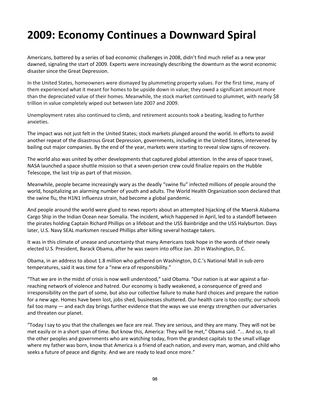# **2009: Economy Continues a Downward Spiral**

Americans, battered by a series of bad economic challenges in 2008, didn't find much relief as a new year dawned, signaling the start of 2009. Experts were increasingly describing the downturn as the worst economic disaster since the Great Depression.

In the United States, homeowners were dismayed by plummeting property values. For the first time, many of them experienced what it meant for homes to be upside down in value; they owed a significant amount more than the depreciated value of their homes. Meanwhile, the stock market continued to plummet, with nearly \$8 trillion in value completely wiped out between late 2007 and 2009.

Unemployment rates also continued to climb, and retirement accounts took a beating, leading to further anxieties.

The impact was not just felt in the United States; stock markets plunged around the world. In efforts to avoid another repeat of the disastrous Great Depression, governments, including in the United States, intervened by bailing out major companies. By the end of the year, markets were starting to reveal slow signs of recovery.

The world also was united by other developments that captured global attention. In the area of space travel, NASA launched a space shuttle mission so that a seven-person crew could finalize repairs on the Hubble Telescope, the last trip as part of that mission.

Meanwhile, people became increasingly wary as the deadly "swine flu" infected millions of people around the world, hospitalizing an alarming number of youth and adults. The World Health Organization soon declared that the swine flu, the H1N1 influenza strain, had become a global pandemic.

And people around the world were glued to news reports about an attempted hijacking of the Maersk Alabama Cargo Ship in the Indian Ocean near Somalia. The incident, which happened in April, led to a standoff between the pirates holding Captain Richard Phillips on a lifeboat and the USS Bainbridge and the USS Halyburton. Days later, U.S. Navy SEAL marksmen rescued Phillips after killing several hostage takers.

It was in this climate of unease and uncertainty that many Americans took hope in the words of their newly elected U.S. President, Barack Obama, after he was sworn into office Jan. 20 in Washington, D.C.

Obama, in an address to about 1.8 million who gathered on Washington, D.C.'s National Mall in sub-zero temperatures, said it was time for a "new era of responsibility."

"That we are in the midst of crisis is now well understood," said Obama. "Our nation is at war against a farreaching network of violence and hatred. Our economy is badly weakened, a consequence of greed and irresponsibility on the part of some, but also our collective failure to make hard choices and prepare the nation for a new age. Homes have been lost, jobs shed, businesses shuttered. Our health care is too costly; our schools fail too many — and each day brings further evidence that the ways we use energy strengthen our adversaries and threaten our planet.

"Today I say to you that the challenges we face are real. They are serious, and they are many. They will not be met easily or in a short span of time. But know this, America: They will be met," Obama said. "... And so, to all the other peoples and governments who are watching today, from the grandest capitals to the small village where my father was born, know that America is a friend of each nation, and every man, woman, and child who seeks a future of peace and dignity. And we are ready to lead once more."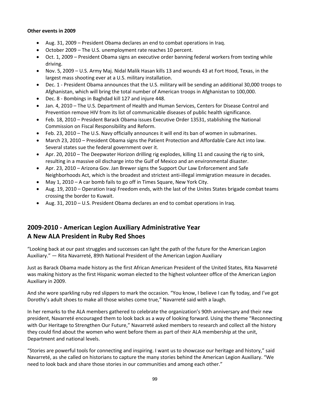## **Other events in 2009**

- Aug. 31, 2009 President Obama declares an end to combat operations in Iraq.
- October 2009 The U.S. unemployment rate reaches 10 percent.
- Oct. 1, 2009 President Obama signs an executive order banning federal workers from texting while driving.
- Nov. 5, 2009 U.S. Army Maj. Nidal Malik Hasan kills 13 and wounds 43 at Fort Hood, Texas, in the largest mass shooting ever at a U.S. military installation.
- Dec. 1 President Obama announces that the U.S. military will be sending an additional 30,000 troops to Afghanistan, which will bring the total number of American troops in Afghanistan to 100,000.
- Dec. 8 Bombings in Baghdad kill 127 and injure 448.
- Jan. 4, 2010 The U.S. Department of Health and Human Services, Centers for Disease Control and Prevention remove HIV from its list of communicable diseases of public health significance.
- Feb. 18, 2010 President Barack Obama issues Executive Order 13531, stablishing the National Commission on Fiscal Responsibility and Reform.
- Feb. 23, 2010 The U.S. Navy officially announces it will end its ban of women in submarines.
- March 23, 2010 President Obama signs the Patient Protection and Affordable Care Act into law. Several states sue the federal government over it.
- Apr. 20, 2010 The Deepwater Horizon drilling rig explodes, killing 11 and causing the rig to sink, resulting in a massive oil discharge into the Gulf of Mexico and an environmental disaster.
- Apr. 23, 2010 Arizona Gov. Jan Brewer signs the Support Our Law Enforcement and Safe Neighborhoods Act, which is the broadest and strictest anti-illegal immigration measure in decades.
- May 1, 2010 A car bomb fails to go off in Times Square, New York City.
- Aug. 19, 2010 Operation Iraqi Freedom ends, with the last of the Unites States brigade combat teams crossing the border to Kuwait.
- Aug. 31, 2010 U.S. President Obama declares an end to combat operations in Iraq.

## **2009-2010 - American Legion Auxiliary Administrative Year A New ALA President in Ruby Red Shoes**

"Looking back at our past struggles and successes can light the path of the future for the American Legion Auxiliary." — Rita Navarreté, 89th National President of the American Legion Auxiliary

Just as Barack Obama made history as the first African American President of the United States, Rita Navarreté was making history as the first Hispanic woman elected to the highest volunteer office of the American Legion Auxiliary in 2009.

And she wore sparkling ruby red slippers to mark the occasion. "You know, I believe I can fly today, and I've got Dorothy's adult shoes to make all those wishes come true," Navarreté said with a laugh.

In her remarks to the ALA members gathered to celebrate the organization's 90th anniversary and their new president, Navarreté encouraged them to look back as a way of looking forward. Using the theme "Reconnecting with Our Heritage to Strengthen Our Future," Navarreté asked members to research and collect all the history they could find about the women who went before them as part of their ALA membership at the unit, Department and national levels.

"Stories are powerful tools for connecting and inspiring. I want us to showcase our heritage and history," said Navarreté, as she called on historians to capture the many stories behind the American Legion Auxiliary. "We need to look back and share those stories in our communities and among each other."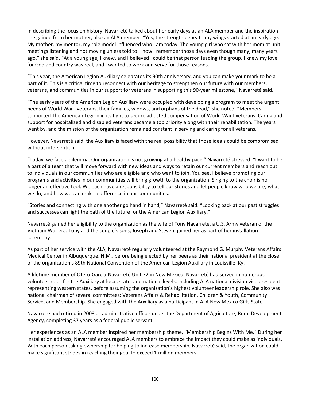In describing the focus on history, Navarreté talked about her early days as an ALA member and the inspiration she gained from her mother, also an ALA member. "Yes, the strength beneath my wings started at an early age. My mother, my mentor, my role model influenced who I am today. The young girl who sat with her mom at unit meetings listening and not moving unless told to – how I remember those days even though many, many years ago," she said. "At a young age, I knew, and I believed I could be that person leading the group. I knew my love for God and country was real, and I wanted to work and serve for those reasons.

"This year, the American Legion Auxiliary celebrates its 90th anniversary, and you can make your mark to be a part of it. This is a critical time to reconnect with our heritage to strengthen our future with our members, veterans, and communities in our support for veterans in supporting this 90-year milestone," Navarreté said.

"The early years of the American Legion Auxiliary were occupied with developing a program to meet the urgent needs of World War I veterans, their families, widows, and orphans of the dead," she noted. "Members supported The American Legion in its fight to secure adjusted compensation of World War I veterans. Caring and support for hospitalized and disabled veterans became a top priority along with their rehabilitation. The years went by, and the mission of the organization remained constant in serving and caring for all veterans."

However, Navarreté said, the Auxiliary is faced with the real possibility that those ideals could be compromised without intervention.

"Today, we face a dilemma: Our organization is not growing at a healthy pace," Navarreté stressed. "I want to be a part of a team that will move forward with new ideas and ways to retain our current members and reach out to individuals in our communities who are eligible and who want to join. You see, I believe promoting our programs and activities in our communities will bring growth to the organization. Singing to the choir is no longer an effective tool. We each have a responsibility to tell our stories and let people know who we are, what we do, and how we can make a difference in our communities.

"Stories and connecting with one another go hand in hand," Navarreté said. "Looking back at our past struggles and successes can light the path of the future for the American Legion Auxiliary."

Navarreté gained her eligibility to the organization as the wife of Tony Navarreté, a U.S. Army veteran of the Vietnam War era. Tony and the couple's sons, Joseph and Steven, joined her as part of her installation ceremony.

As part of her service with the ALA, Navarreté regularly volunteered at the Raymond G. Murphy Veterans Affairs Medical Center in Albuquerque, N.M., before being elected by her peers as their national president at the close of the organization's 89th National Convention of the American Legion Auxiliary in Louisville, Ky.

A lifetime member of Otero-Garcia-Navarreté Unit 72 in New Mexico, Navarreté had served in numerous volunteer roles for the Auxiliary at local, state, and national levels, including ALA national division vice president representing western states, before assuming the organization's highest volunteer leadership role. She also was national chairman of several committees: Veterans Affairs & Rehabilitation, Children & Youth, Community Service, and Membership. She engaged with the Auxiliary as a participant in ALA New Mexico Girls State.

Navarreté had retired in 2003 as administrative officer under the Department of Agriculture, Rural Development Agency, completing 37 years as a federal public servant.

Her experiences as an ALA member inspired her membership theme, "Membership Begins With Me." During her installation address, Navarreté encouraged ALA members to embrace the impact they could make as individuals. With each person taking ownership for helping to increase membership, Navarreté said, the organization could make significant strides in reaching their goal to exceed 1 million members.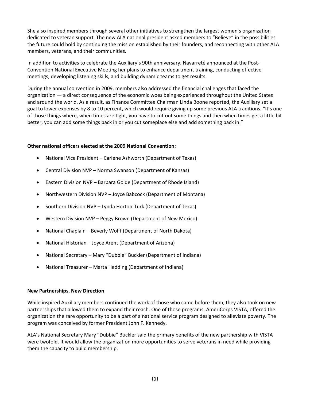She also inspired members through several other initiatives to strengthen the largest women's organization dedicated to veteran support. The new ALA national president asked members to "Believe" in the possibilities the future could hold by continuing the mission established by their founders, and reconnecting with other ALA members, veterans, and their communities.

In addition to activities to celebrate the Auxiliary's 90th anniversary, Navarreté announced at the Post-Convention National Executive Meeting her plans to enhance department training, conducting effective meetings, developing listening skills, and building dynamic teams to get results.

During the annual convention in 2009, members also addressed the financial challenges that faced the organization — a direct consequence of the economic woes being experienced throughout the United States and around the world. As a result, as Finance Committee Chairman Linda Boone reported, the Auxiliary set a goal to lower expenses by 8 to 10 percent, which would require giving up some previous ALA traditions. "It's one of those things where, when times are tight, you have to cut out some things and then when times get a little bit better, you can add some things back in or you cut someplace else and add something back in."

## **Other national officers elected at the 2009 National Convention:**

- National Vice President Carlene Ashworth (Department of Texas)
- Central Division NVP Norma Swanson (Department of Kansas)
- Eastern Division NVP Barbara Golde (Department of Rhode Island)
- Northwestern Division NVP Joyce Babcock (Department of Montana)
- Southern Division NVP Lynda Horton-Turk (Department of Texas)
- Western Division NVP Peggy Brown (Department of New Mexico)
- National Chaplain Beverly Wolff (Department of North Dakota)
- National Historian Joyce Arent (Department of Arizona)
- National Secretary Mary "Dubbie" Buckler (Department of Indiana)
- National Treasurer Marta Hedding (Department of Indiana)

## **New Partnerships, New Direction**

While inspired Auxiliary members continued the work of those who came before them, they also took on new partnerships that allowed them to expand their reach. One of those programs, AmeriCorps VISTA, offered the organization the rare opportunity to be a part of a national service program designed to alleviate poverty. The program was conceived by former President John F. Kennedy.

ALA's National Secretary Mary "Dubbie" Buckler said the primary benefits of the new partnership with VISTA were twofold. It would allow the organization more opportunities to serve veterans in need while providing them the capacity to build membership.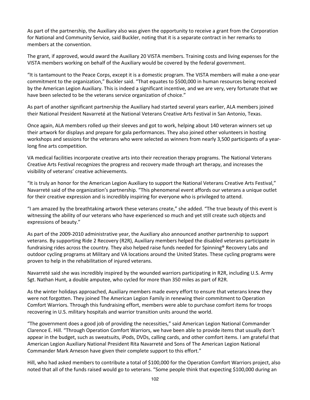As part of the partnership, the Auxiliary also was given the opportunity to receive a grant from the Corporation for National and Community Service, said Buckler, noting that it is a separate contract in her remarks to members at the convention.

The grant, if approved, would award the Auxiliary 20 VISTA members. Training costs and living expenses for the VISTA members working on behalf of the Auxiliary would be covered by the federal government.

"It is tantamount to the Peace Corps, except it is a domestic program. The VISTA members will make a one-year commitment to the organization," Buckler said. "That equates to \$500,000 in human resources being received by the American Legion Auxiliary. This is indeed a significant incentive, and we are very, very fortunate that we have been selected to be the veterans service organization of choice."

As part of another significant partnership the Auxiliary had started several years earlier, ALA members joined their National President Navarreté at the National Veterans Creative Arts Festival in San Antonio, Texas.

Once again, ALA members rolled up their sleeves and got to work, helping about 140 veteran winners set up their artwork for displays and prepare for gala performances. They also joined other volunteers in hosting workshops and sessions for the veterans who were selected as winners from nearly 3,500 participants of a yearlong fine arts competition.

VA medical facilities incorporate creative arts into their recreation therapy programs. The National Veterans Creative Arts Festival recognizes the progress and recovery made through art therapy, and increases the visibility of veterans' creative achievements.

"It is truly an honor for the American Legion Auxiliary to support the National Veterans Creative Arts Festival," Navarreté said of the organization's partnership. "This phenomenal event affords our veterans a unique outlet for their creative expression and is incredibly inspiring for everyone who is privileged to attend.

"I am amazed by the breathtaking artwork these veterans create," she added. "The true beauty of this event is witnessing the ability of our veterans who have experienced so much and yet still create such objects and expressions of beauty."

As part of the 2009-2010 administrative year, the Auxiliary also announced another partnership to support veterans. By supporting Ride 2 Recovery (R2R), Auxiliary members helped the disabled veterans participate in fundraising rides across the country. They also helped raise funds needed for Spinning® Recovery Labs and outdoor cycling programs at Military and VA locations around the United States. These cycling programs were proven to help in the rehabilitation of injured veterans.

Navarreté said she was incredibly inspired by the wounded warriors participating in R2R, including U.S. Army Sgt. Nathan Hunt, a double amputee, who cycled for more than 350 miles as part of R2R.

As the winter holidays approached, Auxiliary members made every effort to ensure that veterans knew they were not forgotten. They joined The American Legion Family in renewing their commitment to Operation Comfort Warriors. Through this fundraising effort, members were able to purchase comfort items for troops recovering in U.S. military hospitals and warrior transition units around the world.

"The government does a good job of providing the necessities," said American Legion National Commander Clarence E. Hill. "Through Operation Comfort Warriors, we have been able to provide items that usually don't appear in the budget, such as sweatsuits, iPods, DVDs, calling cards, and other comfort items. I am grateful that American Legion Auxiliary National President Rita Navarreté and Sons of The American Legion National Commander Mark Arneson have given their complete support to this effort."

Hill, who had asked members to contribute a total of \$100,000 for the Operation Comfort Warriors project, also noted that all of the funds raised would go to veterans. "Some people think that expecting \$100,000 during an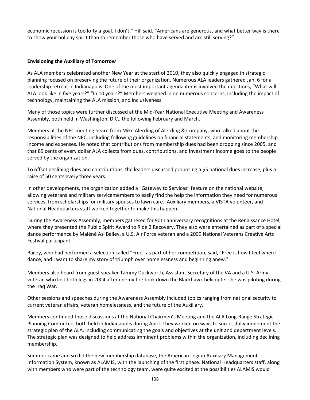economic recession is too lofty a goal. I don't," Hill said. "Americans are generous, and what better way is there to show your holiday spirit than to remember those who have served and are still serving?"

## **Envisioning the Auxiliary of Tomorrow**

As ALA members celebrated another New Year at the start of 2010, they also quickly engaged in strategic planning focused on preserving the future of their organization. Numerous ALA leaders gathered Jan. 6 for a leadership retreat in Indianapolis. One of the most important agenda items involved the questions, "What will ALA look like in five years?" "In 10 years?" Members weighed in on numerous concerns, including the impact of technology, maintaining the ALA mission, and inclusiveness.

Many of those topics were further discussed at the Mid-Year National Executive Meeting and Awareness Assembly, both held in Washington, D.C., the following February and March.

Members at the NEC meeting heard from Mike Alerding of Alerding & Company, who talked about the responsibilities of the NEC, including following guidelines on financial statements, and monitoring membership income and expenses. He noted that contributions from membership dues had been dropping since 2005, and that 89 cents of every dollar ALA collects from dues, contributions, and investment income goes to the people served by the organization.

To offset declining dues and contributions, the leaders discussed proposing a \$5 national dues increase, plus a raise of 50 cents every three years.

In other developments, the organization added a "Gateway to Services" feature on the national website, allowing veterans and military servicemembers to easily find the help the information they need for numerous services, from scholarships for military spouses to lawn care. Auxiliary members, a VISTA volunteer, and National Headquarters staff worked together to make this happen.

During the Awareness Assembly, members gathered for 90th anniversary recognitions at the Renaissance Hotel, where they presented the Public Spirit Award to Ride 2 Recovery. They also were entertained as part of a special dance performance by Maléné Asi Bailey, a U.S. Air Force veteran and a 2009 National Veterans Creative Arts Festival participant.

Bailey, who had performed a selection called "Free" as part of her competition, said, "Free is how I feel when I dance, and I want to share my story of triumph over homelessness and beginning anew."

Members also heard from guest speaker Tammy Duckworth, Assistant Secretary of the VA and a U.S. Army veteran who lost both legs in 2004 after enemy fire took down the Blackhawk helicopter she was piloting during the Iraq War.

Other sessions and speeches during the Awareness Assembly included topics ranging from national security to current veteran affairs, veteran homelessness, and the future of the Auxiliary.

Members continued those discussions at the National Chairmen's Meeting and the ALA Long-Range Strategic Planning Committee, both held in Indianapolis during April. They worked on ways to successfully implement the strategic plan of the ALA, including communicating the goals and objectives at the unit and department levels. The strategic plan was designed to help address imminent problems within the organization, including declining membership.

Summer came and so did the new membership database, the American Legion Auxiliary Management Information System, known as ALAMIS, with the launching of the first phase. National Headquarters staff, along with members who were part of the technology team, were quite excited at the possibilities ALAMIS would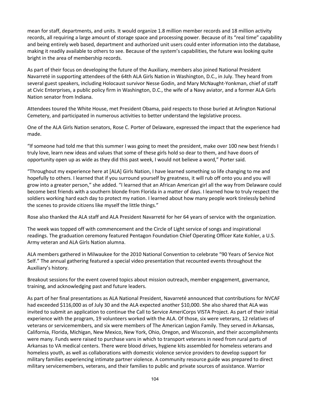mean for staff, departments, and units. It would organize 1.8 million member records and 18 million activity records, all requiring a large amount of storage space and processing power. Because of its "real time" capability and being entirely web based, department and authorized unit users could enter information into the database, making it readily available to others to see. Because of the system's capabilities, the future was looking quite bright in the area of membership records.

As part of their focus on developing the future of the Auxiliary, members also joined National President Navarreté in supporting attendees of the 64th ALA Girls Nation in Washington, D.C., in July. They heard from several guest speakers, including Holocaust survivor Nesse Godin, and Mary McNaught-Yonkman, chief of staff at Civic Enterprises, a public policy firm in Washington, D.C., the wife of a Navy aviator, and a former ALA Girls Nation senator from Indiana.

Attendees toured the White House, met President Obama, paid respects to those buried at Arlington National Cemetery, and participated in numerous activities to better understand the legislative process.

One of the ALA Girls Nation senators, Rose C. Porter of Delaware, expressed the impact that the experience had made.

"If someone had told me that this summer I was going to meet the president, make over 100 new best friends I truly love, learn new ideas and values that some of these girls hold so dear to them, and have doors of opportunity open up as wide as they did this past week, I would not believe a word," Porter said.

"Throughout my experience here at [ALA] Girls Nation, I have learned something so life changing to me and hopefully to others. I learned that if you surround yourself by greatness, it will rub off onto you and you will grow into a greater person," she added. "I learned that an African American girl all the way from Delaware could become best friends with a southern blonde from Florida in a matter of days. I learned how to truly respect the soldiers working hard each day to protect my nation. I learned about how many people work tirelessly behind the scenes to provide citizens like myself the little things."

Rose also thanked the ALA staff and ALA President Navarreté for her 64 years of service with the organization.

The week was topped off with commencement and the Circle of Light service of songs and inspirational readings. The graduation ceremony featured Pentagon Foundation Chief Operating Officer Kate Kohler, a U.S. Army veteran and ALA Girls Nation alumna.

ALA members gathered in Milwaukee for the 2010 National Convention to celebrate "90 Years of Service Not Self." The annual gathering featured a special video presentation that recounted events throughout the Auxiliary's history.

Breakout sessions for the event covered topics about mission outreach, member engagement, governance, training, and acknowledging past and future leaders.

As part of her final presentations as ALA National President, Navarreté announced that contributions for NVCAF had exceeded \$116,000 as of July 30 and the ALA expected another \$10,000. She also shared that ALA was invited to submit an application to continue the Call to Service AmeriCorps VISTA Project. As part of their initial experience with the program, 19 volunteers worked with the ALA. Of those, six were veterans, 12 relatives of veterans or servicemembers, and six were members of The American Legion Family. They served in Arkansas, California, Florida, Michigan, New Mexico, New York, Ohio, Oregon, and Wisconsin, and their accomplishments were many. Funds were raised to purchase vans in which to transport veterans in need from rural parts of Arkansas to VA medical centers. There were blood drives, hygiene kits assembled for homeless veterans and homeless youth, as well as collaborations with domestic violence service providers to develop support for military families experiencing intimate partner violence. A community resource guide was prepared to direct military servicemembers, veterans, and their families to public and private sources of assistance. Warrior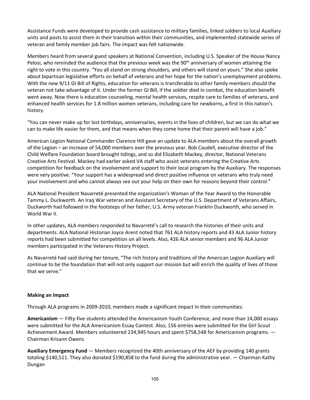Assistance Funds were developed to provide cash assistance to military families, linked soldiers to local Auxiliary units and posts to assist them in their transition within their communities, and implemented statewide series of veteran and family member job fairs. The impact was felt nationwide.

Members heard from several guest speakers at National Convention, including U.S. Speaker of the House Nancy Pelosi, who reminded the audience that the previous week was the  $90<sup>th</sup>$  anniversary of women attaining the right to vote in this country. "You all stand on strong shoulders, and others will stand on yours." She also spoke about bipartisan legislative efforts on behalf of veterans and her hope for the nation's unemployment problems. With the new 9/11 GI Bill of Rights, education for veterans is transferable to other family members should the veteran not take advantage of it. Under the former GI Bill, if the soldier died in combat, the education benefit went away. Now there is education counseling, mental health services, respite care to families of veterans, and enhanced health services for 1.8 million women veterans, including care for newborns, a first in this nation's history.

"You can never make up for lost birthdays, anniversaries, events in the lives of children, but we can do what we can to make life easier for them, and that means when they come home that their parent will have a job."

American Legion National Commander Clarence Hill gave an update to ALA members about the overall growth of the Legion – an increase of 54,000 members over the previous year. Bob Caudell, executive director of the Child Welfare Foundation board brought tidings, and so did Elizabeth Mackey, director, National Veterans Creative Arts Festival. Mackey had earlier asked VA staff who assist veterans entering the Creative Arts competition for feedback on the involvement and support to their local program by the Auxiliary. The responses were very positive. "Your support has a widespread and direct positive influence on veterans who truly need your involvement and who cannot always see out your help on their own for reasons beyond their control."

ALA National President Navarreté presented the organization's Woman of the Year Award to the Honorable Tammy L. Duckworth. An Iraq War veteran and Assistant Secretary of the U.S. Department of Veterans Affairs, Duckworth had followed in the footsteps of her father, U.S. Army veteran Franklin Duckworth, who served in World War II.

In other updates, ALA members responded to Navarreté's call to research the histories of their units and departments. ALA National Historian Joyce Arent noted that 761 ALA history reports and 43 ALA Junior history reports had been submitted for competition on all levels. Also, 426 ALA senior members and 96 ALA Junior members participated in the Veterans History Project.

As Navarreté had said during her tenure, "The rich history and traditions of the American Legion Auxiliary will continue to be the foundation that will not only support our mission but will enrich the quality of lives of those that we serve."

## **Making an Impact**

Through ALA programs in 2009-2010, members made a significant impact in their communities:

**Americanism** — Fifty-five students attended the Americanism Youth Conference, and more than 14,000 essays were submitted for the ALA Americanism Essay Contest. Also, 156 entries were submitted for the Girl Scout Achievement Award. Members volunteered 234,945 hours and spent \$758,548 for Americanism programs. — Chairman Krisann Owens

**Auxiliary Emergency Fund** — Members recognized the 40th anniversary of the AEF by providing 140 grants totaling \$140,511. They also donated \$190,858 to the fund during the administrative year. — Chairman Kathy Dungan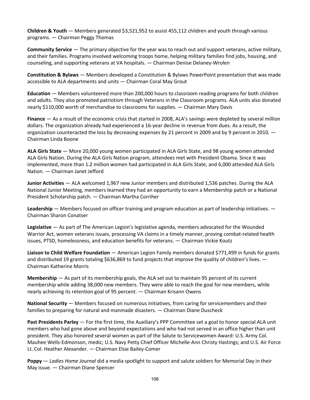**Children & Youth** — Members generated \$3,521,952 to assist 455,112 children and youth through various programs. — Chairman Peggy Thomas

**Community Service** — The primary objective for the year was to reach out and support veterans, active military, and their families. Programs involved welcoming troops home, helping military families find jobs, housing, and counseling, and supporting veterans at VA hospitals. — Chairman Denise Delaney-Wrolen

**Constitution & Bylaws** — Members developed a Constitution & Bylaws PowerPoint presentation that was made accessible to ALA departments and units — Chairman Coral May Grout

**Education** — Members volunteered more than 200,000 hours to classroom reading programs for both children and adults. They also promoted patriotism through Veterans in the Classroom programs. ALA units also donated nearly \$110,000 worth of merchandise to classrooms for supplies. — Chairman Mary Davis

**Finance** — As a result of the economic crisis that started in 2008, ALA's savings were depleted by several million dollars. The organization already had experienced a 16-year decline in revenue from dues. As a result, the organization counteracted the loss by decreasing expenses by 21 percent in 2009 and by 9 percent in 2010. — Chairman Linda Boone

**ALA Girls State** — More 20,000 young women participated in ALA Girls State, and 98 young women attended ALA Girls Nation. During the ALA Girls Nation program, attendees met with President Obama. Since it was implemented, more than 1.2 million women had participated in ALA Girls State, and 6,000 attended ALA Girls Nation. — Chairman Janet Jefford

**Junior Activities** — ALA welcomed 1,967 new Junior members and distributed 1,536 patches. During the ALA National Junior Meeting, members learned they had an opportunity to earn a Membership patch or a National President Scholarship patch. — Chairman Martha Corriher

**Leadership** — Members focused on officer training and program education as part of leadership initiatives. — Chairman Sharon Conatser

**Legislative** — As part of The American Legion's legislative agenda, members advocated for the Wounded Warrior Act, women veterans issues, processing VA claims in a timely manner, proving combat-related health issues, PTSD, homelessness, and education benefits for veterans. — Chairman Vickie Koutz

**Liaison to Child Welfare Foundation** — American Legion Family members donated \$771,499 in funds for grants and distributed 19 grants totaling \$636,869 to fund projects that improve the quality of children's lives. — Chairman Katherine Morris

**Membership** — As part of its membership goals, the ALA set out to maintain 95 percent of its current membership while adding 38,000 new members. They were able to reach the goal for new members, while nearly achieving its retention goal of 95 percent. — Chairman Krisann Owens

**National Security** — Members focused on numerous initiatives, from caring for servicemembers and their families to preparing for natural and manmade disasters. — Chairman Diane Duscheck

**Past Presidents Parley** — For the first time, the Auxiliary's PPP Committee set a goal to honor special ALA unit members who had gone above and beyond expectations and who had not served in an office higher than unit president. They also honored several women as part of the Salute to Servicewomen Award: U.S. Army Col. Mauhee Wells-Edmonson, medic; U.S. Navy Petty Chief Officer Michelle-Ann Christy Hastings; and U.S. Air Force Lt. Col. Heather Alexander. — Chairman Elsie Bailey-Comer

**Poppy** — *Ladies Home Journal* did a media spotlight to support and salute soldiers for Memorial Day in their May issue. — Chairman Diane Spencer